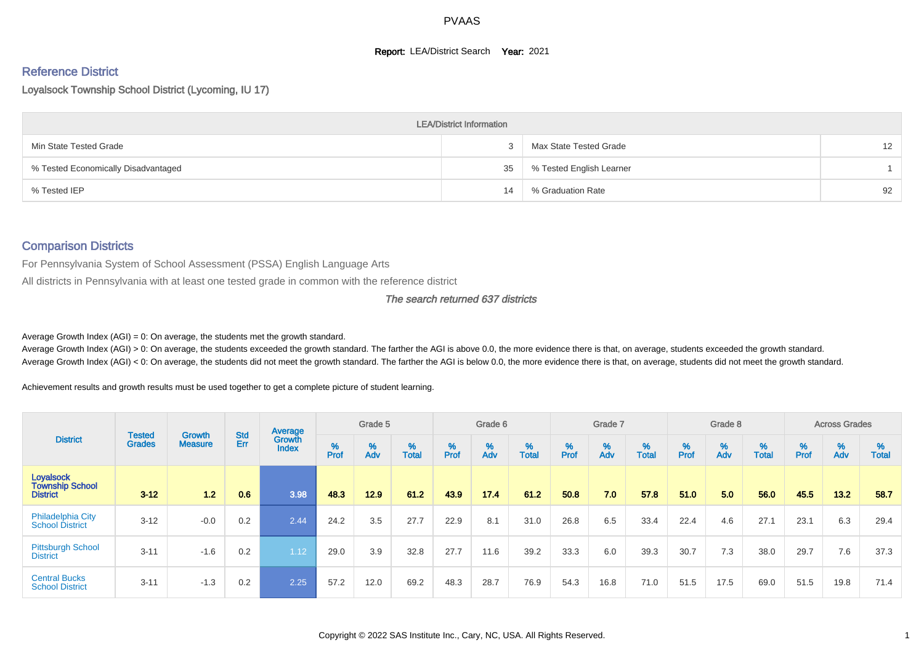#### **Report: LEA/District Search Year: 2021**

# Reference District

Loyalsock Township School District (Lycoming, IU 17)

|                                     | <b>LEA/District Information</b> |                          |                   |
|-------------------------------------|---------------------------------|--------------------------|-------------------|
| Min State Tested Grade              |                                 | Max State Tested Grade   | $12 \overline{ }$ |
| % Tested Economically Disadvantaged | 35                              | % Tested English Learner |                   |
| % Tested IEP                        | 14                              | % Graduation Rate        | 92                |

#### Comparison Districts

For Pennsylvania System of School Assessment (PSSA) English Language Arts

All districts in Pennsylvania with at least one tested grade in common with the reference district

#### The search returned 637 districts

Average Growth Index  $(AGI) = 0$ : On average, the students met the growth standard.

Average Growth Index (AGI) > 0: On average, the students exceeded the growth standard. The farther the AGI is above 0.0, the more evidence there is that, on average, students exceeded the growth standard. Average Growth Index (AGI) < 0: On average, the students did not meet the growth standard. The farther the AGI is below 0.0, the more evidence there is that, on average, students did not meet the growth standard.

Achievement results and growth results must be used together to get a complete picture of student learning.

|                                                               |                                |                                 |            | Average                |           | Grade 5  |                   |           | Grade 6  |                   |           | Grade 7  |                   |           | Grade 8  |                   |           | <b>Across Grades</b> |                   |
|---------------------------------------------------------------|--------------------------------|---------------------------------|------------|------------------------|-----------|----------|-------------------|-----------|----------|-------------------|-----------|----------|-------------------|-----------|----------|-------------------|-----------|----------------------|-------------------|
| <b>District</b>                                               | <b>Tested</b><br><b>Grades</b> | <b>Growth</b><br><b>Measure</b> | Std<br>Err | Growth<br><b>Index</b> | %<br>Prof | %<br>Adv | %<br><b>Total</b> | %<br>Prof | %<br>Adv | %<br><b>Total</b> | %<br>Prof | %<br>Adv | %<br><b>Total</b> | %<br>Prof | %<br>Adv | %<br><b>Total</b> | %<br>Prof | %<br>Adv             | %<br><b>Total</b> |
| <b>Loyalsock</b><br><b>Township School</b><br><b>District</b> | $3 - 12$                       | $1.2$                           | 0.6        | 3.98                   | 48.3      | 12.9     | 61.2              | 43.9      | 17.4     | 61.2              | 50.8      | 7.0      | 57.8              | 51.0      | 5.0      | 56.0              | 45.5      | 13.2                 | 58.7              |
| Philadelphia City<br><b>School District</b>                   | $3 - 12$                       | $-0.0$                          | 0.2        | 2.44                   | 24.2      | 3.5      | 27.7              | 22.9      | 8.1      | 31.0              | 26.8      | 6.5      | 33.4              | 22.4      | 4.6      | 27.1              | 23.1      | 6.3                  | 29.4              |
| <b>Pittsburgh School</b><br><b>District</b>                   | $3 - 11$                       | $-1.6$                          | 0.2        | 1.12                   | 29.0      | 3.9      | 32.8              | 27.7      | 11.6     | 39.2              | 33.3      | 6.0      | 39.3              | 30.7      | 7.3      | 38.0              | 29.7      | 7.6                  | 37.3              |
| <b>Central Bucks</b><br><b>School District</b>                | $3 - 11$                       | $-1.3$                          | 0.2        | 2.25                   | 57.2      | 12.0     | 69.2              | 48.3      | 28.7     | 76.9              | 54.3      | 16.8     | 71.0              | 51.5      | 17.5     | 69.0              | 51.5      | 19.8                 | 71.4              |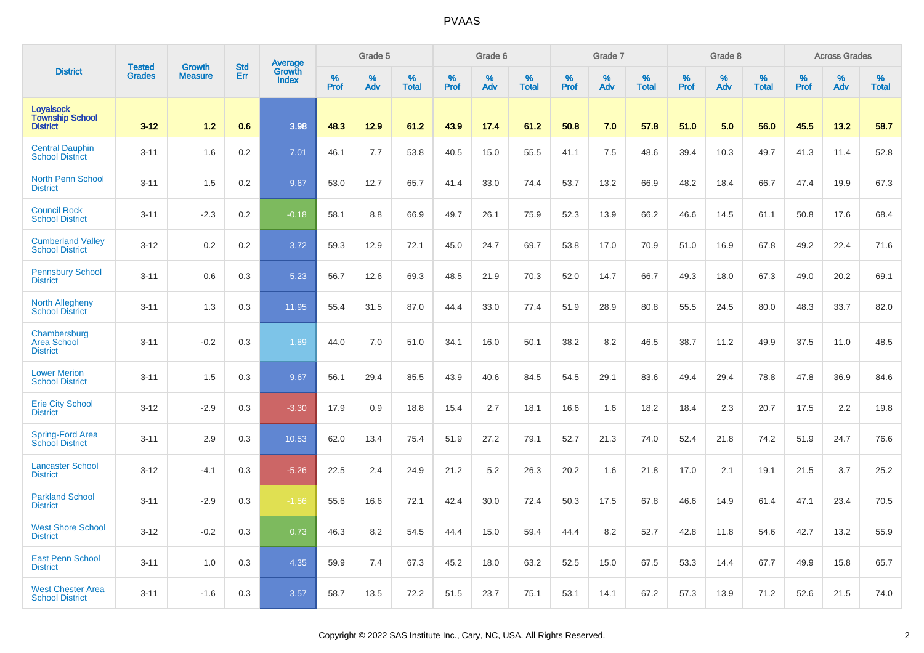|                                                               | <b>Tested</b> | <b>Growth</b>  | <b>Std</b> | Average                |           | Grade 5  |                   |              | Grade 6  |                   |              | Grade 7  |                   |              | Grade 8  |                   |                  | <b>Across Grades</b> |                   |
|---------------------------------------------------------------|---------------|----------------|------------|------------------------|-----------|----------|-------------------|--------------|----------|-------------------|--------------|----------|-------------------|--------------|----------|-------------------|------------------|----------------------|-------------------|
| <b>District</b>                                               | <b>Grades</b> | <b>Measure</b> | Err        | Growth<br><b>Index</b> | %<br>Prof | %<br>Adv | %<br><b>Total</b> | $\%$<br>Prof | %<br>Adv | %<br><b>Total</b> | $\%$<br>Prof | %<br>Adv | %<br><b>Total</b> | $\%$<br>Prof | %<br>Adv | %<br><b>Total</b> | %<br><b>Prof</b> | %<br>Adv             | %<br><b>Total</b> |
| <b>Loyalsock</b><br><b>Township School</b><br><b>District</b> | $3 - 12$      | 1.2            | 0.6        | 3.98                   | 48.3      | 12.9     | 61.2              | 43.9         | 17.4     | 61.2              | 50.8         | 7.0      | 57.8              | 51.0         | 5.0      | 56.0              | 45.5             | 13.2                 | 58.7              |
| <b>Central Dauphin</b><br><b>School District</b>              | $3 - 11$      | 1.6            | 0.2        | 7.01                   | 46.1      | 7.7      | 53.8              | 40.5         | 15.0     | 55.5              | 41.1         | 7.5      | 48.6              | 39.4         | 10.3     | 49.7              | 41.3             | 11.4                 | 52.8              |
| <b>North Penn School</b><br><b>District</b>                   | $3 - 11$      | 1.5            | 0.2        | 9.67                   | 53.0      | 12.7     | 65.7              | 41.4         | 33.0     | 74.4              | 53.7         | 13.2     | 66.9              | 48.2         | 18.4     | 66.7              | 47.4             | 19.9                 | 67.3              |
| <b>Council Rock</b><br><b>School District</b>                 | $3 - 11$      | $-2.3$         | 0.2        | $-0.18$                | 58.1      | 8.8      | 66.9              | 49.7         | 26.1     | 75.9              | 52.3         | 13.9     | 66.2              | 46.6         | 14.5     | 61.1              | 50.8             | 17.6                 | 68.4              |
| <b>Cumberland Valley</b><br><b>School District</b>            | $3 - 12$      | 0.2            | 0.2        | 3.72                   | 59.3      | 12.9     | 72.1              | 45.0         | 24.7     | 69.7              | 53.8         | 17.0     | 70.9              | 51.0         | 16.9     | 67.8              | 49.2             | 22.4                 | 71.6              |
| <b>Pennsbury School</b><br><b>District</b>                    | $3 - 11$      | 0.6            | 0.3        | 5.23                   | 56.7      | 12.6     | 69.3              | 48.5         | 21.9     | 70.3              | 52.0         | 14.7     | 66.7              | 49.3         | 18.0     | 67.3              | 49.0             | 20.2                 | 69.1              |
| <b>North Allegheny</b><br><b>School District</b>              | $3 - 11$      | 1.3            | 0.3        | 11.95                  | 55.4      | 31.5     | 87.0              | 44.4         | 33.0     | 77.4              | 51.9         | 28.9     | 80.8              | 55.5         | 24.5     | 80.0              | 48.3             | 33.7                 | 82.0              |
| Chambersburg<br><b>Area School</b><br><b>District</b>         | $3 - 11$      | $-0.2$         | 0.3        | 1.89                   | 44.0      | 7.0      | 51.0              | 34.1         | 16.0     | 50.1              | 38.2         | 8.2      | 46.5              | 38.7         | 11.2     | 49.9              | 37.5             | 11.0                 | 48.5              |
| <b>Lower Merion</b><br><b>School District</b>                 | $3 - 11$      | 1.5            | 0.3        | 9.67                   | 56.1      | 29.4     | 85.5              | 43.9         | 40.6     | 84.5              | 54.5         | 29.1     | 83.6              | 49.4         | 29.4     | 78.8              | 47.8             | 36.9                 | 84.6              |
| <b>Erie City School</b><br><b>District</b>                    | $3 - 12$      | $-2.9$         | 0.3        | $-3.30$                | 17.9      | 0.9      | 18.8              | 15.4         | 2.7      | 18.1              | 16.6         | 1.6      | 18.2              | 18.4         | 2.3      | 20.7              | 17.5             | 2.2                  | 19.8              |
| <b>Spring-Ford Area</b><br><b>School District</b>             | $3 - 11$      | 2.9            | 0.3        | 10.53                  | 62.0      | 13.4     | 75.4              | 51.9         | 27.2     | 79.1              | 52.7         | 21.3     | 74.0              | 52.4         | 21.8     | 74.2              | 51.9             | 24.7                 | 76.6              |
| <b>Lancaster School</b><br><b>District</b>                    | $3 - 12$      | $-4.1$         | 0.3        | $-5.26$                | 22.5      | 2.4      | 24.9              | 21.2         | 5.2      | 26.3              | 20.2         | 1.6      | 21.8              | 17.0         | 2.1      | 19.1              | 21.5             | 3.7                  | 25.2              |
| <b>Parkland School</b><br><b>District</b>                     | $3 - 11$      | $-2.9$         | 0.3        | $-1.56$                | 55.6      | 16.6     | 72.1              | 42.4         | 30.0     | 72.4              | 50.3         | 17.5     | 67.8              | 46.6         | 14.9     | 61.4              | 47.1             | 23.4                 | 70.5              |
| <b>West Shore School</b><br><b>District</b>                   | $3 - 12$      | $-0.2$         | 0.3        | 0.73                   | 46.3      | 8.2      | 54.5              | 44.4         | 15.0     | 59.4              | 44.4         | 8.2      | 52.7              | 42.8         | 11.8     | 54.6              | 42.7             | 13.2                 | 55.9              |
| <b>East Penn School</b><br><b>District</b>                    | $3 - 11$      | 1.0            | 0.3        | 4.35                   | 59.9      | 7.4      | 67.3              | 45.2         | 18.0     | 63.2              | 52.5         | 15.0     | 67.5              | 53.3         | 14.4     | 67.7              | 49.9             | 15.8                 | 65.7              |
| <b>West Chester Area</b><br><b>School District</b>            | $3 - 11$      | $-1.6$         | 0.3        | 3.57                   | 58.7      | 13.5     | 72.2              | 51.5         | 23.7     | 75.1              | 53.1         | 14.1     | 67.2              | 57.3         | 13.9     | 71.2              | 52.6             | 21.5                 | 74.0              |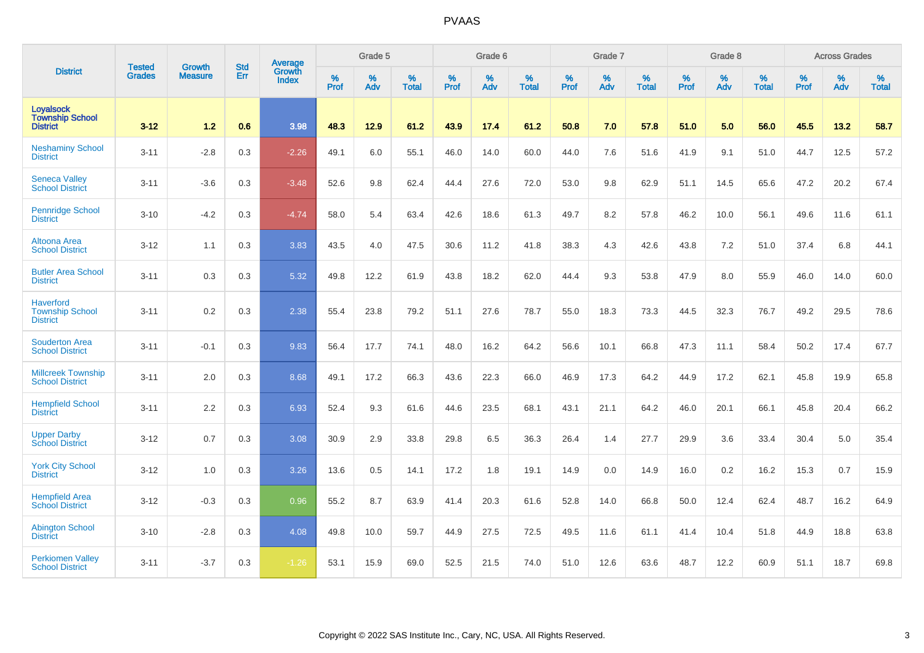|                                                               | <b>Tested</b> | <b>Growth</b>  | <b>Std</b> | Average                |           | Grade 5  |                   |           | Grade 6  |                   |           | Grade 7  |                   |           | Grade 8  |                   |           | <b>Across Grades</b> |                   |
|---------------------------------------------------------------|---------------|----------------|------------|------------------------|-----------|----------|-------------------|-----------|----------|-------------------|-----------|----------|-------------------|-----------|----------|-------------------|-----------|----------------------|-------------------|
| <b>District</b>                                               | <b>Grades</b> | <b>Measure</b> | Err        | Growth<br><b>Index</b> | %<br>Prof | %<br>Adv | %<br><b>Total</b> | %<br>Prof | %<br>Adv | %<br><b>Total</b> | %<br>Prof | %<br>Adv | %<br><b>Total</b> | %<br>Prof | %<br>Adv | %<br><b>Total</b> | %<br>Prof | %<br>Adv             | %<br><b>Total</b> |
| Loyalsock<br><b>Township School</b><br><b>District</b>        | $3 - 12$      | 1.2            | 0.6        | 3.98                   | 48.3      | 12.9     | 61.2              | 43.9      | 17.4     | 61.2              | 50.8      | 7.0      | 57.8              | 51.0      | 5.0      | 56.0              | 45.5      | 13.2                 | 58.7              |
| <b>Neshaminy School</b><br><b>District</b>                    | $3 - 11$      | $-2.8$         | 0.3        | $-2.26$                | 49.1      | 6.0      | 55.1              | 46.0      | 14.0     | 60.0              | 44.0      | 7.6      | 51.6              | 41.9      | 9.1      | 51.0              | 44.7      | 12.5                 | 57.2              |
| <b>Seneca Valley</b><br><b>School District</b>                | $3 - 11$      | $-3.6$         | 0.3        | $-3.48$                | 52.6      | 9.8      | 62.4              | 44.4      | 27.6     | 72.0              | 53.0      | 9.8      | 62.9              | 51.1      | 14.5     | 65.6              | 47.2      | 20.2                 | 67.4              |
| <b>Pennridge School</b><br><b>District</b>                    | $3 - 10$      | $-4.2$         | 0.3        | $-4.74$                | 58.0      | 5.4      | 63.4              | 42.6      | 18.6     | 61.3              | 49.7      | 8.2      | 57.8              | 46.2      | 10.0     | 56.1              | 49.6      | 11.6                 | 61.1              |
| Altoona Area<br><b>School District</b>                        | $3 - 12$      | 1.1            | 0.3        | 3.83                   | 43.5      | 4.0      | 47.5              | 30.6      | 11.2     | 41.8              | 38.3      | 4.3      | 42.6              | 43.8      | 7.2      | 51.0              | 37.4      | 6.8                  | 44.1              |
| <b>Butler Area School</b><br><b>District</b>                  | $3 - 11$      | 0.3            | 0.3        | 5.32                   | 49.8      | 12.2     | 61.9              | 43.8      | 18.2     | 62.0              | 44.4      | 9.3      | 53.8              | 47.9      | 8.0      | 55.9              | 46.0      | 14.0                 | 60.0              |
| <b>Haverford</b><br><b>Township School</b><br><b>District</b> | $3 - 11$      | 0.2            | 0.3        | 2.38                   | 55.4      | 23.8     | 79.2              | 51.1      | 27.6     | 78.7              | 55.0      | 18.3     | 73.3              | 44.5      | 32.3     | 76.7              | 49.2      | 29.5                 | 78.6              |
| <b>Souderton Area</b><br><b>School District</b>               | $3 - 11$      | $-0.1$         | 0.3        | 9.83                   | 56.4      | 17.7     | 74.1              | 48.0      | 16.2     | 64.2              | 56.6      | 10.1     | 66.8              | 47.3      | 11.1     | 58.4              | 50.2      | 17.4                 | 67.7              |
| <b>Millcreek Township</b><br><b>School District</b>           | $3 - 11$      | 2.0            | 0.3        | 8.68                   | 49.1      | 17.2     | 66.3              | 43.6      | 22.3     | 66.0              | 46.9      | 17.3     | 64.2              | 44.9      | 17.2     | 62.1              | 45.8      | 19.9                 | 65.8              |
| <b>Hempfield School</b><br><b>District</b>                    | $3 - 11$      | 2.2            | 0.3        | 6.93                   | 52.4      | 9.3      | 61.6              | 44.6      | 23.5     | 68.1              | 43.1      | 21.1     | 64.2              | 46.0      | 20.1     | 66.1              | 45.8      | 20.4                 | 66.2              |
| <b>Upper Darby</b><br><b>School District</b>                  | $3 - 12$      | 0.7            | 0.3        | 3.08                   | 30.9      | 2.9      | 33.8              | 29.8      | 6.5      | 36.3              | 26.4      | 1.4      | 27.7              | 29.9      | 3.6      | 33.4              | 30.4      | 5.0                  | 35.4              |
| <b>York City School</b><br><b>District</b>                    | $3 - 12$      | 1.0            | 0.3        | 3.26                   | 13.6      | 0.5      | 14.1              | 17.2      | 1.8      | 19.1              | 14.9      | 0.0      | 14.9              | 16.0      | 0.2      | 16.2              | 15.3      | 0.7                  | 15.9              |
| <b>Hempfield Area</b><br><b>School District</b>               | $3 - 12$      | $-0.3$         | 0.3        | 0.96                   | 55.2      | 8.7      | 63.9              | 41.4      | 20.3     | 61.6              | 52.8      | 14.0     | 66.8              | 50.0      | 12.4     | 62.4              | 48.7      | 16.2                 | 64.9              |
| <b>Abington School</b><br><b>District</b>                     | $3 - 10$      | $-2.8$         | 0.3        | 4.08                   | 49.8      | 10.0     | 59.7              | 44.9      | 27.5     | 72.5              | 49.5      | 11.6     | 61.1              | 41.4      | 10.4     | 51.8              | 44.9      | 18.8                 | 63.8              |
| <b>Perkiomen Valley</b><br><b>School District</b>             | $3 - 11$      | $-3.7$         | 0.3        | $-1.26$                | 53.1      | 15.9     | 69.0              | 52.5      | 21.5     | 74.0              | 51.0      | 12.6     | 63.6              | 48.7      | 12.2     | 60.9              | 51.1      | 18.7                 | 69.8              |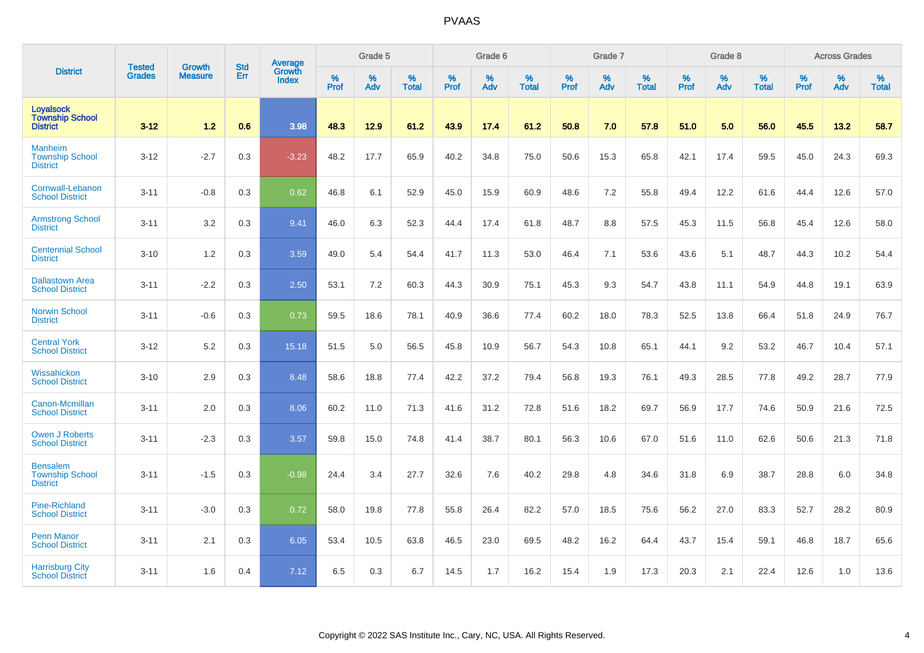|                                                               | <b>Tested</b> | <b>Growth</b>  | <b>Std</b> | Average                       |              | Grade 5  |                   |           | Grade 6  |                   |           | Grade 7  |                   |           | Grade 8  |                   |           | <b>Across Grades</b> |                   |
|---------------------------------------------------------------|---------------|----------------|------------|-------------------------------|--------------|----------|-------------------|-----------|----------|-------------------|-----------|----------|-------------------|-----------|----------|-------------------|-----------|----------------------|-------------------|
| <b>District</b>                                               | <b>Grades</b> | <b>Measure</b> | Err        | <b>Growth</b><br><b>Index</b> | $\%$<br>Prof | %<br>Adv | %<br><b>Total</b> | %<br>Prof | %<br>Adv | %<br><b>Total</b> | %<br>Prof | %<br>Adv | %<br><b>Total</b> | %<br>Prof | %<br>Adv | %<br><b>Total</b> | %<br>Prof | %<br>Adv             | %<br><b>Total</b> |
| <b>Loyalsock</b><br><b>Township School</b><br><b>District</b> | $3 - 12$      | 1.2            | 0.6        | 3.98                          | 48.3         | 12.9     | 61.2              | 43.9      | 17.4     | 61.2              | 50.8      | 7.0      | 57.8              | 51.0      | 5.0      | 56.0              | 45.5      | 13.2                 | 58.7              |
| <b>Manheim</b><br><b>Township School</b><br><b>District</b>   | $3 - 12$      | $-2.7$         | 0.3        | $-3.23$                       | 48.2         | 17.7     | 65.9              | 40.2      | 34.8     | 75.0              | 50.6      | 15.3     | 65.8              | 42.1      | 17.4     | 59.5              | 45.0      | 24.3                 | 69.3              |
| Cornwall-Lebanon<br><b>School District</b>                    | $3 - 11$      | $-0.8$         | 0.3        | 0.62                          | 46.8         | 6.1      | 52.9              | 45.0      | 15.9     | 60.9              | 48.6      | 7.2      | 55.8              | 49.4      | 12.2     | 61.6              | 44.4      | 12.6                 | 57.0              |
| <b>Armstrong School</b><br><b>District</b>                    | $3 - 11$      | 3.2            | 0.3        | 9.41                          | 46.0         | 6.3      | 52.3              | 44.4      | 17.4     | 61.8              | 48.7      | 8.8      | 57.5              | 45.3      | 11.5     | 56.8              | 45.4      | 12.6                 | 58.0              |
| <b>Centennial School</b><br><b>District</b>                   | $3 - 10$      | 1.2            | 0.3        | 3.59                          | 49.0         | 5.4      | 54.4              | 41.7      | 11.3     | 53.0              | 46.4      | 7.1      | 53.6              | 43.6      | 5.1      | 48.7              | 44.3      | 10.2                 | 54.4              |
| <b>Dallastown Area</b><br><b>School District</b>              | $3 - 11$      | $-2.2$         | 0.3        | 2.50                          | 53.1         | 7.2      | 60.3              | 44.3      | 30.9     | 75.1              | 45.3      | 9.3      | 54.7              | 43.8      | 11.1     | 54.9              | 44.8      | 19.1                 | 63.9              |
| <b>Norwin School</b><br><b>District</b>                       | $3 - 11$      | $-0.6$         | 0.3        | 0.73                          | 59.5         | 18.6     | 78.1              | 40.9      | 36.6     | 77.4              | 60.2      | 18.0     | 78.3              | 52.5      | 13.8     | 66.4              | 51.8      | 24.9                 | 76.7              |
| <b>Central York</b><br><b>School District</b>                 | $3 - 12$      | 5.2            | 0.3        | 15.18                         | 51.5         | 5.0      | 56.5              | 45.8      | 10.9     | 56.7              | 54.3      | 10.8     | 65.1              | 44.1      | 9.2      | 53.2              | 46.7      | 10.4                 | 57.1              |
| Wissahickon<br><b>School District</b>                         | $3 - 10$      | 2.9            | 0.3        | 8.48                          | 58.6         | 18.8     | 77.4              | 42.2      | 37.2     | 79.4              | 56.8      | 19.3     | 76.1              | 49.3      | 28.5     | 77.8              | 49.2      | 28.7                 | 77.9              |
| Canon-Mcmillan<br><b>School District</b>                      | $3 - 11$      | 2.0            | 0.3        | 8.06                          | 60.2         | 11.0     | 71.3              | 41.6      | 31.2     | 72.8              | 51.6      | 18.2     | 69.7              | 56.9      | 17.7     | 74.6              | 50.9      | 21.6                 | 72.5              |
| <b>Owen J Roberts</b><br><b>School District</b>               | $3 - 11$      | $-2.3$         | 0.3        | 3.57                          | 59.8         | 15.0     | 74.8              | 41.4      | 38.7     | 80.1              | 56.3      | 10.6     | 67.0              | 51.6      | 11.0     | 62.6              | 50.6      | 21.3                 | 71.8              |
| <b>Bensalem</b><br><b>Township School</b><br><b>District</b>  | $3 - 11$      | $-1.5$         | 0.3        | $-0.98$                       | 24.4         | 3.4      | 27.7              | 32.6      | 7.6      | 40.2              | 29.8      | 4.8      | 34.6              | 31.8      | 6.9      | 38.7              | 28.8      | 6.0                  | 34.8              |
| <b>Pine-Richland</b><br><b>School District</b>                | $3 - 11$      | $-3.0$         | 0.3        | 0.72                          | 58.0         | 19.8     | 77.8              | 55.8      | 26.4     | 82.2              | 57.0      | 18.5     | 75.6              | 56.2      | 27.0     | 83.3              | 52.7      | 28.2                 | 80.9              |
| <b>Penn Manor</b><br><b>School District</b>                   | $3 - 11$      | 2.1            | 0.3        | 6.05                          | 53.4         | 10.5     | 63.8              | 46.5      | 23.0     | 69.5              | 48.2      | 16.2     | 64.4              | 43.7      | 15.4     | 59.1              | 46.8      | 18.7                 | 65.6              |
| <b>Harrisburg City</b><br><b>School District</b>              | $3 - 11$      | 1.6            | 0.4        | 7.12                          | 6.5          | 0.3      | 6.7               | 14.5      | 1.7      | 16.2              | 15.4      | 1.9      | 17.3              | 20.3      | 2.1      | 22.4              | 12.6      | 1.0                  | 13.6              |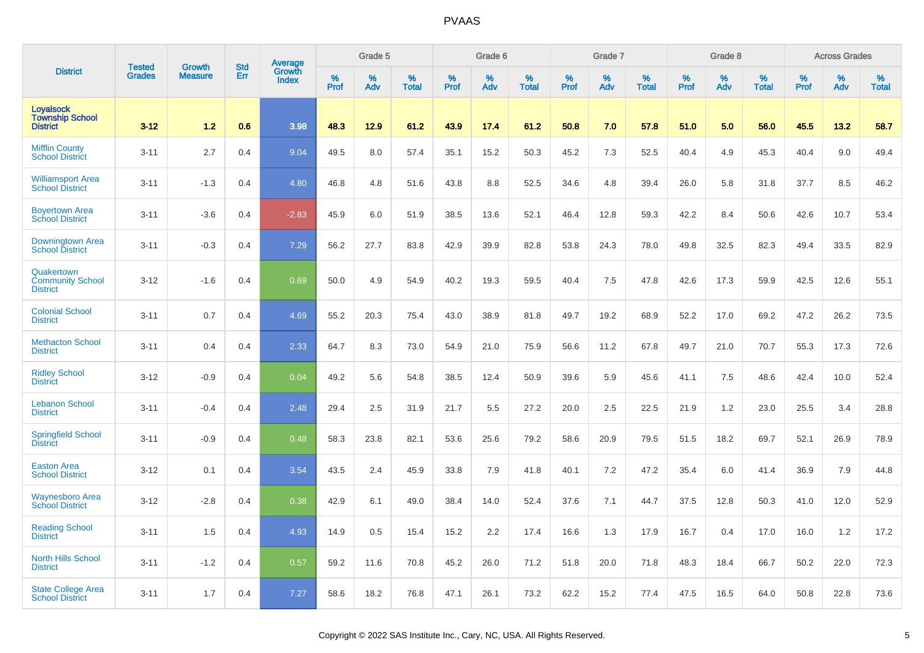|                                                               | <b>Tested</b> | <b>Growth</b>  | <b>Std</b> |                                   |                     | Grade 5  |                   |           | Grade 6  |                   |              | Grade 7  |                   |           | Grade 8     |                   |                  | <b>Across Grades</b> |                   |
|---------------------------------------------------------------|---------------|----------------|------------|-----------------------------------|---------------------|----------|-------------------|-----------|----------|-------------------|--------------|----------|-------------------|-----------|-------------|-------------------|------------------|----------------------|-------------------|
| <b>District</b>                                               | <b>Grades</b> | <b>Measure</b> | Err        | Average<br>Growth<br><b>Index</b> | $\%$<br><b>Prof</b> | %<br>Adv | %<br><b>Total</b> | %<br>Prof | %<br>Adv | %<br><b>Total</b> | $\%$<br>Prof | %<br>Adv | %<br><b>Total</b> | %<br>Prof | $\%$<br>Adv | %<br><b>Total</b> | %<br><b>Prof</b> | %<br>Adv             | %<br><b>Total</b> |
| <b>Loyalsock</b><br><b>Township School</b><br><b>District</b> | $3 - 12$      | 1.2            | 0.6        | 3.98                              | 48.3                | 12.9     | 61.2              | 43.9      | 17.4     | 61.2              | 50.8         | 7.0      | 57.8              | 51.0      | 5.0         | 56.0              | 45.5             | 13.2                 | 58.7              |
| <b>Mifflin County</b><br><b>School District</b>               | $3 - 11$      | 2.7            | 0.4        | 9.04                              | 49.5                | 8.0      | 57.4              | 35.1      | 15.2     | 50.3              | 45.2         | 7.3      | 52.5              | 40.4      | 4.9         | 45.3              | 40.4             | 9.0                  | 49.4              |
| <b>Williamsport Area</b><br><b>School District</b>            | $3 - 11$      | $-1.3$         | 0.4        | 4.80                              | 46.8                | 4.8      | 51.6              | 43.8      | 8.8      | 52.5              | 34.6         | 4.8      | 39.4              | 26.0      | 5.8         | 31.8              | 37.7             | 8.5                  | 46.2              |
| <b>Boyertown Area</b><br><b>School District</b>               | $3 - 11$      | $-3.6$         | 0.4        | $-2.83$                           | 45.9                | 6.0      | 51.9              | 38.5      | 13.6     | 52.1              | 46.4         | 12.8     | 59.3              | 42.2      | 8.4         | 50.6              | 42.6             | 10.7                 | 53.4              |
| Downingtown Area<br><b>School District</b>                    | $3 - 11$      | $-0.3$         | 0.4        | 7.29                              | 56.2                | 27.7     | 83.8              | 42.9      | 39.9     | 82.8              | 53.8         | 24.3     | 78.0              | 49.8      | 32.5        | 82.3              | 49.4             | 33.5                 | 82.9              |
| Quakertown<br><b>Community School</b><br><b>District</b>      | $3 - 12$      | $-1.6$         | 0.4        | 0.69                              | 50.0                | 4.9      | 54.9              | 40.2      | 19.3     | 59.5              | 40.4         | 7.5      | 47.8              | 42.6      | 17.3        | 59.9              | 42.5             | 12.6                 | 55.1              |
| <b>Colonial School</b><br><b>District</b>                     | $3 - 11$      | 0.7            | 0.4        | 4.69                              | 55.2                | 20.3     | 75.4              | 43.0      | 38.9     | 81.8              | 49.7         | 19.2     | 68.9              | 52.2      | 17.0        | 69.2              | 47.2             | 26.2                 | 73.5              |
| <b>Methacton School</b><br><b>District</b>                    | $3 - 11$      | 0.4            | 0.4        | 2.33                              | 64.7                | 8.3      | 73.0              | 54.9      | 21.0     | 75.9              | 56.6         | 11.2     | 67.8              | 49.7      | 21.0        | 70.7              | 55.3             | 17.3                 | 72.6              |
| <b>Ridley School</b><br><b>District</b>                       | $3 - 12$      | $-0.9$         | 0.4        | 0.04                              | 49.2                | 5.6      | 54.8              | 38.5      | 12.4     | 50.9              | 39.6         | 5.9      | 45.6              | 41.1      | 7.5         | 48.6              | 42.4             | 10.0                 | 52.4              |
| <b>Lebanon School</b><br><b>District</b>                      | $3 - 11$      | $-0.4$         | 0.4        | 2.48                              | 29.4                | 2.5      | 31.9              | 21.7      | 5.5      | 27.2              | 20.0         | 2.5      | 22.5              | 21.9      | 1.2         | 23.0              | 25.5             | 3.4                  | 28.8              |
| <b>Springfield School</b><br><b>District</b>                  | $3 - 11$      | $-0.9$         | 0.4        | 0.48                              | 58.3                | 23.8     | 82.1              | 53.6      | 25.6     | 79.2              | 58.6         | 20.9     | 79.5              | 51.5      | 18.2        | 69.7              | 52.1             | 26.9                 | 78.9              |
| <b>Easton Area</b><br><b>School District</b>                  | $3 - 12$      | 0.1            | 0.4        | 3.54                              | 43.5                | 2.4      | 45.9              | 33.8      | 7.9      | 41.8              | 40.1         | 7.2      | 47.2              | 35.4      | 6.0         | 41.4              | 36.9             | 7.9                  | 44.8              |
| <b>Waynesboro Area</b><br><b>School District</b>              | $3 - 12$      | $-2.8$         | 0.4        | 0.38                              | 42.9                | 6.1      | 49.0              | 38.4      | 14.0     | 52.4              | 37.6         | 7.1      | 44.7              | 37.5      | 12.8        | 50.3              | 41.0             | 12.0                 | 52.9              |
| <b>Reading School</b><br><b>District</b>                      | $3 - 11$      | 1.5            | 0.4        | 4.93                              | 14.9                | 0.5      | 15.4              | 15.2      | 2.2      | 17.4              | 16.6         | 1.3      | 17.9              | 16.7      | 0.4         | 17.0              | 16.0             | 1.2                  | 17.2              |
| <b>North Hills School</b><br><b>District</b>                  | $3 - 11$      | $-1.2$         | 0.4        | 0.57                              | 59.2                | 11.6     | 70.8              | 45.2      | 26.0     | 71.2              | 51.8         | 20.0     | 71.8              | 48.3      | 18.4        | 66.7              | 50.2             | 22.0                 | 72.3              |
| <b>State College Area</b><br><b>School District</b>           | $3 - 11$      | 1.7            | 0.4        | 7.27                              | 58.6                | 18.2     | 76.8              | 47.1      | 26.1     | 73.2              | 62.2         | 15.2     | 77.4              | 47.5      | 16.5        | 64.0              | 50.8             | 22.8                 | 73.6              |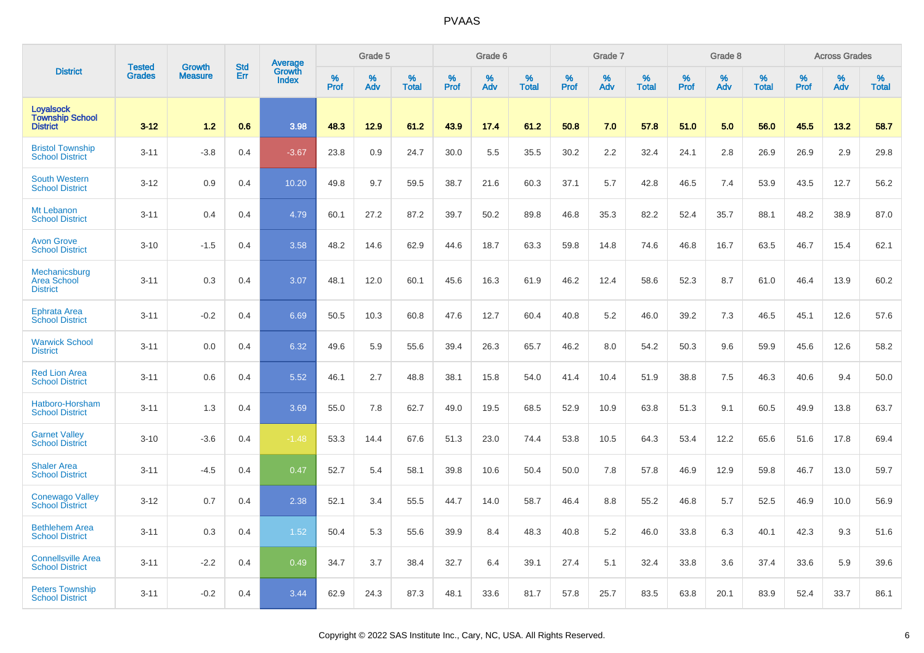|                                                               | <b>Tested</b> | <b>Growth</b>  | <b>Std</b> |                                   |              | Grade 5  |                   |           | Grade 6  |                   |           | Grade 7  |                   |           | Grade 8  |                   |                  | <b>Across Grades</b> |                   |
|---------------------------------------------------------------|---------------|----------------|------------|-----------------------------------|--------------|----------|-------------------|-----------|----------|-------------------|-----------|----------|-------------------|-----------|----------|-------------------|------------------|----------------------|-------------------|
| <b>District</b>                                               | <b>Grades</b> | <b>Measure</b> | Err        | Average<br>Growth<br><b>Index</b> | $\%$<br>Prof | %<br>Adv | %<br><b>Total</b> | %<br>Prof | %<br>Adv | %<br><b>Total</b> | %<br>Prof | %<br>Adv | %<br><b>Total</b> | %<br>Prof | %<br>Adv | %<br><b>Total</b> | %<br><b>Prof</b> | %<br>Adv             | %<br><b>Total</b> |
| <b>Loyalsock</b><br><b>Township School</b><br><b>District</b> | $3 - 12$      | 1.2            | 0.6        | 3.98                              | 48.3         | 12.9     | 61.2              | 43.9      | 17.4     | 61.2              | 50.8      | 7.0      | 57.8              | 51.0      | 5.0      | 56.0              | 45.5             | 13.2                 | 58.7              |
| <b>Bristol Township</b><br><b>School District</b>             | $3 - 11$      | $-3.8$         | 0.4        | $-3.67$                           | 23.8         | 0.9      | 24.7              | 30.0      | 5.5      | 35.5              | 30.2      | 2.2      | 32.4              | 24.1      | 2.8      | 26.9              | 26.9             | 2.9                  | 29.8              |
| <b>South Western</b><br><b>School District</b>                | $3 - 12$      | 0.9            | 0.4        | 10.20                             | 49.8         | 9.7      | 59.5              | 38.7      | 21.6     | 60.3              | 37.1      | 5.7      | 42.8              | 46.5      | 7.4      | 53.9              | 43.5             | 12.7                 | 56.2              |
| Mt Lebanon<br><b>School District</b>                          | $3 - 11$      | 0.4            | 0.4        | 4.79                              | 60.1         | 27.2     | 87.2              | 39.7      | 50.2     | 89.8              | 46.8      | 35.3     | 82.2              | 52.4      | 35.7     | 88.1              | 48.2             | 38.9                 | 87.0              |
| <b>Avon Grove</b><br><b>School District</b>                   | $3 - 10$      | $-1.5$         | 0.4        | 3.58                              | 48.2         | 14.6     | 62.9              | 44.6      | 18.7     | 63.3              | 59.8      | 14.8     | 74.6              | 46.8      | 16.7     | 63.5              | 46.7             | 15.4                 | 62.1              |
| Mechanicsburg<br><b>Area School</b><br><b>District</b>        | $3 - 11$      | 0.3            | 0.4        | 3.07                              | 48.1         | 12.0     | 60.1              | 45.6      | 16.3     | 61.9              | 46.2      | 12.4     | 58.6              | 52.3      | 8.7      | 61.0              | 46.4             | 13.9                 | 60.2              |
| <b>Ephrata Area</b><br><b>School District</b>                 | $3 - 11$      | $-0.2$         | 0.4        | 6.69                              | 50.5         | 10.3     | 60.8              | 47.6      | 12.7     | 60.4              | 40.8      | 5.2      | 46.0              | 39.2      | 7.3      | 46.5              | 45.1             | 12.6                 | 57.6              |
| <b>Warwick School</b><br><b>District</b>                      | $3 - 11$      | 0.0            | 0.4        | 6.32                              | 49.6         | 5.9      | 55.6              | 39.4      | 26.3     | 65.7              | 46.2      | 8.0      | 54.2              | 50.3      | 9.6      | 59.9              | 45.6             | 12.6                 | 58.2              |
| <b>Red Lion Area</b><br><b>School District</b>                | $3 - 11$      | 0.6            | 0.4        | 5.52                              | 46.1         | 2.7      | 48.8              | 38.1      | 15.8     | 54.0              | 41.4      | 10.4     | 51.9              | 38.8      | 7.5      | 46.3              | 40.6             | 9.4                  | 50.0              |
| Hatboro-Horsham<br><b>School District</b>                     | $3 - 11$      | 1.3            | 0.4        | 3.69                              | 55.0         | 7.8      | 62.7              | 49.0      | 19.5     | 68.5              | 52.9      | 10.9     | 63.8              | 51.3      | 9.1      | 60.5              | 49.9             | 13.8                 | 63.7              |
| <b>Garnet Valley</b><br><b>School District</b>                | $3 - 10$      | $-3.6$         | 0.4        | $-1.48$                           | 53.3         | 14.4     | 67.6              | 51.3      | 23.0     | 74.4              | 53.8      | 10.5     | 64.3              | 53.4      | 12.2     | 65.6              | 51.6             | 17.8                 | 69.4              |
| <b>Shaler Area</b><br><b>School District</b>                  | $3 - 11$      | $-4.5$         | 0.4        | 0.47                              | 52.7         | 5.4      | 58.1              | 39.8      | 10.6     | 50.4              | 50.0      | 7.8      | 57.8              | 46.9      | 12.9     | 59.8              | 46.7             | 13.0                 | 59.7              |
| <b>Conewago Valley</b><br><b>School District</b>              | $3 - 12$      | 0.7            | 0.4        | 2.38                              | 52.1         | 3.4      | 55.5              | 44.7      | 14.0     | 58.7              | 46.4      | 8.8      | 55.2              | 46.8      | 5.7      | 52.5              | 46.9             | 10.0                 | 56.9              |
| <b>Bethlehem Area</b><br><b>School District</b>               | $3 - 11$      | 0.3            | 0.4        | 1.52                              | 50.4         | 5.3      | 55.6              | 39.9      | 8.4      | 48.3              | 40.8      | 5.2      | 46.0              | 33.8      | 6.3      | 40.1              | 42.3             | 9.3                  | 51.6              |
| <b>Connellsville Area</b><br><b>School District</b>           | $3 - 11$      | $-2.2$         | 0.4        | 0.49                              | 34.7         | 3.7      | 38.4              | 32.7      | 6.4      | 39.1              | 27.4      | 5.1      | 32.4              | 33.8      | 3.6      | 37.4              | 33.6             | 5.9                  | 39.6              |
| <b>Peters Township</b><br><b>School District</b>              | $3 - 11$      | $-0.2$         | 0.4        | 3.44                              | 62.9         | 24.3     | 87.3              | 48.1      | 33.6     | 81.7              | 57.8      | 25.7     | 83.5              | 63.8      | 20.1     | 83.9              | 52.4             | 33.7                 | 86.1              |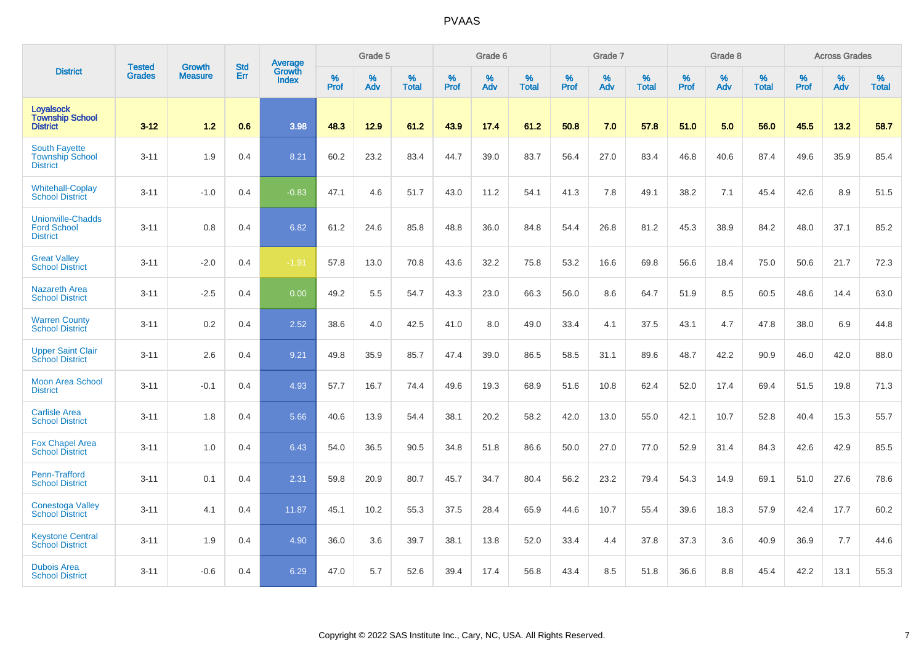|                                                                   | <b>Tested</b> | <b>Growth</b>  | <b>Std</b> | Average                |           | Grade 5  |                   |           | Grade 6  |                   |           | Grade 7  |                   |           | Grade 8  |                   |           | <b>Across Grades</b> |                   |
|-------------------------------------------------------------------|---------------|----------------|------------|------------------------|-----------|----------|-------------------|-----------|----------|-------------------|-----------|----------|-------------------|-----------|----------|-------------------|-----------|----------------------|-------------------|
| <b>District</b>                                                   | <b>Grades</b> | <b>Measure</b> | Err        | <b>Growth</b><br>Index | %<br>Prof | %<br>Adv | %<br><b>Total</b> | %<br>Prof | %<br>Adv | %<br><b>Total</b> | %<br>Prof | %<br>Adv | %<br><b>Total</b> | %<br>Prof | %<br>Adv | %<br><b>Total</b> | %<br>Prof | %<br>Adv             | %<br><b>Total</b> |
| <b>Loyalsock</b><br><b>Township School</b><br><b>District</b>     | $3 - 12$      | $1.2$          | 0.6        | 3.98                   | 48.3      | 12.9     | 61.2              | 43.9      | 17.4     | 61.2              | 50.8      | 7.0      | 57.8              | 51.0      | 5.0      | 56.0              | 45.5      | 13.2                 | 58.7              |
| <b>South Fayette</b><br><b>Township School</b><br><b>District</b> | $3 - 11$      | 1.9            | 0.4        | 8.21                   | 60.2      | 23.2     | 83.4              | 44.7      | 39.0     | 83.7              | 56.4      | 27.0     | 83.4              | 46.8      | 40.6     | 87.4              | 49.6      | 35.9                 | 85.4              |
| <b>Whitehall-Coplay</b><br><b>School District</b>                 | $3 - 11$      | $-1.0$         | 0.4        | $-0.83$                | 47.1      | 4.6      | 51.7              | 43.0      | 11.2     | 54.1              | 41.3      | 7.8      | 49.1              | 38.2      | 7.1      | 45.4              | 42.6      | 8.9                  | 51.5              |
| <b>Unionville-Chadds</b><br><b>Ford School</b><br><b>District</b> | $3 - 11$      | 0.8            | 0.4        | 6.82                   | 61.2      | 24.6     | 85.8              | 48.8      | 36.0     | 84.8              | 54.4      | 26.8     | 81.2              | 45.3      | 38.9     | 84.2              | 48.0      | 37.1                 | 85.2              |
| <b>Great Valley</b><br><b>School District</b>                     | $3 - 11$      | $-2.0$         | 0.4        | $-1.91$                | 57.8      | 13.0     | 70.8              | 43.6      | 32.2     | 75.8              | 53.2      | 16.6     | 69.8              | 56.6      | 18.4     | 75.0              | 50.6      | 21.7                 | 72.3              |
| <b>Nazareth Area</b><br><b>School District</b>                    | $3 - 11$      | $-2.5$         | 0.4        | 0.00                   | 49.2      | 5.5      | 54.7              | 43.3      | 23.0     | 66.3              | 56.0      | 8.6      | 64.7              | 51.9      | 8.5      | 60.5              | 48.6      | 14.4                 | 63.0              |
| <b>Warren County</b><br><b>School District</b>                    | $3 - 11$      | 0.2            | 0.4        | 2.52                   | 38.6      | 4.0      | 42.5              | 41.0      | 8.0      | 49.0              | 33.4      | 4.1      | 37.5              | 43.1      | 4.7      | 47.8              | 38.0      | 6.9                  | 44.8              |
| <b>Upper Saint Clair</b><br><b>School District</b>                | $3 - 11$      | 2.6            | 0.4        | 9.21                   | 49.8      | 35.9     | 85.7              | 47.4      | 39.0     | 86.5              | 58.5      | 31.1     | 89.6              | 48.7      | 42.2     | 90.9              | 46.0      | 42.0                 | 88.0              |
| <b>Moon Area School</b><br><b>District</b>                        | $3 - 11$      | $-0.1$         | 0.4        | 4.93                   | 57.7      | 16.7     | 74.4              | 49.6      | 19.3     | 68.9              | 51.6      | 10.8     | 62.4              | 52.0      | 17.4     | 69.4              | 51.5      | 19.8                 | 71.3              |
| <b>Carlisle Area</b><br><b>School District</b>                    | $3 - 11$      | 1.8            | 0.4        | 5.66                   | 40.6      | 13.9     | 54.4              | 38.1      | 20.2     | 58.2              | 42.0      | 13.0     | 55.0              | 42.1      | 10.7     | 52.8              | 40.4      | 15.3                 | 55.7              |
| <b>Fox Chapel Area</b><br><b>School District</b>                  | $3 - 11$      | 1.0            | 0.4        | 6.43                   | 54.0      | 36.5     | 90.5              | 34.8      | 51.8     | 86.6              | 50.0      | 27.0     | 77.0              | 52.9      | 31.4     | 84.3              | 42.6      | 42.9                 | 85.5              |
| Penn-Trafford<br><b>School District</b>                           | $3 - 11$      | 0.1            | 0.4        | 2.31                   | 59.8      | 20.9     | 80.7              | 45.7      | 34.7     | 80.4              | 56.2      | 23.2     | 79.4              | 54.3      | 14.9     | 69.1              | 51.0      | 27.6                 | 78.6              |
| <b>Conestoga Valley</b><br><b>School District</b>                 | $3 - 11$      | 4.1            | 0.4        | 11.87                  | 45.1      | 10.2     | 55.3              | 37.5      | 28.4     | 65.9              | 44.6      | 10.7     | 55.4              | 39.6      | 18.3     | 57.9              | 42.4      | 17.7                 | 60.2              |
| <b>Keystone Central</b><br><b>School District</b>                 | $3 - 11$      | 1.9            | 0.4        | 4.90                   | 36.0      | 3.6      | 39.7              | 38.1      | 13.8     | 52.0              | 33.4      | 4.4      | 37.8              | 37.3      | 3.6      | 40.9              | 36.9      | 7.7                  | 44.6              |
| <b>Dubois Area</b><br><b>School District</b>                      | $3 - 11$      | $-0.6$         | 0.4        | 6.29                   | 47.0      | 5.7      | 52.6              | 39.4      | 17.4     | 56.8              | 43.4      | 8.5      | 51.8              | 36.6      | 8.8      | 45.4              | 42.2      | 13.1                 | 55.3              |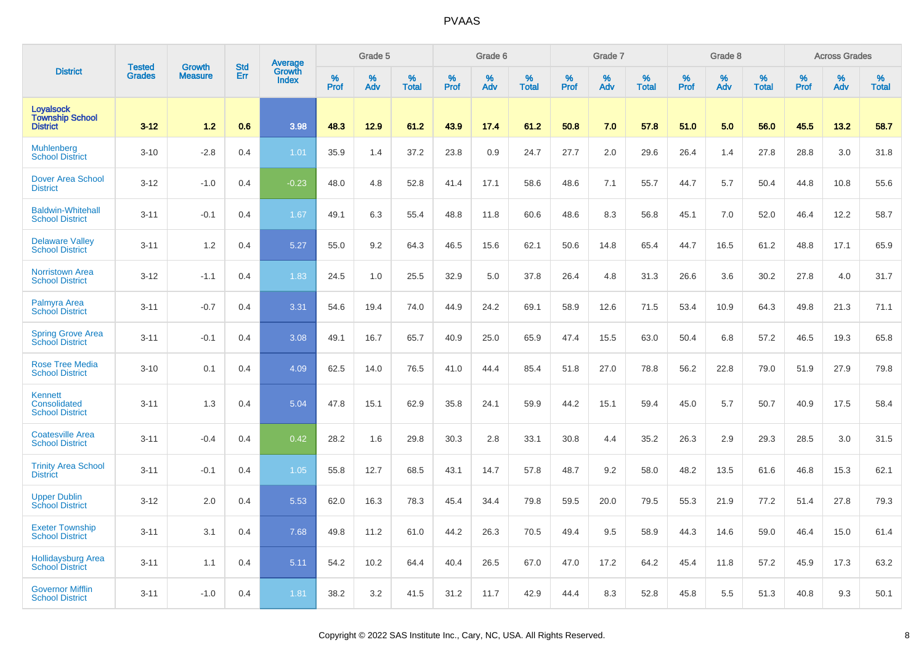|                                                               | <b>Tested</b> | <b>Growth</b>  | <b>Std</b> | Average         |           | Grade 5  |                   |           | Grade 6  |                   |           | Grade 7  |                   |           | Grade 8  |                   |           | <b>Across Grades</b> |                   |
|---------------------------------------------------------------|---------------|----------------|------------|-----------------|-----------|----------|-------------------|-----------|----------|-------------------|-----------|----------|-------------------|-----------|----------|-------------------|-----------|----------------------|-------------------|
| <b>District</b>                                               | <b>Grades</b> | <b>Measure</b> | Err        | Growth<br>Index | %<br>Prof | %<br>Adv | %<br><b>Total</b> | %<br>Prof | %<br>Adv | %<br><b>Total</b> | %<br>Prof | %<br>Adv | %<br><b>Total</b> | %<br>Prof | %<br>Adv | %<br><b>Total</b> | %<br>Prof | %<br>Adv             | %<br><b>Total</b> |
| <b>Loyalsock</b><br><b>Township School</b><br><b>District</b> | $3 - 12$      | $1.2$          | 0.6        | 3.98            | 48.3      | 12.9     | 61.2              | 43.9      | 17.4     | 61.2              | 50.8      | 7.0      | 57.8              | 51.0      | 5.0      | 56.0              | 45.5      | 13.2                 | 58.7              |
| <b>Muhlenberg</b><br><b>School District</b>                   | $3 - 10$      | $-2.8$         | 0.4        | 1.01            | 35.9      | 1.4      | 37.2              | 23.8      | 0.9      | 24.7              | 27.7      | 2.0      | 29.6              | 26.4      | 1.4      | 27.8              | 28.8      | 3.0                  | 31.8              |
| <b>Dover Area School</b><br><b>District</b>                   | $3 - 12$      | $-1.0$         | 0.4        | $-0.23$         | 48.0      | 4.8      | 52.8              | 41.4      | 17.1     | 58.6              | 48.6      | 7.1      | 55.7              | 44.7      | 5.7      | 50.4              | 44.8      | 10.8                 | 55.6              |
| <b>Baldwin-Whitehall</b><br><b>School District</b>            | $3 - 11$      | $-0.1$         | 0.4        | 1.67            | 49.1      | 6.3      | 55.4              | 48.8      | 11.8     | 60.6              | 48.6      | 8.3      | 56.8              | 45.1      | 7.0      | 52.0              | 46.4      | 12.2                 | 58.7              |
| <b>Delaware Valley</b><br><b>School District</b>              | $3 - 11$      | 1.2            | 0.4        | 5.27            | 55.0      | 9.2      | 64.3              | 46.5      | 15.6     | 62.1              | 50.6      | 14.8     | 65.4              | 44.7      | 16.5     | 61.2              | 48.8      | 17.1                 | 65.9              |
| <b>Norristown Area</b><br><b>School District</b>              | $3 - 12$      | $-1.1$         | 0.4        | 1.83            | 24.5      | 1.0      | 25.5              | 32.9      | 5.0      | 37.8              | 26.4      | 4.8      | 31.3              | 26.6      | 3.6      | 30.2              | 27.8      | 4.0                  | 31.7              |
| Palmyra Area<br><b>School District</b>                        | $3 - 11$      | $-0.7$         | 0.4        | 3.31            | 54.6      | 19.4     | 74.0              | 44.9      | 24.2     | 69.1              | 58.9      | 12.6     | 71.5              | 53.4      | 10.9     | 64.3              | 49.8      | 21.3                 | 71.1              |
| <b>Spring Grove Area</b><br><b>School District</b>            | $3 - 11$      | $-0.1$         | 0.4        | 3.08            | 49.1      | 16.7     | 65.7              | 40.9      | 25.0     | 65.9              | 47.4      | 15.5     | 63.0              | 50.4      | 6.8      | 57.2              | 46.5      | 19.3                 | 65.8              |
| <b>Rose Tree Media</b><br><b>School District</b>              | $3 - 10$      | 0.1            | 0.4        | 4.09            | 62.5      | 14.0     | 76.5              | 41.0      | 44.4     | 85.4              | 51.8      | 27.0     | 78.8              | 56.2      | 22.8     | 79.0              | 51.9      | 27.9                 | 79.8              |
| <b>Kennett</b><br>Consolidated<br><b>School District</b>      | $3 - 11$      | 1.3            | 0.4        | 5.04            | 47.8      | 15.1     | 62.9              | 35.8      | 24.1     | 59.9              | 44.2      | 15.1     | 59.4              | 45.0      | 5.7      | 50.7              | 40.9      | 17.5                 | 58.4              |
| <b>Coatesville Area</b><br><b>School District</b>             | $3 - 11$      | $-0.4$         | 0.4        | 0.42            | 28.2      | 1.6      | 29.8              | 30.3      | 2.8      | 33.1              | 30.8      | 4.4      | 35.2              | 26.3      | 2.9      | 29.3              | 28.5      | 3.0                  | 31.5              |
| <b>Trinity Area School</b><br><b>District</b>                 | $3 - 11$      | $-0.1$         | 0.4        | 1.05            | 55.8      | 12.7     | 68.5              | 43.1      | 14.7     | 57.8              | 48.7      | 9.2      | 58.0              | 48.2      | 13.5     | 61.6              | 46.8      | 15.3                 | 62.1              |
| <b>Upper Dublin</b><br><b>School District</b>                 | $3 - 12$      | 2.0            | 0.4        | 5.53            | 62.0      | 16.3     | 78.3              | 45.4      | 34.4     | 79.8              | 59.5      | 20.0     | 79.5              | 55.3      | 21.9     | 77.2              | 51.4      | 27.8                 | 79.3              |
| <b>Exeter Township</b><br><b>School District</b>              | $3 - 11$      | 3.1            | 0.4        | 7.68            | 49.8      | 11.2     | 61.0              | 44.2      | 26.3     | 70.5              | 49.4      | 9.5      | 58.9              | 44.3      | 14.6     | 59.0              | 46.4      | 15.0                 | 61.4              |
| <b>Hollidaysburg Area</b><br><b>School District</b>           | $3 - 11$      | 1.1            | 0.4        | 5.11            | 54.2      | 10.2     | 64.4              | 40.4      | 26.5     | 67.0              | 47.0      | 17.2     | 64.2              | 45.4      | 11.8     | 57.2              | 45.9      | 17.3                 | 63.2              |
| <b>Governor Mifflin</b><br><b>School District</b>             | $3 - 11$      | $-1.0$         | 0.4        | 1.81            | 38.2      | 3.2      | 41.5              | 31.2      | 11.7     | 42.9              | 44.4      | 8.3      | 52.8              | 45.8      | 5.5      | 51.3              | 40.8      | 9.3                  | 50.1              |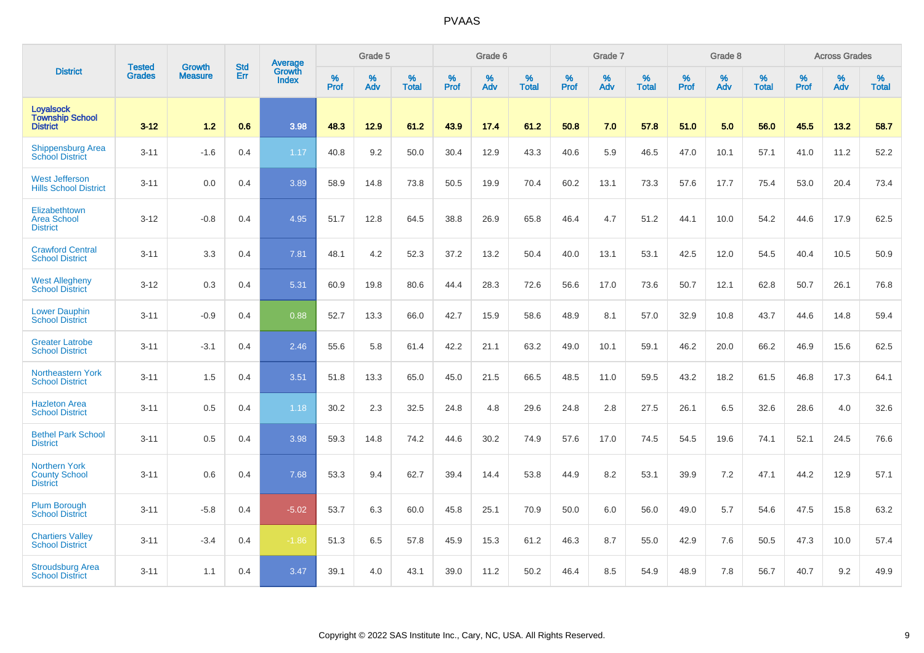| <b>District</b>                                                 | <b>Tested</b> | <b>Growth</b>  | <b>Std</b> | Average                       |           | Grade 5  |                   |           | Grade 6  |                   |           | Grade 7  |                   |           | Grade 8  |                   |           | <b>Across Grades</b> |                   |
|-----------------------------------------------------------------|---------------|----------------|------------|-------------------------------|-----------|----------|-------------------|-----------|----------|-------------------|-----------|----------|-------------------|-----------|----------|-------------------|-----------|----------------------|-------------------|
|                                                                 | <b>Grades</b> | <b>Measure</b> | Err        | <b>Growth</b><br><b>Index</b> | %<br>Prof | %<br>Adv | %<br><b>Total</b> | %<br>Prof | %<br>Adv | %<br><b>Total</b> | %<br>Prof | %<br>Adv | %<br><b>Total</b> | %<br>Prof | %<br>Adv | %<br><b>Total</b> | %<br>Prof | %<br>Adv             | %<br><b>Total</b> |
| <b>Loyalsock</b><br><b>Township School</b><br><b>District</b>   | $3 - 12$      | 1.2            | 0.6        | 3.98                          | 48.3      | 12.9     | 61.2              | 43.9      | 17.4     | 61.2              | 50.8      | 7.0      | 57.8              | 51.0      | 5.0      | 56.0              | 45.5      | 13.2                 | 58.7              |
| <b>Shippensburg Area</b><br><b>School District</b>              | $3 - 11$      | $-1.6$         | 0.4        | 1.17                          | 40.8      | 9.2      | 50.0              | 30.4      | 12.9     | 43.3              | 40.6      | 5.9      | 46.5              | 47.0      | 10.1     | 57.1              | 41.0      | 11.2                 | 52.2              |
| <b>West Jefferson</b><br><b>Hills School District</b>           | $3 - 11$      | 0.0            | 0.4        | 3.89                          | 58.9      | 14.8     | 73.8              | 50.5      | 19.9     | 70.4              | 60.2      | 13.1     | 73.3              | 57.6      | 17.7     | 75.4              | 53.0      | 20.4                 | 73.4              |
| Elizabethtown<br><b>Area School</b><br><b>District</b>          | $3 - 12$      | $-0.8$         | 0.4        | 4.95                          | 51.7      | 12.8     | 64.5              | 38.8      | 26.9     | 65.8              | 46.4      | 4.7      | 51.2              | 44.1      | 10.0     | 54.2              | 44.6      | 17.9                 | 62.5              |
| <b>Crawford Central</b><br><b>School District</b>               | $3 - 11$      | 3.3            | 0.4        | 7.81                          | 48.1      | 4.2      | 52.3              | 37.2      | 13.2     | 50.4              | 40.0      | 13.1     | 53.1              | 42.5      | 12.0     | 54.5              | 40.4      | 10.5                 | 50.9              |
| <b>West Allegheny</b><br><b>School District</b>                 | $3 - 12$      | 0.3            | 0.4        | 5.31                          | 60.9      | 19.8     | 80.6              | 44.4      | 28.3     | 72.6              | 56.6      | 17.0     | 73.6              | 50.7      | 12.1     | 62.8              | 50.7      | 26.1                 | 76.8              |
| <b>Lower Dauphin</b><br><b>School District</b>                  | $3 - 11$      | $-0.9$         | 0.4        | 0.88                          | 52.7      | 13.3     | 66.0              | 42.7      | 15.9     | 58.6              | 48.9      | 8.1      | 57.0              | 32.9      | 10.8     | 43.7              | 44.6      | 14.8                 | 59.4              |
| <b>Greater Latrobe</b><br><b>School District</b>                | $3 - 11$      | $-3.1$         | 0.4        | 2.46                          | 55.6      | 5.8      | 61.4              | 42.2      | 21.1     | 63.2              | 49.0      | 10.1     | 59.1              | 46.2      | 20.0     | 66.2              | 46.9      | 15.6                 | 62.5              |
| Northeastern York<br><b>School District</b>                     | $3 - 11$      | 1.5            | 0.4        | 3.51                          | 51.8      | 13.3     | 65.0              | 45.0      | 21.5     | 66.5              | 48.5      | 11.0     | 59.5              | 43.2      | 18.2     | 61.5              | 46.8      | 17.3                 | 64.1              |
| <b>Hazleton Area</b><br><b>School District</b>                  | $3 - 11$      | 0.5            | 0.4        | 1.18                          | 30.2      | 2.3      | 32.5              | 24.8      | 4.8      | 29.6              | 24.8      | 2.8      | 27.5              | 26.1      | 6.5      | 32.6              | 28.6      | 4.0                  | 32.6              |
| <b>Bethel Park School</b><br><b>District</b>                    | $3 - 11$      | 0.5            | 0.4        | 3.98                          | 59.3      | 14.8     | 74.2              | 44.6      | 30.2     | 74.9              | 57.6      | 17.0     | 74.5              | 54.5      | 19.6     | 74.1              | 52.1      | 24.5                 | 76.6              |
| <b>Northern York</b><br><b>County School</b><br><b>District</b> | $3 - 11$      | 0.6            | 0.4        | 7.68                          | 53.3      | 9.4      | 62.7              | 39.4      | 14.4     | 53.8              | 44.9      | 8.2      | 53.1              | 39.9      | 7.2      | 47.1              | 44.2      | 12.9                 | 57.1              |
| <b>Plum Borough</b><br><b>School District</b>                   | $3 - 11$      | $-5.8$         | 0.4        | $-5.02$                       | 53.7      | 6.3      | 60.0              | 45.8      | 25.1     | 70.9              | 50.0      | 6.0      | 56.0              | 49.0      | 5.7      | 54.6              | 47.5      | 15.8                 | 63.2              |
| <b>Chartiers Valley</b><br><b>School District</b>               | $3 - 11$      | $-3.4$         | 0.4        | $-1.86$                       | 51.3      | 6.5      | 57.8              | 45.9      | 15.3     | 61.2              | 46.3      | 8.7      | 55.0              | 42.9      | 7.6      | 50.5              | 47.3      | 10.0                 | 57.4              |
| <b>Stroudsburg Area</b><br><b>School District</b>               | $3 - 11$      | 1.1            | 0.4        | 3.47                          | 39.1      | 4.0      | 43.1              | 39.0      | 11.2     | 50.2              | 46.4      | 8.5      | 54.9              | 48.9      | 7.8      | 56.7              | 40.7      | 9.2                  | 49.9              |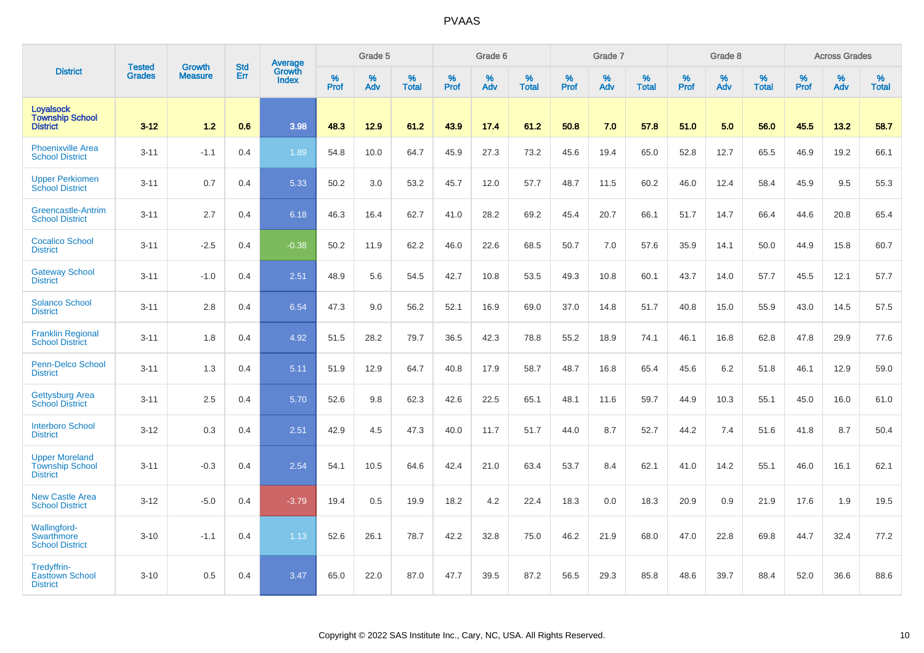|                                                                    |                                |                                 | <b>Std</b> | <b>Average</b>         |           | Grade 5  |                   |           | Grade 6  |                   |           | Grade 7  |                   |           | Grade 8  |                   |           | <b>Across Grades</b> |                   |
|--------------------------------------------------------------------|--------------------------------|---------------------------------|------------|------------------------|-----------|----------|-------------------|-----------|----------|-------------------|-----------|----------|-------------------|-----------|----------|-------------------|-----------|----------------------|-------------------|
| <b>District</b>                                                    | <b>Tested</b><br><b>Grades</b> | <b>Growth</b><br><b>Measure</b> | Err        | Growth<br><b>Index</b> | %<br>Prof | %<br>Adv | %<br><b>Total</b> | %<br>Prof | %<br>Adv | %<br><b>Total</b> | %<br>Prof | %<br>Adv | %<br><b>Total</b> | %<br>Prof | %<br>Adv | %<br><b>Total</b> | %<br>Prof | %<br>Adv             | %<br><b>Total</b> |
| <b>Loyalsock</b><br><b>Township School</b><br><b>District</b>      | $3 - 12$                       | 1.2                             | 0.6        | 3.98                   | 48.3      | 12.9     | 61.2              | 43.9      | 17.4     | 61.2              | 50.8      | 7.0      | 57.8              | 51.0      | 5.0      | 56.0              | 45.5      | 13.2                 | 58.7              |
| <b>Phoenixville Area</b><br><b>School District</b>                 | $3 - 11$                       | $-1.1$                          | 0.4        | 1.89                   | 54.8      | 10.0     | 64.7              | 45.9      | 27.3     | 73.2              | 45.6      | 19.4     | 65.0              | 52.8      | 12.7     | 65.5              | 46.9      | 19.2                 | 66.1              |
| <b>Upper Perkiomen</b><br><b>School District</b>                   | $3 - 11$                       | 0.7                             | 0.4        | 5.33                   | 50.2      | 3.0      | 53.2              | 45.7      | 12.0     | 57.7              | 48.7      | 11.5     | 60.2              | 46.0      | 12.4     | 58.4              | 45.9      | 9.5                  | 55.3              |
| Greencastle-Antrim<br><b>School District</b>                       | $3 - 11$                       | 2.7                             | 0.4        | 6.18                   | 46.3      | 16.4     | 62.7              | 41.0      | 28.2     | 69.2              | 45.4      | 20.7     | 66.1              | 51.7      | 14.7     | 66.4              | 44.6      | 20.8                 | 65.4              |
| <b>Cocalico School</b><br><b>District</b>                          | $3 - 11$                       | $-2.5$                          | 0.4        | $-0.38$                | 50.2      | 11.9     | 62.2              | 46.0      | 22.6     | 68.5              | 50.7      | 7.0      | 57.6              | 35.9      | 14.1     | 50.0              | 44.9      | 15.8                 | 60.7              |
| <b>Gateway School</b><br><b>District</b>                           | $3 - 11$                       | $-1.0$                          | 0.4        | 2.51                   | 48.9      | 5.6      | 54.5              | 42.7      | 10.8     | 53.5              | 49.3      | 10.8     | 60.1              | 43.7      | 14.0     | 57.7              | 45.5      | 12.1                 | 57.7              |
| <b>Solanco School</b><br><b>District</b>                           | $3 - 11$                       | 2.8                             | 0.4        | 6.54                   | 47.3      | 9.0      | 56.2              | 52.1      | 16.9     | 69.0              | 37.0      | 14.8     | 51.7              | 40.8      | 15.0     | 55.9              | 43.0      | 14.5                 | 57.5              |
| <b>Franklin Regional</b><br><b>School District</b>                 | $3 - 11$                       | 1.8                             | 0.4        | 4.92                   | 51.5      | 28.2     | 79.7              | 36.5      | 42.3     | 78.8              | 55.2      | 18.9     | 74.1              | 46.1      | 16.8     | 62.8              | 47.8      | 29.9                 | 77.6              |
| Penn-Delco School<br><b>District</b>                               | $3 - 11$                       | 1.3                             | 0.4        | 5.11                   | 51.9      | 12.9     | 64.7              | 40.8      | 17.9     | 58.7              | 48.7      | 16.8     | 65.4              | 45.6      | 6.2      | 51.8              | 46.1      | 12.9                 | 59.0              |
| <b>Gettysburg Area</b><br><b>School District</b>                   | $3 - 11$                       | 2.5                             | 0.4        | 5.70                   | 52.6      | 9.8      | 62.3              | 42.6      | 22.5     | 65.1              | 48.1      | 11.6     | 59.7              | 44.9      | 10.3     | 55.1              | 45.0      | 16.0                 | 61.0              |
| <b>Interboro School</b><br><b>District</b>                         | $3-12$                         | 0.3                             | 0.4        | 2.51                   | 42.9      | 4.5      | 47.3              | 40.0      | 11.7     | 51.7              | 44.0      | 8.7      | 52.7              | 44.2      | 7.4      | 51.6              | 41.8      | 8.7                  | 50.4              |
| <b>Upper Moreland</b><br><b>Township School</b><br><b>District</b> | $3 - 11$                       | $-0.3$                          | 0.4        | 2.54                   | 54.1      | 10.5     | 64.6              | 42.4      | 21.0     | 63.4              | 53.7      | 8.4      | 62.1              | 41.0      | 14.2     | 55.1              | 46.0      | 16.1                 | 62.1              |
| <b>New Castle Area</b><br><b>School District</b>                   | $3 - 12$                       | $-5.0$                          | 0.4        | $-3.79$                | 19.4      | 0.5      | 19.9              | 18.2      | 4.2      | 22.4              | 18.3      | 0.0      | 18.3              | 20.9      | 0.9      | 21.9              | 17.6      | 1.9                  | 19.5              |
| <b>Wallingford-</b><br>Swarthmore<br><b>School District</b>        | $3 - 10$                       | $-1.1$                          | 0.4        | 1.13                   | 52.6      | 26.1     | 78.7              | 42.2      | 32.8     | 75.0              | 46.2      | 21.9     | 68.0              | 47.0      | 22.8     | 69.8              | 44.7      | 32.4                 | 77.2              |
| Tredyffrin-<br><b>Easttown School</b><br><b>District</b>           | $3 - 10$                       | 0.5                             | 0.4        | 3.47                   | 65.0      | 22.0     | 87.0              | 47.7      | 39.5     | 87.2              | 56.5      | 29.3     | 85.8              | 48.6      | 39.7     | 88.4              | 52.0      | 36.6                 | 88.6              |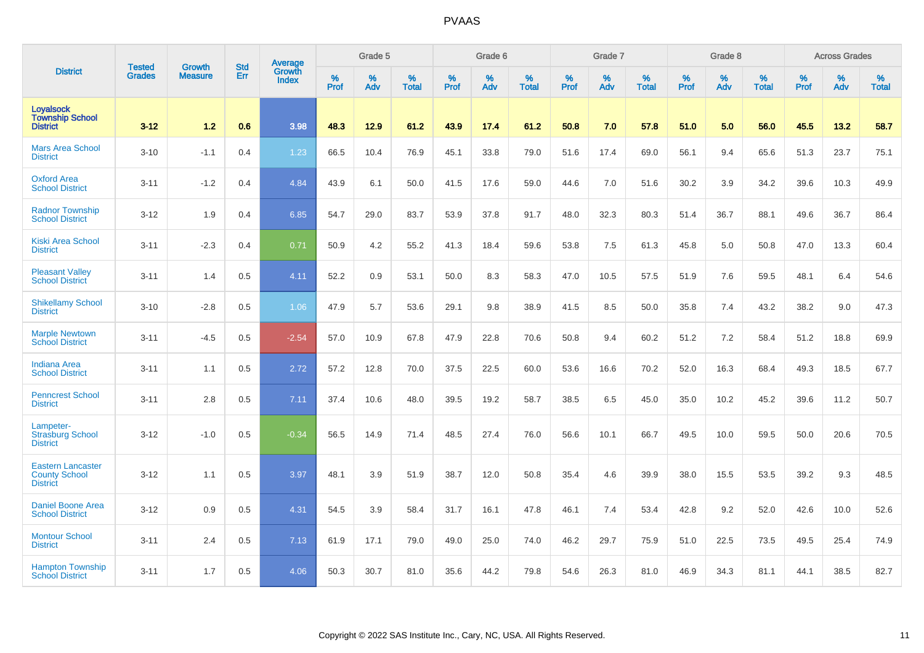|                                                                     |                                |                                 | <b>Std</b> | Average                       |           | Grade 5  |                   |           | Grade 6  |                   |           | Grade 7  |                   |           | Grade 8  |                   |           | <b>Across Grades</b> |                   |
|---------------------------------------------------------------------|--------------------------------|---------------------------------|------------|-------------------------------|-----------|----------|-------------------|-----------|----------|-------------------|-----------|----------|-------------------|-----------|----------|-------------------|-----------|----------------------|-------------------|
| <b>District</b>                                                     | <b>Tested</b><br><b>Grades</b> | <b>Growth</b><br><b>Measure</b> | Err        | <b>Growth</b><br><b>Index</b> | %<br>Prof | %<br>Adv | %<br><b>Total</b> | %<br>Prof | %<br>Adv | %<br><b>Total</b> | %<br>Prof | %<br>Adv | %<br><b>Total</b> | %<br>Prof | %<br>Adv | %<br><b>Total</b> | %<br>Prof | %<br>Adv             | %<br><b>Total</b> |
| <b>Loyalsock</b><br><b>Township School</b><br><b>District</b>       | $3 - 12$                       | 1.2                             | 0.6        | 3.98                          | 48.3      | 12.9     | 61.2              | 43.9      | 17.4     | 61.2              | 50.8      | 7.0      | 57.8              | 51.0      | 5.0      | 56.0              | 45.5      | 13.2                 | 58.7              |
| <b>Mars Area School</b><br><b>District</b>                          | $3 - 10$                       | $-1.1$                          | 0.4        | 1.23                          | 66.5      | 10.4     | 76.9              | 45.1      | 33.8     | 79.0              | 51.6      | 17.4     | 69.0              | 56.1      | 9.4      | 65.6              | 51.3      | 23.7                 | 75.1              |
| <b>Oxford Area</b><br><b>School District</b>                        | $3 - 11$                       | $-1.2$                          | 0.4        | 4.84                          | 43.9      | 6.1      | 50.0              | 41.5      | 17.6     | 59.0              | 44.6      | 7.0      | 51.6              | 30.2      | 3.9      | 34.2              | 39.6      | 10.3                 | 49.9              |
| <b>Radnor Township</b><br><b>School District</b>                    | $3 - 12$                       | 1.9                             | 0.4        | 6.85                          | 54.7      | 29.0     | 83.7              | 53.9      | 37.8     | 91.7              | 48.0      | 32.3     | 80.3              | 51.4      | 36.7     | 88.1              | 49.6      | 36.7                 | 86.4              |
| <b>Kiski Area School</b><br><b>District</b>                         | $3 - 11$                       | $-2.3$                          | 0.4        | 0.71                          | 50.9      | 4.2      | 55.2              | 41.3      | 18.4     | 59.6              | 53.8      | 7.5      | 61.3              | 45.8      | 5.0      | 50.8              | 47.0      | 13.3                 | 60.4              |
| <b>Pleasant Valley</b><br><b>School District</b>                    | $3 - 11$                       | 1.4                             | 0.5        | 4.11                          | 52.2      | 0.9      | 53.1              | 50.0      | 8.3      | 58.3              | 47.0      | 10.5     | 57.5              | 51.9      | 7.6      | 59.5              | 48.1      | 6.4                  | 54.6              |
| <b>Shikellamy School</b><br><b>District</b>                         | $3 - 10$                       | $-2.8$                          | 0.5        | 1.06                          | 47.9      | 5.7      | 53.6              | 29.1      | 9.8      | 38.9              | 41.5      | 8.5      | 50.0              | 35.8      | 7.4      | 43.2              | 38.2      | 9.0                  | 47.3              |
| <b>Marple Newtown</b><br><b>School District</b>                     | $3 - 11$                       | $-4.5$                          | 0.5        | $-2.54$                       | 57.0      | 10.9     | 67.8              | 47.9      | 22.8     | 70.6              | 50.8      | 9.4      | 60.2              | 51.2      | 7.2      | 58.4              | 51.2      | 18.8                 | 69.9              |
| <b>Indiana Area</b><br><b>School District</b>                       | $3 - 11$                       | 1.1                             | 0.5        | 2.72                          | 57.2      | 12.8     | 70.0              | 37.5      | 22.5     | 60.0              | 53.6      | 16.6     | 70.2              | 52.0      | 16.3     | 68.4              | 49.3      | 18.5                 | 67.7              |
| <b>Penncrest School</b><br><b>District</b>                          | $3 - 11$                       | 2.8                             | 0.5        | 7.11                          | 37.4      | 10.6     | 48.0              | 39.5      | 19.2     | 58.7              | 38.5      | 6.5      | 45.0              | 35.0      | 10.2     | 45.2              | 39.6      | 11.2                 | 50.7              |
| Lampeter-<br><b>Strasburg School</b><br><b>District</b>             | $3 - 12$                       | $-1.0$                          | 0.5        | $-0.34$                       | 56.5      | 14.9     | 71.4              | 48.5      | 27.4     | 76.0              | 56.6      | 10.1     | 66.7              | 49.5      | 10.0     | 59.5              | 50.0      | 20.6                 | 70.5              |
| <b>Eastern Lancaster</b><br><b>County School</b><br><b>District</b> | $3 - 12$                       | 1.1                             | 0.5        | 3.97                          | 48.1      | 3.9      | 51.9              | 38.7      | 12.0     | 50.8              | 35.4      | 4.6      | 39.9              | 38.0      | 15.5     | 53.5              | 39.2      | 9.3                  | 48.5              |
| Daniel Boone Area<br><b>School District</b>                         | $3 - 12$                       | 0.9                             | 0.5        | 4.31                          | 54.5      | 3.9      | 58.4              | 31.7      | 16.1     | 47.8              | 46.1      | 7.4      | 53.4              | 42.8      | 9.2      | 52.0              | 42.6      | 10.0                 | 52.6              |
| <b>Montour School</b><br><b>District</b>                            | $3 - 11$                       | 2.4                             | 0.5        | 7.13                          | 61.9      | 17.1     | 79.0              | 49.0      | 25.0     | 74.0              | 46.2      | 29.7     | 75.9              | 51.0      | 22.5     | 73.5              | 49.5      | 25.4                 | 74.9              |
| <b>Hampton Township</b><br><b>School District</b>                   | $3 - 11$                       | 1.7                             | 0.5        | 4.06                          | 50.3      | 30.7     | 81.0              | 35.6      | 44.2     | 79.8              | 54.6      | 26.3     | 81.0              | 46.9      | 34.3     | 81.1              | 44.1      | 38.5                 | 82.7              |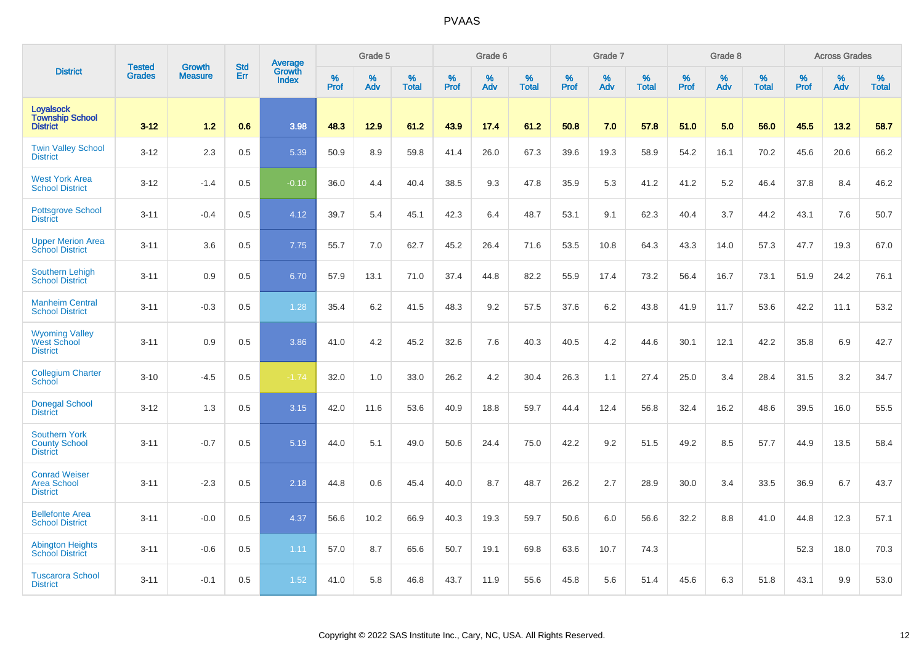|                                                                 |                                | <b>Growth</b>  | <b>Std</b> | Average                |              | Grade 5  |                   |           | Grade 6  |                   |              | Grade 7  |                   |           | Grade 8  |                   |           | <b>Across Grades</b> |                   |
|-----------------------------------------------------------------|--------------------------------|----------------|------------|------------------------|--------------|----------|-------------------|-----------|----------|-------------------|--------------|----------|-------------------|-----------|----------|-------------------|-----------|----------------------|-------------------|
| <b>District</b>                                                 | <b>Tested</b><br><b>Grades</b> | <b>Measure</b> | Err        | Growth<br><b>Index</b> | $\%$<br>Prof | %<br>Adv | %<br><b>Total</b> | %<br>Prof | %<br>Adv | %<br><b>Total</b> | $\%$<br>Prof | %<br>Adv | %<br><b>Total</b> | %<br>Prof | %<br>Adv | %<br><b>Total</b> | %<br>Prof | %<br>Adv             | %<br><b>Total</b> |
| Loyalsock<br><b>Township School</b><br><b>District</b>          | $3 - 12$                       | 1.2            | 0.6        | 3.98                   | 48.3         | 12.9     | 61.2              | 43.9      | 17.4     | 61.2              | 50.8         | 7.0      | 57.8              | 51.0      | 5.0      | 56.0              | 45.5      | 13.2                 | 58.7              |
| <b>Twin Valley School</b><br><b>District</b>                    | $3 - 12$                       | 2.3            | 0.5        | 5.39                   | 50.9         | 8.9      | 59.8              | 41.4      | 26.0     | 67.3              | 39.6         | 19.3     | 58.9              | 54.2      | 16.1     | 70.2              | 45.6      | 20.6                 | 66.2              |
| <b>West York Area</b><br><b>School District</b>                 | $3 - 12$                       | $-1.4$         | 0.5        | $-0.10$                | 36.0         | 4.4      | 40.4              | 38.5      | 9.3      | 47.8              | 35.9         | 5.3      | 41.2              | 41.2      | 5.2      | 46.4              | 37.8      | 8.4                  | 46.2              |
| <b>Pottsgrove School</b><br><b>District</b>                     | $3 - 11$                       | $-0.4$         | 0.5        | 4.12                   | 39.7         | 5.4      | 45.1              | 42.3      | 6.4      | 48.7              | 53.1         | 9.1      | 62.3              | 40.4      | 3.7      | 44.2              | 43.1      | 7.6                  | 50.7              |
| <b>Upper Merion Area</b><br><b>School District</b>              | $3 - 11$                       | 3.6            | 0.5        | 7.75                   | 55.7         | 7.0      | 62.7              | 45.2      | 26.4     | 71.6              | 53.5         | 10.8     | 64.3              | 43.3      | 14.0     | 57.3              | 47.7      | 19.3                 | 67.0              |
| <b>Southern Lehigh</b><br><b>School District</b>                | $3 - 11$                       | 0.9            | 0.5        | 6.70                   | 57.9         | 13.1     | 71.0              | 37.4      | 44.8     | 82.2              | 55.9         | 17.4     | 73.2              | 56.4      | 16.7     | 73.1              | 51.9      | 24.2                 | 76.1              |
| <b>Manheim Central</b><br><b>School District</b>                | $3 - 11$                       | $-0.3$         | 0.5        | 1.28                   | 35.4         | 6.2      | 41.5              | 48.3      | 9.2      | 57.5              | 37.6         | 6.2      | 43.8              | 41.9      | 11.7     | 53.6              | 42.2      | 11.1                 | 53.2              |
| <b>Wyoming Valley</b><br>West School<br><b>District</b>         | $3 - 11$                       | 0.9            | 0.5        | 3.86                   | 41.0         | 4.2      | 45.2              | 32.6      | 7.6      | 40.3              | 40.5         | 4.2      | 44.6              | 30.1      | 12.1     | 42.2              | 35.8      | 6.9                  | 42.7              |
| <b>Collegium Charter</b><br>School                              | $3 - 10$                       | $-4.5$         | 0.5        | $-1.74$                | 32.0         | 1.0      | 33.0              | 26.2      | 4.2      | 30.4              | 26.3         | 1.1      | 27.4              | 25.0      | 3.4      | 28.4              | 31.5      | 3.2                  | 34.7              |
| <b>Donegal School</b><br><b>District</b>                        | $3 - 12$                       | 1.3            | 0.5        | 3.15                   | 42.0         | 11.6     | 53.6              | 40.9      | 18.8     | 59.7              | 44.4         | 12.4     | 56.8              | 32.4      | 16.2     | 48.6              | 39.5      | 16.0                 | 55.5              |
| <b>Southern York</b><br><b>County School</b><br><b>District</b> | $3 - 11$                       | $-0.7$         | 0.5        | 5.19                   | 44.0         | 5.1      | 49.0              | 50.6      | 24.4     | 75.0              | 42.2         | 9.2      | 51.5              | 49.2      | 8.5      | 57.7              | 44.9      | 13.5                 | 58.4              |
| <b>Conrad Weiser</b><br><b>Area School</b><br><b>District</b>   | $3 - 11$                       | $-2.3$         | 0.5        | 2.18                   | 44.8         | 0.6      | 45.4              | 40.0      | 8.7      | 48.7              | 26.2         | 2.7      | 28.9              | 30.0      | 3.4      | 33.5              | 36.9      | 6.7                  | 43.7              |
| <b>Bellefonte Area</b><br><b>School District</b>                | $3 - 11$                       | $-0.0$         | 0.5        | 4.37                   | 56.6         | 10.2     | 66.9              | 40.3      | 19.3     | 59.7              | 50.6         | 6.0      | 56.6              | 32.2      | 8.8      | 41.0              | 44.8      | 12.3                 | 57.1              |
| <b>Abington Heights</b><br><b>School District</b>               | $3 - 11$                       | $-0.6$         | 0.5        | 1.11                   | 57.0         | 8.7      | 65.6              | 50.7      | 19.1     | 69.8              | 63.6         | 10.7     | 74.3              |           |          |                   | 52.3      | 18.0                 | 70.3              |
| <b>Tuscarora School</b><br><b>District</b>                      | $3 - 11$                       | $-0.1$         | 0.5        | 1.52                   | 41.0         | 5.8      | 46.8              | 43.7      | 11.9     | 55.6              | 45.8         | 5.6      | 51.4              | 45.6      | 6.3      | 51.8              | 43.1      | 9.9                  | 53.0              |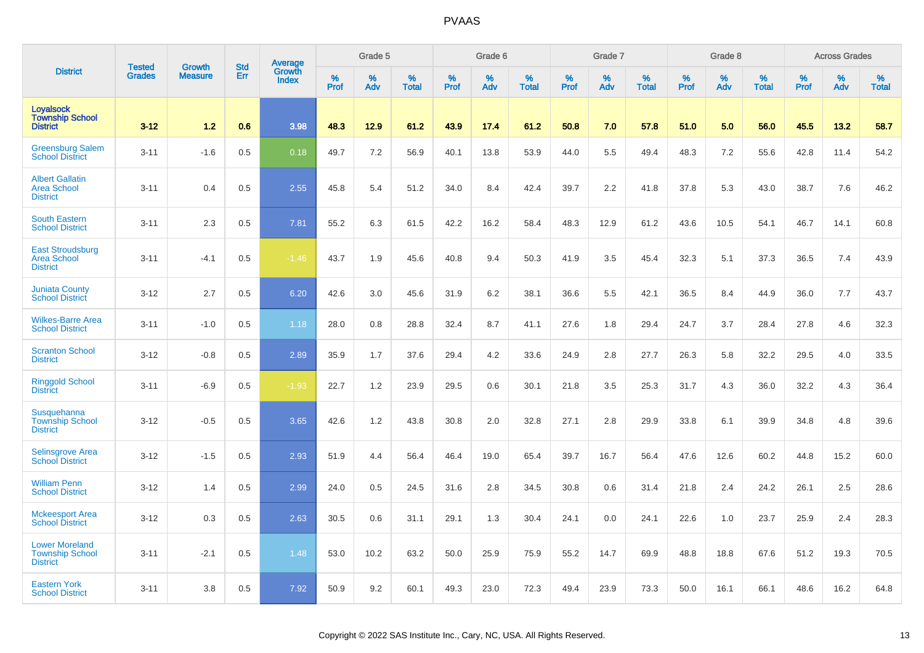|                                                                    | <b>Tested</b> | <b>Growth</b>  | <b>Std</b> |                                          |              | Grade 5  |                   |           | Grade 6  |                   |           | Grade 7  |                   |           | Grade 8  |                   |           | <b>Across Grades</b> |                   |
|--------------------------------------------------------------------|---------------|----------------|------------|------------------------------------------|--------------|----------|-------------------|-----------|----------|-------------------|-----------|----------|-------------------|-----------|----------|-------------------|-----------|----------------------|-------------------|
| <b>District</b>                                                    | <b>Grades</b> | <b>Measure</b> | Err        | <b>Average</b><br>Growth<br><b>Index</b> | $\%$<br>Prof | %<br>Adv | %<br><b>Total</b> | %<br>Prof | %<br>Adv | %<br><b>Total</b> | %<br>Prof | %<br>Adv | %<br><b>Total</b> | %<br>Prof | %<br>Adv | %<br><b>Total</b> | %<br>Prof | %<br>Adv             | %<br><b>Total</b> |
| <b>Loyalsock</b><br><b>Township School</b><br><b>District</b>      | $3 - 12$      | 1.2            | 0.6        | 3.98                                     | 48.3         | 12.9     | 61.2              | 43.9      | 17.4     | 61.2              | 50.8      | 7.0      | 57.8              | 51.0      | 5.0      | 56.0              | 45.5      | 13.2                 | 58.7              |
| <b>Greensburg Salem</b><br><b>School District</b>                  | $3 - 11$      | $-1.6$         | 0.5        | 0.18                                     | 49.7         | 7.2      | 56.9              | 40.1      | 13.8     | 53.9              | 44.0      | 5.5      | 49.4              | 48.3      | 7.2      | 55.6              | 42.8      | 11.4                 | 54.2              |
| <b>Albert Gallatin</b><br><b>Area School</b><br><b>District</b>    | $3 - 11$      | 0.4            | 0.5        | 2.55                                     | 45.8         | 5.4      | 51.2              | 34.0      | 8.4      | 42.4              | 39.7      | 2.2      | 41.8              | 37.8      | 5.3      | 43.0              | 38.7      | 7.6                  | 46.2              |
| <b>South Eastern</b><br><b>School District</b>                     | $3 - 11$      | 2.3            | 0.5        | 7.81                                     | 55.2         | 6.3      | 61.5              | 42.2      | 16.2     | 58.4              | 48.3      | 12.9     | 61.2              | 43.6      | 10.5     | 54.1              | 46.7      | 14.1                 | 60.8              |
| <b>East Stroudsburg</b><br><b>Area School</b><br><b>District</b>   | $3 - 11$      | $-4.1$         | 0.5        | $-1.46$                                  | 43.7         | 1.9      | 45.6              | 40.8      | 9.4      | 50.3              | 41.9      | 3.5      | 45.4              | 32.3      | 5.1      | 37.3              | 36.5      | 7.4                  | 43.9              |
| <b>Juniata County</b><br><b>School District</b>                    | $3 - 12$      | 2.7            | 0.5        | 6.20                                     | 42.6         | 3.0      | 45.6              | 31.9      | 6.2      | 38.1              | 36.6      | 5.5      | 42.1              | 36.5      | 8.4      | 44.9              | 36.0      | 7.7                  | 43.7              |
| <b>Wilkes-Barre Area</b><br><b>School District</b>                 | $3 - 11$      | $-1.0$         | 0.5        | 1.18                                     | 28.0         | 0.8      | 28.8              | 32.4      | 8.7      | 41.1              | 27.6      | 1.8      | 29.4              | 24.7      | 3.7      | 28.4              | 27.8      | 4.6                  | 32.3              |
| <b>Scranton School</b><br><b>District</b>                          | $3 - 12$      | $-0.8$         | 0.5        | 2.89                                     | 35.9         | 1.7      | 37.6              | 29.4      | 4.2      | 33.6              | 24.9      | 2.8      | 27.7              | 26.3      | 5.8      | 32.2              | 29.5      | 4.0                  | 33.5              |
| <b>Ringgold School</b><br><b>District</b>                          | $3 - 11$      | $-6.9$         | 0.5        | $-1.93$                                  | 22.7         | 1.2      | 23.9              | 29.5      | 0.6      | 30.1              | 21.8      | 3.5      | 25.3              | 31.7      | 4.3      | 36.0              | 32.2      | 4.3                  | 36.4              |
| Susquehanna<br><b>Township School</b><br><b>District</b>           | $3 - 12$      | $-0.5$         | 0.5        | 3.65                                     | 42.6         | 1.2      | 43.8              | 30.8      | 2.0      | 32.8              | 27.1      | 2.8      | 29.9              | 33.8      | 6.1      | 39.9              | 34.8      | 4.8                  | 39.6              |
| <b>Selinsgrove Area</b><br><b>School District</b>                  | $3 - 12$      | $-1.5$         | 0.5        | 2.93                                     | 51.9         | 4.4      | 56.4              | 46.4      | 19.0     | 65.4              | 39.7      | 16.7     | 56.4              | 47.6      | 12.6     | 60.2              | 44.8      | 15.2                 | 60.0              |
| <b>William Penn</b><br><b>School District</b>                      | $3 - 12$      | 1.4            | 0.5        | 2.99                                     | 24.0         | 0.5      | 24.5              | 31.6      | 2.8      | 34.5              | 30.8      | 0.6      | 31.4              | 21.8      | 2.4      | 24.2              | 26.1      | 2.5                  | 28.6              |
| <b>Mckeesport Area</b><br><b>School District</b>                   | $3 - 12$      | 0.3            | 0.5        | 2.63                                     | 30.5         | 0.6      | 31.1              | 29.1      | 1.3      | 30.4              | 24.1      | 0.0      | 24.1              | 22.6      | 1.0      | 23.7              | 25.9      | 2.4                  | 28.3              |
| <b>Lower Moreland</b><br><b>Township School</b><br><b>District</b> | $3 - 11$      | $-2.1$         | 0.5        | 1.48                                     | 53.0         | 10.2     | 63.2              | 50.0      | 25.9     | 75.9              | 55.2      | 14.7     | 69.9              | 48.8      | 18.8     | 67.6              | 51.2      | 19.3                 | 70.5              |
| <b>Eastern York</b><br><b>School District</b>                      | $3 - 11$      | 3.8            | 0.5        | 7.92                                     | 50.9         | 9.2      | 60.1              | 49.3      | 23.0     | 72.3              | 49.4      | 23.9     | 73.3              | 50.0      | 16.1     | 66.1              | 48.6      | 16.2                 | 64.8              |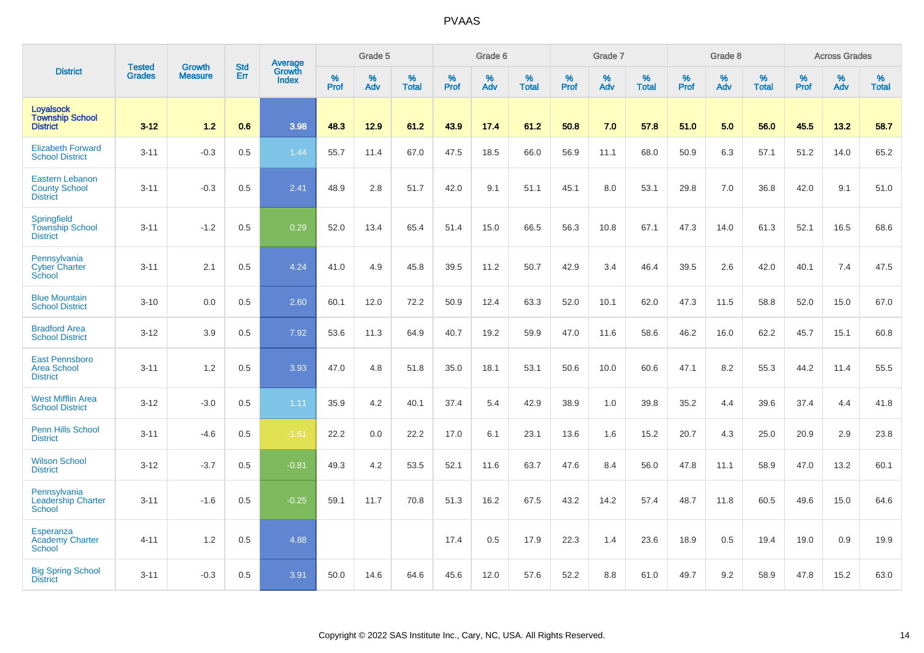|                                                                   |                                | <b>Growth</b>  | <b>Std</b> | Average                |                  | Grade 5  |                   |                  | Grade 6  |                   |           | Grade 7  |                   |           | Grade 8  |                   |              | <b>Across Grades</b> |                   |
|-------------------------------------------------------------------|--------------------------------|----------------|------------|------------------------|------------------|----------|-------------------|------------------|----------|-------------------|-----------|----------|-------------------|-----------|----------|-------------------|--------------|----------------------|-------------------|
| <b>District</b>                                                   | <b>Tested</b><br><b>Grades</b> | <b>Measure</b> | Err        | Growth<br><b>Index</b> | %<br><b>Prof</b> | %<br>Adv | %<br><b>Total</b> | %<br><b>Prof</b> | %<br>Adv | %<br><b>Total</b> | %<br>Prof | %<br>Adv | %<br><b>Total</b> | %<br>Prof | %<br>Adv | %<br><b>Total</b> | $\%$<br>Prof | %<br>Adv             | %<br><b>Total</b> |
| <b>Loyalsock</b><br><b>Township School</b><br><b>District</b>     | $3 - 12$                       | $1.2$          | 0.6        | 3.98                   | 48.3             | 12.9     | 61.2              | 43.9             | 17.4     | 61.2              | 50.8      | 7.0      | 57.8              | 51.0      | 5.0      | 56.0              | 45.5         | 13.2                 | 58.7              |
| <b>Elizabeth Forward</b><br><b>School District</b>                | $3 - 11$                       | $-0.3$         | 0.5        | 1.44                   | 55.7             | 11.4     | 67.0              | 47.5             | 18.5     | 66.0              | 56.9      | 11.1     | 68.0              | 50.9      | 6.3      | 57.1              | 51.2         | 14.0                 | 65.2              |
| <b>Eastern Lebanon</b><br><b>County School</b><br><b>District</b> | $3 - 11$                       | $-0.3$         | 0.5        | 2.41                   | 48.9             | 2.8      | 51.7              | 42.0             | 9.1      | 51.1              | 45.1      | 8.0      | 53.1              | 29.8      | 7.0      | 36.8              | 42.0         | 9.1                  | 51.0              |
| Springfield<br><b>Township School</b><br><b>District</b>          | $3 - 11$                       | $-1.2$         | 0.5        | 0.29                   | 52.0             | 13.4     | 65.4              | 51.4             | 15.0     | 66.5              | 56.3      | 10.8     | 67.1              | 47.3      | 14.0     | 61.3              | 52.1         | 16.5                 | 68.6              |
| Pennsylvania<br><b>Cyber Charter</b><br>School                    | $3 - 11$                       | 2.1            | 0.5        | 4.24                   | 41.0             | 4.9      | 45.8              | 39.5             | 11.2     | 50.7              | 42.9      | 3.4      | 46.4              | 39.5      | 2.6      | 42.0              | 40.1         | 7.4                  | 47.5              |
| <b>Blue Mountain</b><br><b>School District</b>                    | $3 - 10$                       | 0.0            | 0.5        | 2.60                   | 60.1             | 12.0     | 72.2              | 50.9             | 12.4     | 63.3              | 52.0      | 10.1     | 62.0              | 47.3      | 11.5     | 58.8              | 52.0         | 15.0                 | 67.0              |
| <b>Bradford Area</b><br><b>School District</b>                    | $3 - 12$                       | 3.9            | 0.5        | 7.92                   | 53.6             | 11.3     | 64.9              | 40.7             | 19.2     | 59.9              | 47.0      | 11.6     | 58.6              | 46.2      | 16.0     | 62.2              | 45.7         | 15.1                 | 60.8              |
| <b>East Pennsboro</b><br><b>Area School</b><br><b>District</b>    | $3 - 11$                       | 1.2            | 0.5        | 3.93                   | 47.0             | 4.8      | 51.8              | 35.0             | 18.1     | 53.1              | 50.6      | 10.0     | 60.6              | 47.1      | 8.2      | 55.3              | 44.2         | 11.4                 | 55.5              |
| <b>West Mifflin Area</b><br><b>School District</b>                | $3 - 12$                       | $-3.0$         | 0.5        | 1.11                   | 35.9             | 4.2      | 40.1              | 37.4             | 5.4      | 42.9              | 38.9      | 1.0      | 39.8              | 35.2      | 4.4      | 39.6              | 37.4         | 4.4                  | 41.8              |
| <b>Penn Hills School</b><br><b>District</b>                       | $3 - 11$                       | $-4.6$         | 0.5        | $-1.61$                | 22.2             | 0.0      | 22.2              | 17.0             | 6.1      | 23.1              | 13.6      | 1.6      | 15.2              | 20.7      | 4.3      | 25.0              | 20.9         | 2.9                  | 23.8              |
| <b>Wilson School</b><br><b>District</b>                           | $3 - 12$                       | $-3.7$         | 0.5        | $-0.81$                | 49.3             | 4.2      | 53.5              | 52.1             | 11.6     | 63.7              | 47.6      | 8.4      | 56.0              | 47.8      | 11.1     | 58.9              | 47.0         | 13.2                 | 60.1              |
| Pennsylvania<br><b>Leadership Charter</b><br><b>School</b>        | $3 - 11$                       | $-1.6$         | 0.5        | $-0.25$                | 59.1             | 11.7     | 70.8              | 51.3             | 16.2     | 67.5              | 43.2      | 14.2     | 57.4              | 48.7      | 11.8     | 60.5              | 49.6         | 15.0                 | 64.6              |
| Esperanza<br><b>Academy Charter</b><br>School                     | $4 - 11$                       | 1.2            | 0.5        | 4.88                   |                  |          |                   | 17.4             | 0.5      | 17.9              | 22.3      | 1.4      | 23.6              | 18.9      | 0.5      | 19.4              | 19.0         | 0.9                  | 19.9              |
| <b>Big Spring School</b><br><b>District</b>                       | $3 - 11$                       | $-0.3$         | 0.5        | 3.91                   | 50.0             | 14.6     | 64.6              | 45.6             | 12.0     | 57.6              | 52.2      | 8.8      | 61.0              | 49.7      | 9.2      | 58.9              | 47.8         | 15.2                 | 63.0              |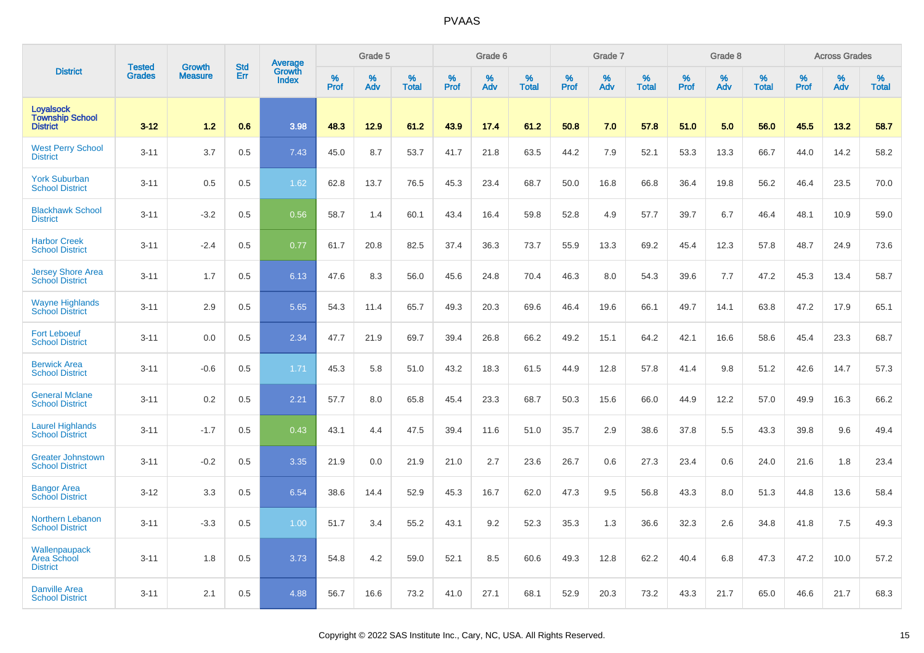|                                                               | <b>Tested</b> | <b>Growth</b>  | <b>Std</b> |                                   |                     | Grade 5  |                   |              | Grade 6  |                   |              | Grade 7  |                   |           | Grade 8  |                   |                  | <b>Across Grades</b> |                   |
|---------------------------------------------------------------|---------------|----------------|------------|-----------------------------------|---------------------|----------|-------------------|--------------|----------|-------------------|--------------|----------|-------------------|-----------|----------|-------------------|------------------|----------------------|-------------------|
| <b>District</b>                                               | <b>Grades</b> | <b>Measure</b> | Err        | Average<br>Growth<br><b>Index</b> | $\%$<br><b>Prof</b> | %<br>Adv | %<br><b>Total</b> | $\%$<br>Prof | %<br>Adv | %<br><b>Total</b> | $\%$<br>Prof | %<br>Adv | %<br><b>Total</b> | %<br>Prof | %<br>Adv | %<br><b>Total</b> | %<br><b>Prof</b> | %<br>Adv             | %<br><b>Total</b> |
| <b>Loyalsock</b><br><b>Township School</b><br><b>District</b> | $3 - 12$      | 1.2            | 0.6        | 3.98                              | 48.3                | 12.9     | 61.2              | 43.9         | 17.4     | 61.2              | 50.8         | 7.0      | 57.8              | 51.0      | 5.0      | 56.0              | 45.5             | 13.2                 | 58.7              |
| <b>West Perry School</b><br><b>District</b>                   | $3 - 11$      | 3.7            | 0.5        | 7.43                              | 45.0                | 8.7      | 53.7              | 41.7         | 21.8     | 63.5              | 44.2         | 7.9      | 52.1              | 53.3      | 13.3     | 66.7              | 44.0             | 14.2                 | 58.2              |
| <b>York Suburban</b><br><b>School District</b>                | $3 - 11$      | 0.5            | 0.5        | 1.62                              | 62.8                | 13.7     | 76.5              | 45.3         | 23.4     | 68.7              | 50.0         | 16.8     | 66.8              | 36.4      | 19.8     | 56.2              | 46.4             | 23.5                 | 70.0              |
| <b>Blackhawk School</b><br><b>District</b>                    | $3 - 11$      | $-3.2$         | 0.5        | 0.56                              | 58.7                | 1.4      | 60.1              | 43.4         | 16.4     | 59.8              | 52.8         | 4.9      | 57.7              | 39.7      | 6.7      | 46.4              | 48.1             | 10.9                 | 59.0              |
| <b>Harbor Creek</b><br><b>School District</b>                 | $3 - 11$      | $-2.4$         | 0.5        | 0.77                              | 61.7                | 20.8     | 82.5              | 37.4         | 36.3     | 73.7              | 55.9         | 13.3     | 69.2              | 45.4      | 12.3     | 57.8              | 48.7             | 24.9                 | 73.6              |
| <b>Jersey Shore Area</b><br><b>School District</b>            | $3 - 11$      | 1.7            | 0.5        | 6.13                              | 47.6                | 8.3      | 56.0              | 45.6         | 24.8     | 70.4              | 46.3         | 8.0      | 54.3              | 39.6      | 7.7      | 47.2              | 45.3             | 13.4                 | 58.7              |
| <b>Wayne Highlands</b><br><b>School District</b>              | $3 - 11$      | 2.9            | 0.5        | 5.65                              | 54.3                | 11.4     | 65.7              | 49.3         | 20.3     | 69.6              | 46.4         | 19.6     | 66.1              | 49.7      | 14.1     | 63.8              | 47.2             | 17.9                 | 65.1              |
| <b>Fort Leboeuf</b><br><b>School District</b>                 | $3 - 11$      | 0.0            | 0.5        | 2.34                              | 47.7                | 21.9     | 69.7              | 39.4         | 26.8     | 66.2              | 49.2         | 15.1     | 64.2              | 42.1      | 16.6     | 58.6              | 45.4             | 23.3                 | 68.7              |
| <b>Berwick Area</b><br><b>School District</b>                 | $3 - 11$      | $-0.6$         | 0.5        | 1.71                              | 45.3                | 5.8      | 51.0              | 43.2         | 18.3     | 61.5              | 44.9         | 12.8     | 57.8              | 41.4      | 9.8      | 51.2              | 42.6             | 14.7                 | 57.3              |
| <b>General Mclane</b><br><b>School District</b>               | $3 - 11$      | 0.2            | 0.5        | 2.21                              | 57.7                | 8.0      | 65.8              | 45.4         | 23.3     | 68.7              | 50.3         | 15.6     | 66.0              | 44.9      | 12.2     | 57.0              | 49.9             | 16.3                 | 66.2              |
| <b>Laurel Highlands</b><br><b>School District</b>             | $3 - 11$      | $-1.7$         | 0.5        | 0.43                              | 43.1                | 4.4      | 47.5              | 39.4         | 11.6     | 51.0              | 35.7         | 2.9      | 38.6              | 37.8      | 5.5      | 43.3              | 39.8             | 9.6                  | 49.4              |
| <b>Greater Johnstown</b><br><b>School District</b>            | $3 - 11$      | $-0.2$         | 0.5        | 3.35                              | 21.9                | 0.0      | 21.9              | 21.0         | 2.7      | 23.6              | 26.7         | 0.6      | 27.3              | 23.4      | 0.6      | 24.0              | 21.6             | 1.8                  | 23.4              |
| <b>Bangor Area</b><br><b>School District</b>                  | $3 - 12$      | 3.3            | 0.5        | 6.54                              | 38.6                | 14.4     | 52.9              | 45.3         | 16.7     | 62.0              | 47.3         | 9.5      | 56.8              | 43.3      | 8.0      | 51.3              | 44.8             | 13.6                 | 58.4              |
| <b>Northern Lebanon</b><br><b>School District</b>             | $3 - 11$      | $-3.3$         | 0.5        | 1.00                              | 51.7                | 3.4      | 55.2              | 43.1         | 9.2      | 52.3              | 35.3         | 1.3      | 36.6              | 32.3      | 2.6      | 34.8              | 41.8             | 7.5                  | 49.3              |
| Wallenpaupack<br>Area School<br><b>District</b>               | $3 - 11$      | 1.8            | 0.5        | 3.73                              | 54.8                | 4.2      | 59.0              | 52.1         | 8.5      | 60.6              | 49.3         | 12.8     | 62.2              | 40.4      | 6.8      | 47.3              | 47.2             | 10.0                 | 57.2              |
| <b>Danville Area</b><br><b>School District</b>                | $3 - 11$      | 2.1            | 0.5        | 4.88                              | 56.7                | 16.6     | 73.2              | 41.0         | 27.1     | 68.1              | 52.9         | 20.3     | 73.2              | 43.3      | 21.7     | 65.0              | 46.6             | 21.7                 | 68.3              |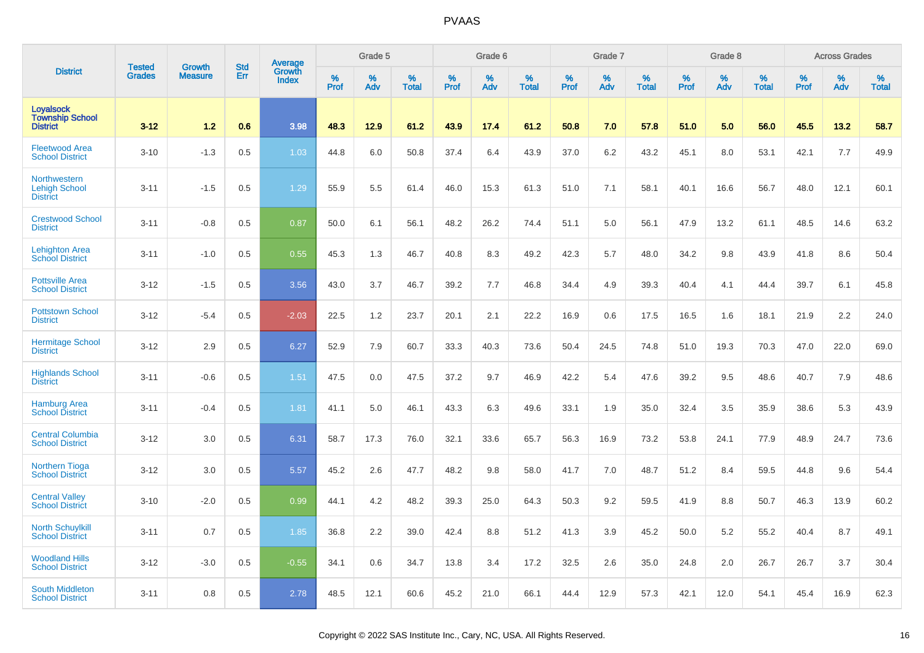|                                                                | <b>Tested</b> | <b>Growth</b>  | <b>Std</b> |                                   |              | Grade 5  |                   |              | Grade 6  |                   |              | Grade 7  |                   |              | Grade 8  |                   |              | <b>Across Grades</b> |                   |
|----------------------------------------------------------------|---------------|----------------|------------|-----------------------------------|--------------|----------|-------------------|--------------|----------|-------------------|--------------|----------|-------------------|--------------|----------|-------------------|--------------|----------------------|-------------------|
| <b>District</b>                                                | <b>Grades</b> | <b>Measure</b> | Err        | Average<br>Growth<br><b>Index</b> | $\%$<br>Prof | %<br>Adv | %<br><b>Total</b> | $\%$<br>Prof | %<br>Adv | %<br><b>Total</b> | $\%$<br>Prof | %<br>Adv | %<br><b>Total</b> | $\%$<br>Prof | %<br>Adv | %<br><b>Total</b> | $\%$<br>Prof | %<br>Adv             | %<br><b>Total</b> |
| <b>Loyalsock</b><br><b>Township School</b><br><b>District</b>  | $3 - 12$      | 1.2            | 0.6        | 3.98                              | 48.3         | 12.9     | 61.2              | 43.9         | 17.4     | 61.2              | 50.8         | 7.0      | 57.8              | 51.0         | 5.0      | 56.0              | 45.5         | 13.2                 | 58.7              |
| <b>Fleetwood Area</b><br><b>School District</b>                | $3 - 10$      | $-1.3$         | 0.5        | 1.03                              | 44.8         | 6.0      | 50.8              | 37.4         | 6.4      | 43.9              | 37.0         | 6.2      | 43.2              | 45.1         | 8.0      | 53.1              | 42.1         | 7.7                  | 49.9              |
| <b>Northwestern</b><br><b>Lehigh School</b><br><b>District</b> | $3 - 11$      | $-1.5$         | 0.5        | 1.29                              | 55.9         | 5.5      | 61.4              | 46.0         | 15.3     | 61.3              | 51.0         | 7.1      | 58.1              | 40.1         | 16.6     | 56.7              | 48.0         | 12.1                 | 60.1              |
| <b>Crestwood School</b><br><b>District</b>                     | $3 - 11$      | $-0.8$         | 0.5        | 0.87                              | 50.0         | 6.1      | 56.1              | 48.2         | 26.2     | 74.4              | 51.1         | 5.0      | 56.1              | 47.9         | 13.2     | 61.1              | 48.5         | 14.6                 | 63.2              |
| <b>Lehighton Area</b><br><b>School District</b>                | $3 - 11$      | $-1.0$         | 0.5        | 0.55                              | 45.3         | 1.3      | 46.7              | 40.8         | 8.3      | 49.2              | 42.3         | 5.7      | 48.0              | 34.2         | 9.8      | 43.9              | 41.8         | 8.6                  | 50.4              |
| <b>Pottsville Area</b><br><b>School District</b>               | $3 - 12$      | $-1.5$         | 0.5        | 3.56                              | 43.0         | 3.7      | 46.7              | 39.2         | 7.7      | 46.8              | 34.4         | 4.9      | 39.3              | 40.4         | 4.1      | 44.4              | 39.7         | 6.1                  | 45.8              |
| <b>Pottstown School</b><br><b>District</b>                     | $3 - 12$      | $-5.4$         | 0.5        | $-2.03$                           | 22.5         | 1.2      | 23.7              | 20.1         | 2.1      | 22.2              | 16.9         | 0.6      | 17.5              | 16.5         | 1.6      | 18.1              | 21.9         | 2.2                  | 24.0              |
| <b>Hermitage School</b><br><b>District</b>                     | $3 - 12$      | 2.9            | 0.5        | 6.27                              | 52.9         | 7.9      | 60.7              | 33.3         | 40.3     | 73.6              | 50.4         | 24.5     | 74.8              | 51.0         | 19.3     | 70.3              | 47.0         | 22.0                 | 69.0              |
| <b>Highlands School</b><br><b>District</b>                     | $3 - 11$      | $-0.6$         | 0.5        | 1.51                              | 47.5         | 0.0      | 47.5              | 37.2         | 9.7      | 46.9              | 42.2         | 5.4      | 47.6              | 39.2         | 9.5      | 48.6              | 40.7         | 7.9                  | 48.6              |
| <b>Hamburg Area</b><br><b>School District</b>                  | $3 - 11$      | $-0.4$         | 0.5        | 1.81                              | 41.1         | 5.0      | 46.1              | 43.3         | 6.3      | 49.6              | 33.1         | 1.9      | 35.0              | 32.4         | 3.5      | 35.9              | 38.6         | 5.3                  | 43.9              |
| <b>Central Columbia</b><br><b>School District</b>              | $3-12$        | 3.0            | 0.5        | 6.31                              | 58.7         | 17.3     | 76.0              | 32.1         | 33.6     | 65.7              | 56.3         | 16.9     | 73.2              | 53.8         | 24.1     | 77.9              | 48.9         | 24.7                 | 73.6              |
| <b>Northern Tioga</b><br><b>School District</b>                | $3 - 12$      | 3.0            | 0.5        | 5.57                              | 45.2         | 2.6      | 47.7              | 48.2         | 9.8      | 58.0              | 41.7         | 7.0      | 48.7              | 51.2         | 8.4      | 59.5              | 44.8         | 9.6                  | 54.4              |
| <b>Central Valley</b><br><b>School District</b>                | $3 - 10$      | $-2.0$         | 0.5        | 0.99                              | 44.1         | 4.2      | 48.2              | 39.3         | 25.0     | 64.3              | 50.3         | 9.2      | 59.5              | 41.9         | 8.8      | 50.7              | 46.3         | 13.9                 | 60.2              |
| <b>North Schuylkill</b><br><b>School District</b>              | $3 - 11$      | 0.7            | 0.5        | 1.85                              | 36.8         | 2.2      | 39.0              | 42.4         | 8.8      | 51.2              | 41.3         | 3.9      | 45.2              | 50.0         | 5.2      | 55.2              | 40.4         | 8.7                  | 49.1              |
| <b>Woodland Hills</b><br><b>School District</b>                | $3 - 12$      | $-3.0$         | 0.5        | $-0.55$                           | 34.1         | 0.6      | 34.7              | 13.8         | 3.4      | 17.2              | 32.5         | 2.6      | 35.0              | 24.8         | 2.0      | 26.7              | 26.7         | 3.7                  | 30.4              |
| <b>South Middleton</b><br><b>School District</b>               | $3 - 11$      | 0.8            | 0.5        | 2.78                              | 48.5         | 12.1     | 60.6              | 45.2         | 21.0     | 66.1              | 44.4         | 12.9     | 57.3              | 42.1         | 12.0     | 54.1              | 45.4         | 16.9                 | 62.3              |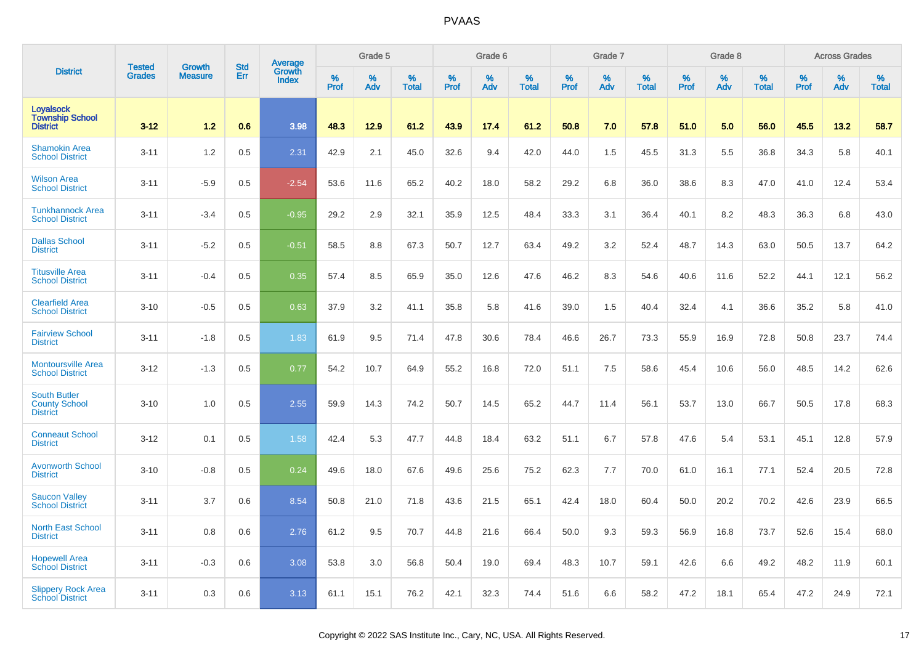|                                                                | <b>Tested</b> | <b>Growth</b>  | <b>Std</b> |                                   |           | Grade 5  |                   |              | Grade 6  |                   |              | Grade 7  |                   |           | Grade 8  |                   |                  | <b>Across Grades</b> |                   |
|----------------------------------------------------------------|---------------|----------------|------------|-----------------------------------|-----------|----------|-------------------|--------------|----------|-------------------|--------------|----------|-------------------|-----------|----------|-------------------|------------------|----------------------|-------------------|
| <b>District</b>                                                | <b>Grades</b> | <b>Measure</b> | Err        | Average<br>Growth<br><b>Index</b> | %<br>Prof | %<br>Adv | %<br><b>Total</b> | $\%$<br>Prof | %<br>Adv | %<br><b>Total</b> | $\%$<br>Prof | %<br>Adv | %<br><b>Total</b> | %<br>Prof | %<br>Adv | %<br><b>Total</b> | %<br><b>Prof</b> | %<br>Adv             | %<br><b>Total</b> |
| <b>Loyalsock</b><br><b>Township School</b><br><b>District</b>  | $3 - 12$      | 1.2            | 0.6        | 3.98                              | 48.3      | 12.9     | 61.2              | 43.9         | 17.4     | 61.2              | 50.8         | 7.0      | 57.8              | 51.0      | 5.0      | 56.0              | 45.5             | 13.2                 | 58.7              |
| <b>Shamokin Area</b><br><b>School District</b>                 | $3 - 11$      | 1.2            | 0.5        | 2.31                              | 42.9      | 2.1      | 45.0              | 32.6         | 9.4      | 42.0              | 44.0         | 1.5      | 45.5              | 31.3      | 5.5      | 36.8              | 34.3             | 5.8                  | 40.1              |
| <b>Wilson Area</b><br><b>School District</b>                   | $3 - 11$      | $-5.9$         | 0.5        | $-2.54$                           | 53.6      | 11.6     | 65.2              | 40.2         | 18.0     | 58.2              | 29.2         | 6.8      | 36.0              | 38.6      | 8.3      | 47.0              | 41.0             | 12.4                 | 53.4              |
| <b>Tunkhannock Area</b><br><b>School District</b>              | $3 - 11$      | $-3.4$         | 0.5        | $-0.95$                           | 29.2      | 2.9      | 32.1              | 35.9         | 12.5     | 48.4              | 33.3         | 3.1      | 36.4              | 40.1      | 8.2      | 48.3              | 36.3             | 6.8                  | 43.0              |
| <b>Dallas School</b><br><b>District</b>                        | $3 - 11$      | $-5.2$         | 0.5        | $-0.51$                           | 58.5      | 8.8      | 67.3              | 50.7         | 12.7     | 63.4              | 49.2         | 3.2      | 52.4              | 48.7      | 14.3     | 63.0              | 50.5             | 13.7                 | 64.2              |
| <b>Titusville Area</b><br><b>School District</b>               | $3 - 11$      | $-0.4$         | 0.5        | 0.35                              | 57.4      | 8.5      | 65.9              | 35.0         | 12.6     | 47.6              | 46.2         | 8.3      | 54.6              | 40.6      | 11.6     | 52.2              | 44.1             | 12.1                 | 56.2              |
| <b>Clearfield Area</b><br><b>School District</b>               | $3 - 10$      | $-0.5$         | 0.5        | 0.63                              | 37.9      | 3.2      | 41.1              | 35.8         | 5.8      | 41.6              | 39.0         | 1.5      | 40.4              | 32.4      | 4.1      | 36.6              | 35.2             | 5.8                  | 41.0              |
| <b>Fairview School</b><br><b>District</b>                      | $3 - 11$      | $-1.8$         | 0.5        | 1.83                              | 61.9      | 9.5      | 71.4              | 47.8         | 30.6     | 78.4              | 46.6         | 26.7     | 73.3              | 55.9      | 16.9     | 72.8              | 50.8             | 23.7                 | 74.4              |
| <b>Montoursville Area</b><br><b>School District</b>            | $3 - 12$      | $-1.3$         | 0.5        | 0.77                              | 54.2      | 10.7     | 64.9              | 55.2         | 16.8     | 72.0              | 51.1         | 7.5      | 58.6              | 45.4      | 10.6     | 56.0              | 48.5             | 14.2                 | 62.6              |
| <b>South Butler</b><br><b>County School</b><br><b>District</b> | $3 - 10$      | 1.0            | 0.5        | 2.55                              | 59.9      | 14.3     | 74.2              | 50.7         | 14.5     | 65.2              | 44.7         | 11.4     | 56.1              | 53.7      | 13.0     | 66.7              | 50.5             | 17.8                 | 68.3              |
| <b>Conneaut School</b><br><b>District</b>                      | $3 - 12$      | 0.1            | 0.5        | 1.58                              | 42.4      | 5.3      | 47.7              | 44.8         | 18.4     | 63.2              | 51.1         | 6.7      | 57.8              | 47.6      | 5.4      | 53.1              | 45.1             | 12.8                 | 57.9              |
| <b>Avonworth School</b><br><b>District</b>                     | $3 - 10$      | $-0.8$         | 0.5        | 0.24                              | 49.6      | 18.0     | 67.6              | 49.6         | 25.6     | 75.2              | 62.3         | 7.7      | 70.0              | 61.0      | 16.1     | 77.1              | 52.4             | 20.5                 | 72.8              |
| <b>Saucon Valley</b><br><b>School District</b>                 | $3 - 11$      | 3.7            | 0.6        | 8.54                              | 50.8      | 21.0     | 71.8              | 43.6         | 21.5     | 65.1              | 42.4         | 18.0     | 60.4              | 50.0      | 20.2     | 70.2              | 42.6             | 23.9                 | 66.5              |
| <b>North East School</b><br><b>District</b>                    | $3 - 11$      | 0.8            | 0.6        | 2.76                              | 61.2      | 9.5      | 70.7              | 44.8         | 21.6     | 66.4              | 50.0         | 9.3      | 59.3              | 56.9      | 16.8     | 73.7              | 52.6             | 15.4                 | 68.0              |
| <b>Hopewell Area</b><br><b>School District</b>                 | $3 - 11$      | $-0.3$         | 0.6        | 3.08                              | 53.8      | 3.0      | 56.8              | 50.4         | 19.0     | 69.4              | 48.3         | 10.7     | 59.1              | 42.6      | 6.6      | 49.2              | 48.2             | 11.9                 | 60.1              |
| <b>Slippery Rock Area</b><br><b>School District</b>            | $3 - 11$      | 0.3            | 0.6        | 3.13                              | 61.1      | 15.1     | 76.2              | 42.1         | 32.3     | 74.4              | 51.6         | 6.6      | 58.2              | 47.2      | 18.1     | 65.4              | 47.2             | 24.9                 | 72.1              |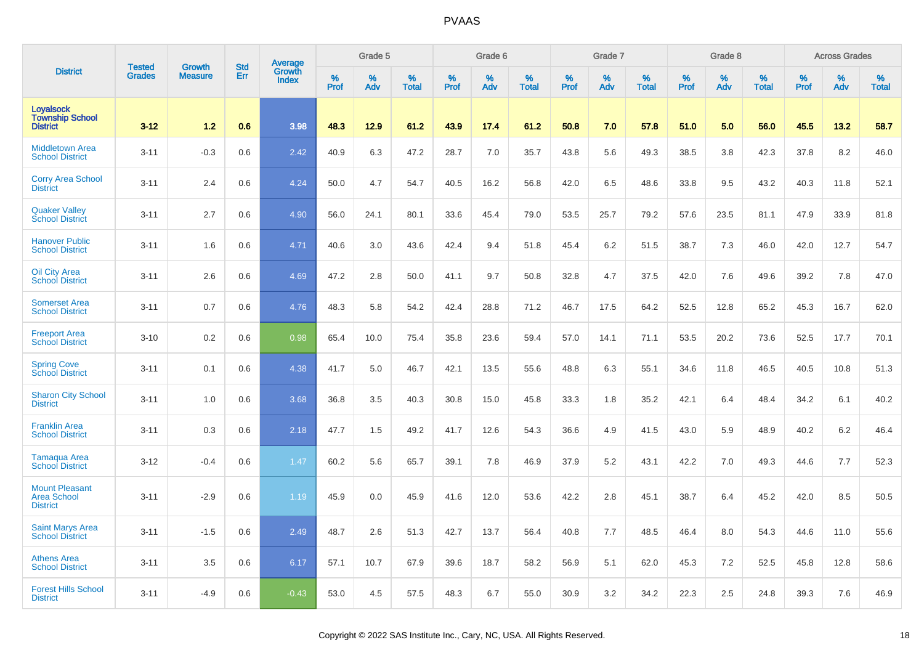|                                                                | <b>Tested</b> | <b>Growth</b>  | <b>Std</b> |                                   |                     | Grade 5  |                   |              | Grade 6  |                   |              | Grade 7  |                   |           | Grade 8  |                   |                  | <b>Across Grades</b> |                   |
|----------------------------------------------------------------|---------------|----------------|------------|-----------------------------------|---------------------|----------|-------------------|--------------|----------|-------------------|--------------|----------|-------------------|-----------|----------|-------------------|------------------|----------------------|-------------------|
| <b>District</b>                                                | <b>Grades</b> | <b>Measure</b> | Err        | Average<br>Growth<br><b>Index</b> | $\%$<br><b>Prof</b> | %<br>Adv | %<br><b>Total</b> | $\%$<br>Prof | %<br>Adv | %<br><b>Total</b> | $\%$<br>Prof | %<br>Adv | %<br><b>Total</b> | %<br>Prof | %<br>Adv | %<br><b>Total</b> | %<br><b>Prof</b> | %<br>Adv             | %<br><b>Total</b> |
| <b>Loyalsock</b><br><b>Township School</b><br><b>District</b>  | $3 - 12$      | 1.2            | 0.6        | 3.98                              | 48.3                | 12.9     | 61.2              | 43.9         | 17.4     | 61.2              | 50.8         | 7.0      | 57.8              | 51.0      | 5.0      | 56.0              | 45.5             | 13.2                 | 58.7              |
| <b>Middletown Area</b><br><b>School District</b>               | $3 - 11$      | $-0.3$         | 0.6        | 2.42                              | 40.9                | 6.3      | 47.2              | 28.7         | 7.0      | 35.7              | 43.8         | 5.6      | 49.3              | 38.5      | 3.8      | 42.3              | 37.8             | 8.2                  | 46.0              |
| <b>Corry Area School</b><br><b>District</b>                    | $3 - 11$      | 2.4            | 0.6        | 4.24                              | 50.0                | 4.7      | 54.7              | 40.5         | 16.2     | 56.8              | 42.0         | 6.5      | 48.6              | 33.8      | 9.5      | 43.2              | 40.3             | 11.8                 | 52.1              |
| <b>Quaker Valley</b><br><b>School District</b>                 | $3 - 11$      | 2.7            | 0.6        | 4.90                              | 56.0                | 24.1     | 80.1              | 33.6         | 45.4     | 79.0              | 53.5         | 25.7     | 79.2              | 57.6      | 23.5     | 81.1              | 47.9             | 33.9                 | 81.8              |
| <b>Hanover Public</b><br><b>School District</b>                | $3 - 11$      | 1.6            | 0.6        | 4.71                              | 40.6                | 3.0      | 43.6              | 42.4         | 9.4      | 51.8              | 45.4         | 6.2      | 51.5              | 38.7      | 7.3      | 46.0              | 42.0             | 12.7                 | 54.7              |
| Oil City Area<br><b>School District</b>                        | $3 - 11$      | 2.6            | 0.6        | 4.69                              | 47.2                | 2.8      | 50.0              | 41.1         | 9.7      | 50.8              | 32.8         | 4.7      | 37.5              | 42.0      | 7.6      | 49.6              | 39.2             | 7.8                  | 47.0              |
| <b>Somerset Area</b><br><b>School District</b>                 | $3 - 11$      | 0.7            | 0.6        | 4.76                              | 48.3                | 5.8      | 54.2              | 42.4         | 28.8     | 71.2              | 46.7         | 17.5     | 64.2              | 52.5      | 12.8     | 65.2              | 45.3             | 16.7                 | 62.0              |
| <b>Freeport Area</b><br><b>School District</b>                 | $3 - 10$      | 0.2            | 0.6        | 0.98                              | 65.4                | 10.0     | 75.4              | 35.8         | 23.6     | 59.4              | 57.0         | 14.1     | 71.1              | 53.5      | 20.2     | 73.6              | 52.5             | 17.7                 | 70.1              |
| <b>Spring Cove</b><br>School District                          | $3 - 11$      | 0.1            | 0.6        | 4.38                              | 41.7                | 5.0      | 46.7              | 42.1         | 13.5     | 55.6              | 48.8         | 6.3      | 55.1              | 34.6      | 11.8     | 46.5              | 40.5             | 10.8                 | 51.3              |
| <b>Sharon City School</b><br><b>District</b>                   | $3 - 11$      | 1.0            | 0.6        | 3.68                              | 36.8                | 3.5      | 40.3              | 30.8         | 15.0     | 45.8              | 33.3         | 1.8      | 35.2              | 42.1      | 6.4      | 48.4              | 34.2             | 6.1                  | 40.2              |
| <b>Franklin Area</b><br><b>School District</b>                 | $3 - 11$      | 0.3            | 0.6        | 2.18                              | 47.7                | 1.5      | 49.2              | 41.7         | 12.6     | 54.3              | 36.6         | 4.9      | 41.5              | 43.0      | 5.9      | 48.9              | 40.2             | 6.2                  | 46.4              |
| <b>Tamagua Area</b><br><b>School District</b>                  | $3 - 12$      | $-0.4$         | 0.6        | 1.47                              | 60.2                | 5.6      | 65.7              | 39.1         | 7.8      | 46.9              | 37.9         | 5.2      | 43.1              | 42.2      | 7.0      | 49.3              | 44.6             | 7.7                  | 52.3              |
| <b>Mount Pleasant</b><br><b>Area School</b><br><b>District</b> | $3 - 11$      | $-2.9$         | 0.6        | 1.19                              | 45.9                | 0.0      | 45.9              | 41.6         | 12.0     | 53.6              | 42.2         | 2.8      | 45.1              | 38.7      | 6.4      | 45.2              | 42.0             | 8.5                  | 50.5              |
| <b>Saint Marys Area</b><br><b>School District</b>              | $3 - 11$      | $-1.5$         | 0.6        | 2.49                              | 48.7                | 2.6      | 51.3              | 42.7         | 13.7     | 56.4              | 40.8         | 7.7      | 48.5              | 46.4      | 8.0      | 54.3              | 44.6             | 11.0                 | 55.6              |
| <b>Athens Area</b><br><b>School District</b>                   | $3 - 11$      | 3.5            | 0.6        | 6.17                              | 57.1                | 10.7     | 67.9              | 39.6         | 18.7     | 58.2              | 56.9         | 5.1      | 62.0              | 45.3      | 7.2      | 52.5              | 45.8             | 12.8                 | 58.6              |
| <b>Forest Hills School</b><br><b>District</b>                  | $3 - 11$      | $-4.9$         | 0.6        | $-0.43$                           | 53.0                | 4.5      | 57.5              | 48.3         | 6.7      | 55.0              | 30.9         | 3.2      | 34.2              | 22.3      | 2.5      | 24.8              | 39.3             | 7.6                  | 46.9              |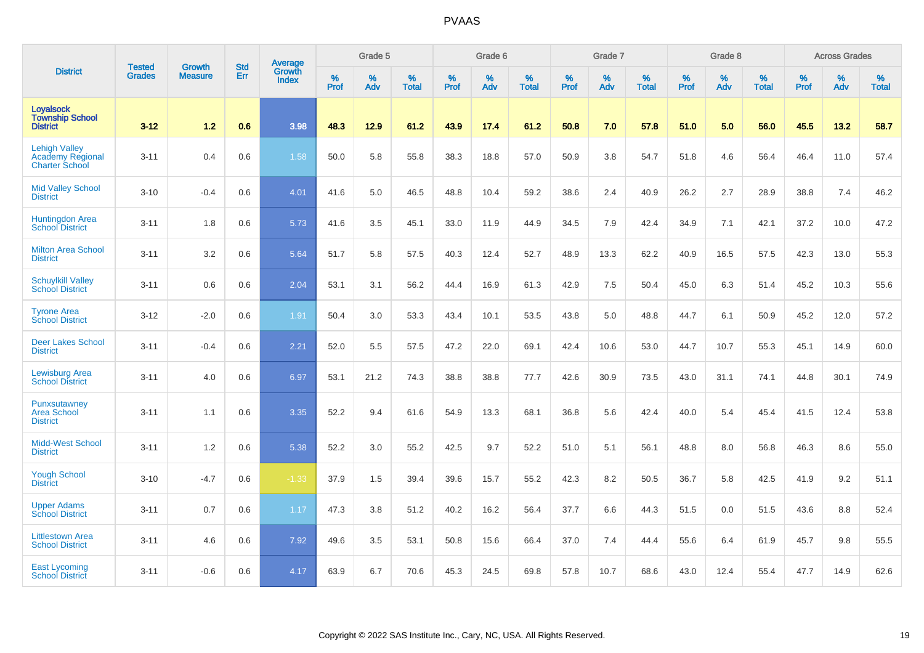|                                                                   |                                |                                 | <b>Std</b> | Average                       |              | Grade 5  |                   |           | Grade 6  |                   |           | Grade 7  |                   |           | Grade 8  |                   |           | <b>Across Grades</b> |                   |
|-------------------------------------------------------------------|--------------------------------|---------------------------------|------------|-------------------------------|--------------|----------|-------------------|-----------|----------|-------------------|-----------|----------|-------------------|-----------|----------|-------------------|-----------|----------------------|-------------------|
| <b>District</b>                                                   | <b>Tested</b><br><b>Grades</b> | <b>Growth</b><br><b>Measure</b> | Err        | <b>Growth</b><br><b>Index</b> | $\%$<br>Prof | %<br>Adv | %<br><b>Total</b> | %<br>Prof | %<br>Adv | %<br><b>Total</b> | %<br>Prof | %<br>Adv | %<br><b>Total</b> | %<br>Prof | %<br>Adv | %<br><b>Total</b> | %<br>Prof | %<br>Adv             | %<br><b>Total</b> |
| <b>Loyalsock</b><br><b>Township School</b><br><b>District</b>     | $3 - 12$                       | 1.2                             | 0.6        | 3.98                          | 48.3         | 12.9     | 61.2              | 43.9      | 17.4     | 61.2              | 50.8      | 7.0      | 57.8              | 51.0      | 5.0      | 56.0              | 45.5      | 13.2                 | 58.7              |
| <b>Lehigh Valley</b><br>Academy Regional<br><b>Charter School</b> | $3 - 11$                       | 0.4                             | 0.6        | 1.58                          | 50.0         | 5.8      | 55.8              | 38.3      | 18.8     | 57.0              | 50.9      | 3.8      | 54.7              | 51.8      | 4.6      | 56.4              | 46.4      | 11.0                 | 57.4              |
| <b>Mid Valley School</b><br><b>District</b>                       | $3 - 10$                       | $-0.4$                          | 0.6        | 4.01                          | 41.6         | 5.0      | 46.5              | 48.8      | 10.4     | 59.2              | 38.6      | 2.4      | 40.9              | 26.2      | 2.7      | 28.9              | 38.8      | 7.4                  | 46.2              |
| Huntingdon Area<br><b>School District</b>                         | $3 - 11$                       | 1.8                             | 0.6        | 5.73                          | 41.6         | 3.5      | 45.1              | 33.0      | 11.9     | 44.9              | 34.5      | 7.9      | 42.4              | 34.9      | 7.1      | 42.1              | 37.2      | 10.0                 | 47.2              |
| <b>Milton Area School</b><br><b>District</b>                      | $3 - 11$                       | 3.2                             | 0.6        | 5.64                          | 51.7         | 5.8      | 57.5              | 40.3      | 12.4     | 52.7              | 48.9      | 13.3     | 62.2              | 40.9      | 16.5     | 57.5              | 42.3      | 13.0                 | 55.3              |
| <b>Schuylkill Valley</b><br><b>School District</b>                | $3 - 11$                       | 0.6                             | 0.6        | 2.04                          | 53.1         | 3.1      | 56.2              | 44.4      | 16.9     | 61.3              | 42.9      | 7.5      | 50.4              | 45.0      | 6.3      | 51.4              | 45.2      | 10.3                 | 55.6              |
| <b>Tyrone Area</b><br><b>School District</b>                      | $3 - 12$                       | $-2.0$                          | 0.6        | 1.91                          | 50.4         | 3.0      | 53.3              | 43.4      | 10.1     | 53.5              | 43.8      | 5.0      | 48.8              | 44.7      | 6.1      | 50.9              | 45.2      | 12.0                 | 57.2              |
| <b>Deer Lakes School</b><br><b>District</b>                       | $3 - 11$                       | $-0.4$                          | 0.6        | 2.21                          | 52.0         | 5.5      | 57.5              | 47.2      | 22.0     | 69.1              | 42.4      | 10.6     | 53.0              | 44.7      | 10.7     | 55.3              | 45.1      | 14.9                 | 60.0              |
| <b>Lewisburg Area</b><br><b>School District</b>                   | $3 - 11$                       | 4.0                             | 0.6        | 6.97                          | 53.1         | 21.2     | 74.3              | 38.8      | 38.8     | 77.7              | 42.6      | 30.9     | 73.5              | 43.0      | 31.1     | 74.1              | 44.8      | 30.1                 | 74.9              |
| Punxsutawney<br><b>Area School</b><br><b>District</b>             | $3 - 11$                       | 1.1                             | 0.6        | 3.35                          | 52.2         | 9.4      | 61.6              | 54.9      | 13.3     | 68.1              | 36.8      | 5.6      | 42.4              | 40.0      | 5.4      | 45.4              | 41.5      | 12.4                 | 53.8              |
| <b>Midd-West School</b><br><b>District</b>                        | $3 - 11$                       | 1.2                             | 0.6        | 5.38                          | 52.2         | 3.0      | 55.2              | 42.5      | 9.7      | 52.2              | 51.0      | 5.1      | 56.1              | 48.8      | 8.0      | 56.8              | 46.3      | 8.6                  | 55.0              |
| <b>Yough School</b><br><b>District</b>                            | $3 - 10$                       | $-4.7$                          | 0.6        | $-1.33$                       | 37.9         | 1.5      | 39.4              | 39.6      | 15.7     | 55.2              | 42.3      | 8.2      | 50.5              | 36.7      | 5.8      | 42.5              | 41.9      | 9.2                  | 51.1              |
| <b>Upper Adams</b><br><b>School District</b>                      | $3 - 11$                       | 0.7                             | 0.6        | 1.17                          | 47.3         | 3.8      | 51.2              | 40.2      | 16.2     | 56.4              | 37.7      | 6.6      | 44.3              | 51.5      | 0.0      | 51.5              | 43.6      | 8.8                  | 52.4              |
| <b>Littlestown Area</b><br><b>School District</b>                 | $3 - 11$                       | 4.6                             | 0.6        | 7.92                          | 49.6         | 3.5      | 53.1              | 50.8      | 15.6     | 66.4              | 37.0      | 7.4      | 44.4              | 55.6      | 6.4      | 61.9              | 45.7      | 9.8                  | 55.5              |
| <b>East Lycoming</b><br><b>School District</b>                    | $3 - 11$                       | $-0.6$                          | 0.6        | 4.17                          | 63.9         | 6.7      | 70.6              | 45.3      | 24.5     | 69.8              | 57.8      | 10.7     | 68.6              | 43.0      | 12.4     | 55.4              | 47.7      | 14.9                 | 62.6              |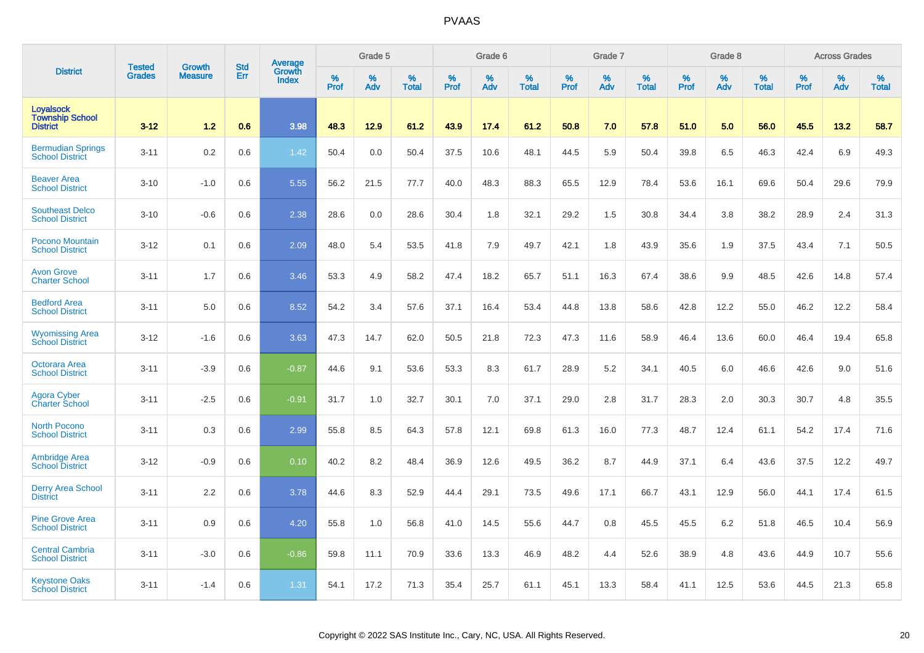|                                                               |                         | <b>Growth</b>  | <b>Std</b> | Average                |                     | Grade 5  |                      |              | Grade 6  |                      |                     | Grade 7     |                      |                     | Grade 8     |                   |                     | <b>Across Grades</b> |                   |
|---------------------------------------------------------------|-------------------------|----------------|------------|------------------------|---------------------|----------|----------------------|--------------|----------|----------------------|---------------------|-------------|----------------------|---------------------|-------------|-------------------|---------------------|----------------------|-------------------|
| <b>District</b>                                               | <b>Tested</b><br>Grades | <b>Measure</b> | Err        | Growth<br><b>Index</b> | $\%$<br><b>Prof</b> | %<br>Adv | $\%$<br><b>Total</b> | $\%$<br>Prof | %<br>Adv | $\%$<br><b>Total</b> | $\%$<br><b>Prof</b> | $\%$<br>Adv | $\%$<br><b>Total</b> | $\%$<br><b>Prof</b> | $\%$<br>Adv | %<br><b>Total</b> | $\%$<br><b>Prof</b> | %<br>Adv             | %<br><b>Total</b> |
| <b>Loyalsock</b><br><b>Township School</b><br><b>District</b> | $3 - 12$                | 1.2            | 0.6        | 3.98                   | 48.3                | 12.9     | 61.2                 | 43.9         | 17.4     | 61.2                 | 50.8                | 7.0         | 57.8                 | 51.0                | 5.0         | 56.0              | 45.5                | 13.2                 | 58.7              |
| <b>Bermudian Springs</b><br><b>School District</b>            | $3 - 11$                | 0.2            | 0.6        | 1.42                   | 50.4                | 0.0      | 50.4                 | 37.5         | 10.6     | 48.1                 | 44.5                | 5.9         | 50.4                 | 39.8                | 6.5         | 46.3              | 42.4                | 6.9                  | 49.3              |
| <b>Beaver Area</b><br><b>School District</b>                  | $3 - 10$                | $-1.0$         | 0.6        | 5.55                   | 56.2                | 21.5     | 77.7                 | 40.0         | 48.3     | 88.3                 | 65.5                | 12.9        | 78.4                 | 53.6                | 16.1        | 69.6              | 50.4                | 29.6                 | 79.9              |
| <b>Southeast Delco</b><br><b>School District</b>              | $3 - 10$                | $-0.6$         | 0.6        | 2.38                   | 28.6                | 0.0      | 28.6                 | 30.4         | 1.8      | 32.1                 | 29.2                | 1.5         | 30.8                 | 34.4                | 3.8         | 38.2              | 28.9                | 2.4                  | 31.3              |
| <b>Pocono Mountain</b><br><b>School District</b>              | $3 - 12$                | 0.1            | 0.6        | 2.09                   | 48.0                | 5.4      | 53.5                 | 41.8         | 7.9      | 49.7                 | 42.1                | 1.8         | 43.9                 | 35.6                | 1.9         | 37.5              | 43.4                | 7.1                  | 50.5              |
| <b>Avon Grove</b><br><b>Charter School</b>                    | $3 - 11$                | 1.7            | 0.6        | 3.46                   | 53.3                | 4.9      | 58.2                 | 47.4         | 18.2     | 65.7                 | 51.1                | 16.3        | 67.4                 | 38.6                | 9.9         | 48.5              | 42.6                | 14.8                 | 57.4              |
| <b>Bedford Area</b><br><b>School District</b>                 | $3 - 11$                | 5.0            | 0.6        | 8.52                   | 54.2                | 3.4      | 57.6                 | 37.1         | 16.4     | 53.4                 | 44.8                | 13.8        | 58.6                 | 42.8                | 12.2        | 55.0              | 46.2                | 12.2                 | 58.4              |
| <b>Wyomissing Area</b><br><b>School District</b>              | $3 - 12$                | $-1.6$         | 0.6        | 3.63                   | 47.3                | 14.7     | 62.0                 | 50.5         | 21.8     | 72.3                 | 47.3                | 11.6        | 58.9                 | 46.4                | 13.6        | 60.0              | 46.4                | 19.4                 | 65.8              |
| <b>Octorara Area</b><br><b>School District</b>                | $3 - 11$                | $-3.9$         | 0.6        | $-0.87$                | 44.6                | 9.1      | 53.6                 | 53.3         | 8.3      | 61.7                 | 28.9                | 5.2         | 34.1                 | 40.5                | 6.0         | 46.6              | 42.6                | 9.0                  | 51.6              |
| Agora Cyber<br>Charter School                                 | $3 - 11$                | $-2.5$         | 0.6        | $-0.91$                | 31.7                | 1.0      | 32.7                 | 30.1         | 7.0      | 37.1                 | 29.0                | 2.8         | 31.7                 | 28.3                | 2.0         | 30.3              | 30.7                | 4.8                  | 35.5              |
| <b>North Pocono</b><br><b>School District</b>                 | $3 - 11$                | 0.3            | 0.6        | 2.99                   | 55.8                | 8.5      | 64.3                 | 57.8         | 12.1     | 69.8                 | 61.3                | 16.0        | 77.3                 | 48.7                | 12.4        | 61.1              | 54.2                | 17.4                 | 71.6              |
| <b>Ambridge Area</b><br><b>School District</b>                | $3 - 12$                | $-0.9$         | 0.6        | 0.10                   | 40.2                | 8.2      | 48.4                 | 36.9         | 12.6     | 49.5                 | 36.2                | 8.7         | 44.9                 | 37.1                | 6.4         | 43.6              | 37.5                | 12.2                 | 49.7              |
| <b>Derry Area School</b><br><b>District</b>                   | $3 - 11$                | 2.2            | 0.6        | 3.78                   | 44.6                | 8.3      | 52.9                 | 44.4         | 29.1     | 73.5                 | 49.6                | 17.1        | 66.7                 | 43.1                | 12.9        | 56.0              | 44.1                | 17.4                 | 61.5              |
| <b>Pine Grove Area</b><br><b>School District</b>              | $3 - 11$                | 0.9            | 0.6        | 4.20                   | 55.8                | 1.0      | 56.8                 | 41.0         | 14.5     | 55.6                 | 44.7                | 0.8         | 45.5                 | 45.5                | 6.2         | 51.8              | 46.5                | 10.4                 | 56.9              |
| <b>Central Cambria</b><br><b>School District</b>              | $3 - 11$                | $-3.0$         | 0.6        | $-0.86$                | 59.8                | 11.1     | 70.9                 | 33.6         | 13.3     | 46.9                 | 48.2                | 4.4         | 52.6                 | 38.9                | 4.8         | 43.6              | 44.9                | 10.7                 | 55.6              |
| <b>Keystone Oaks</b><br><b>School District</b>                | $3 - 11$                | $-1.4$         | 0.6        | 1.31                   | 54.1                | 17.2     | 71.3                 | 35.4         | 25.7     | 61.1                 | 45.1                | 13.3        | 58.4                 | 41.1                | 12.5        | 53.6              | 44.5                | 21.3                 | 65.8              |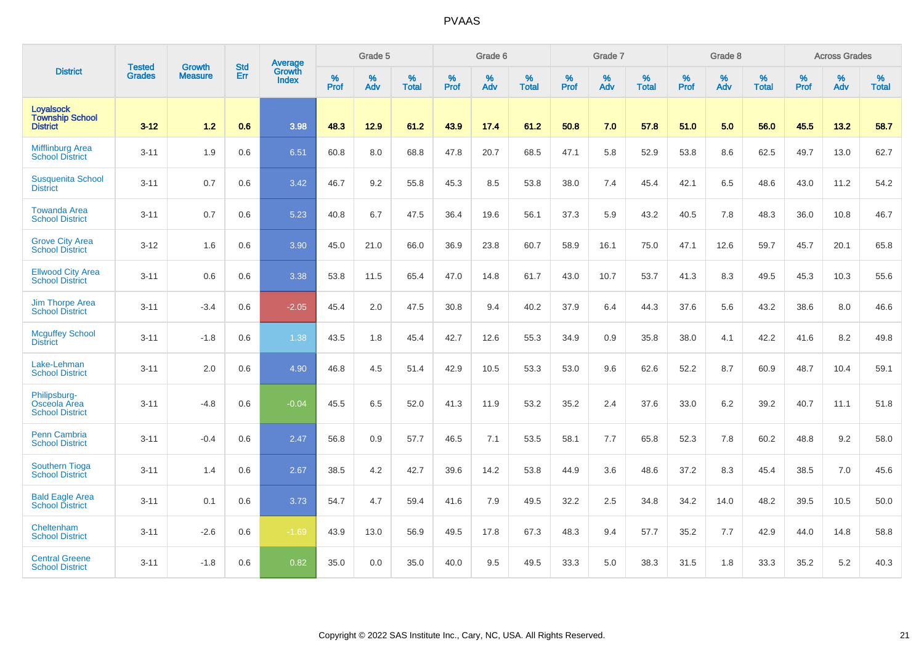|                                                               | <b>Tested</b> | <b>Growth</b>  | <b>Std</b> | <b>Average</b>         |                  | Grade 5  |                   |           | Grade 6  |                   |           | Grade 7  |                   |           | Grade 8  |                   |           | <b>Across Grades</b> |                   |
|---------------------------------------------------------------|---------------|----------------|------------|------------------------|------------------|----------|-------------------|-----------|----------|-------------------|-----------|----------|-------------------|-----------|----------|-------------------|-----------|----------------------|-------------------|
| <b>District</b>                                               | <b>Grades</b> | <b>Measure</b> | <b>Err</b> | Growth<br><b>Index</b> | %<br><b>Prof</b> | %<br>Adv | %<br><b>Total</b> | %<br>Prof | %<br>Adv | %<br><b>Total</b> | %<br>Prof | %<br>Adv | %<br><b>Total</b> | %<br>Prof | %<br>Adv | %<br><b>Total</b> | %<br>Prof | %<br>Adv             | %<br><b>Total</b> |
| <b>Loyalsock</b><br><b>Township School</b><br><b>District</b> | $3 - 12$      | 1.2            | 0.6        | 3.98                   | 48.3             | 12.9     | 61.2              | 43.9      | 17.4     | 61.2              | 50.8      | 7.0      | 57.8              | 51.0      | 5.0      | 56.0              | 45.5      | 13.2                 | 58.7              |
| <b>Mifflinburg Area</b><br><b>School District</b>             | $3 - 11$      | 1.9            | 0.6        | 6.51                   | 60.8             | 8.0      | 68.8              | 47.8      | 20.7     | 68.5              | 47.1      | 5.8      | 52.9              | 53.8      | 8.6      | 62.5              | 49.7      | 13.0                 | 62.7              |
| <b>Susquenita School</b><br><b>District</b>                   | $3 - 11$      | 0.7            | 0.6        | 3.42                   | 46.7             | 9.2      | 55.8              | 45.3      | 8.5      | 53.8              | 38.0      | 7.4      | 45.4              | 42.1      | 6.5      | 48.6              | 43.0      | 11.2                 | 54.2              |
| <b>Towanda Area</b><br><b>School District</b>                 | $3 - 11$      | 0.7            | 0.6        | 5.23                   | 40.8             | 6.7      | 47.5              | 36.4      | 19.6     | 56.1              | 37.3      | 5.9      | 43.2              | 40.5      | 7.8      | 48.3              | 36.0      | 10.8                 | 46.7              |
| <b>Grove City Area</b><br><b>School District</b>              | $3 - 12$      | 1.6            | 0.6        | 3.90                   | 45.0             | 21.0     | 66.0              | 36.9      | 23.8     | 60.7              | 58.9      | 16.1     | 75.0              | 47.1      | 12.6     | 59.7              | 45.7      | 20.1                 | 65.8              |
| <b>Ellwood City Area</b><br><b>School District</b>            | $3 - 11$      | 0.6            | 0.6        | 3.38                   | 53.8             | 11.5     | 65.4              | 47.0      | 14.8     | 61.7              | 43.0      | 10.7     | 53.7              | 41.3      | 8.3      | 49.5              | 45.3      | 10.3                 | 55.6              |
| Jim Thorpe Area<br><b>School District</b>                     | $3 - 11$      | $-3.4$         | 0.6        | $-2.05$                | 45.4             | 2.0      | 47.5              | 30.8      | 9.4      | 40.2              | 37.9      | 6.4      | 44.3              | 37.6      | 5.6      | 43.2              | 38.6      | 8.0                  | 46.6              |
| <b>Mcguffey School</b><br><b>District</b>                     | $3 - 11$      | $-1.8$         | 0.6        | 1.38                   | 43.5             | 1.8      | 45.4              | 42.7      | 12.6     | 55.3              | 34.9      | 0.9      | 35.8              | 38.0      | 4.1      | 42.2              | 41.6      | 8.2                  | 49.8              |
| Lake-Lehman<br><b>School District</b>                         | $3 - 11$      | 2.0            | 0.6        | 4.90                   | 46.8             | 4.5      | 51.4              | 42.9      | 10.5     | 53.3              | 53.0      | 9.6      | 62.6              | 52.2      | 8.7      | 60.9              | 48.7      | 10.4                 | 59.1              |
| Philipsburg-<br>Osceola Area<br><b>School District</b>        | $3 - 11$      | $-4.8$         | 0.6        | $-0.04$                | 45.5             | 6.5      | 52.0              | 41.3      | 11.9     | 53.2              | 35.2      | 2.4      | 37.6              | 33.0      | 6.2      | 39.2              | 40.7      | 11.1                 | 51.8              |
| Penn Cambria<br><b>School District</b>                        | $3 - 11$      | $-0.4$         | 0.6        | 2.47                   | 56.8             | 0.9      | 57.7              | 46.5      | 7.1      | 53.5              | 58.1      | 7.7      | 65.8              | 52.3      | 7.8      | 60.2              | 48.8      | 9.2                  | 58.0              |
| <b>Southern Tioga</b><br><b>School District</b>               | $3 - 11$      | 1.4            | 0.6        | 2.67                   | 38.5             | 4.2      | 42.7              | 39.6      | 14.2     | 53.8              | 44.9      | 3.6      | 48.6              | 37.2      | 8.3      | 45.4              | 38.5      | 7.0                  | 45.6              |
| <b>Bald Eagle Area</b><br><b>School District</b>              | $3 - 11$      | 0.1            | 0.6        | 3.73                   | 54.7             | 4.7      | 59.4              | 41.6      | 7.9      | 49.5              | 32.2      | 2.5      | 34.8              | 34.2      | 14.0     | 48.2              | 39.5      | 10.5                 | 50.0              |
| Cheltenham<br><b>School District</b>                          | $3 - 11$      | $-2.6$         | 0.6        | $-1.69$                | 43.9             | 13.0     | 56.9              | 49.5      | 17.8     | 67.3              | 48.3      | 9.4      | 57.7              | 35.2      | 7.7      | 42.9              | 44.0      | 14.8                 | 58.8              |
| <b>Central Greene</b><br><b>School District</b>               | $3 - 11$      | $-1.8$         | 0.6        | 0.82                   | 35.0             | 0.0      | 35.0              | 40.0      | 9.5      | 49.5              | 33.3      | 5.0      | 38.3              | 31.5      | 1.8      | 33.3              | 35.2      | 5.2                  | 40.3              |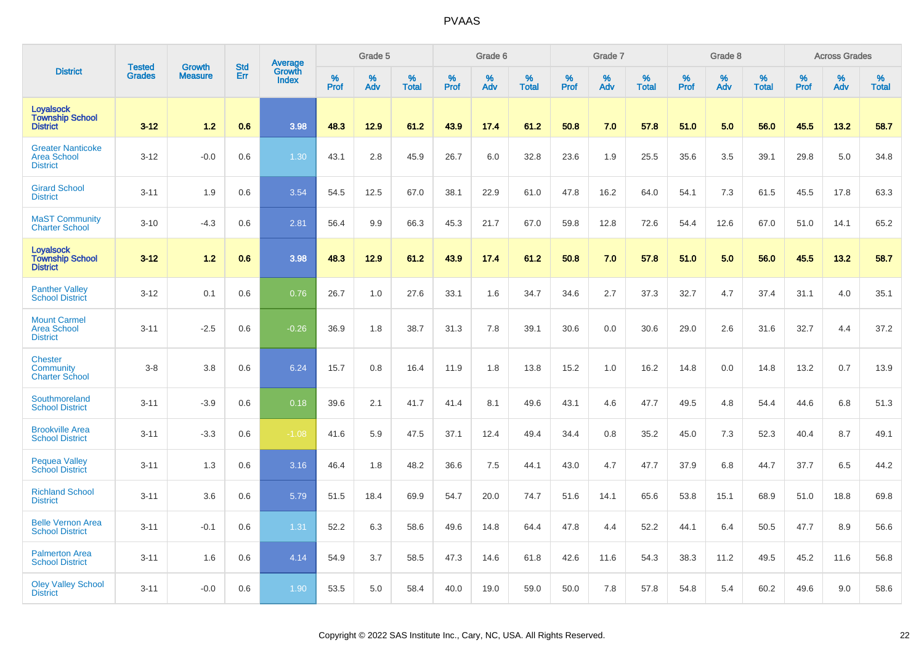|                                                                   |                                | <b>Growth</b>  | <b>Std</b> | <b>Average</b><br>Growth |                  | Grade 5  |                   |           | Grade 6  |                   |           | Grade 7  |                   |           | Grade 8  |                   |                  | <b>Across Grades</b> |                   |
|-------------------------------------------------------------------|--------------------------------|----------------|------------|--------------------------|------------------|----------|-------------------|-----------|----------|-------------------|-----------|----------|-------------------|-----------|----------|-------------------|------------------|----------------------|-------------------|
| <b>District</b>                                                   | <b>Tested</b><br><b>Grades</b> | <b>Measure</b> | Err        | <b>Index</b>             | %<br><b>Prof</b> | %<br>Adv | %<br><b>Total</b> | %<br>Prof | %<br>Adv | %<br><b>Total</b> | %<br>Prof | %<br>Adv | %<br><b>Total</b> | %<br>Prof | %<br>Adv | %<br><b>Total</b> | %<br><b>Prof</b> | %<br>Adv             | %<br><b>Total</b> |
| <b>Loyalsock</b><br><b>Township School</b><br><b>District</b>     | $3 - 12$                       | 1.2            | 0.6        | 3.98                     | 48.3             | 12.9     | 61.2              | 43.9      | 17.4     | 61.2              | 50.8      | 7.0      | 57.8              | 51.0      | 5.0      | 56.0              | 45.5             | 13.2                 | 58.7              |
| <b>Greater Nanticoke</b><br><b>Area School</b><br><b>District</b> | $3 - 12$                       | $-0.0$         | 0.6        | 1.30                     | 43.1             | 2.8      | 45.9              | 26.7      | 6.0      | 32.8              | 23.6      | 1.9      | 25.5              | 35.6      | 3.5      | 39.1              | 29.8             | 5.0                  | 34.8              |
| <b>Girard School</b><br><b>District</b>                           | $3 - 11$                       | 1.9            | 0.6        | 3.54                     | 54.5             | 12.5     | 67.0              | 38.1      | 22.9     | 61.0              | 47.8      | 16.2     | 64.0              | 54.1      | 7.3      | 61.5              | 45.5             | 17.8                 | 63.3              |
| <b>MaST Community</b><br><b>Charter School</b>                    | $3 - 10$                       | $-4.3$         | 0.6        | 2.81                     | 56.4             | 9.9      | 66.3              | 45.3      | 21.7     | 67.0              | 59.8      | 12.8     | 72.6              | 54.4      | 12.6     | 67.0              | 51.0             | 14.1                 | 65.2              |
| <b>Loyalsock</b><br><b>Township School</b><br><b>District</b>     | $3 - 12$                       | 1.2            | 0.6        | 3.98                     | 48.3             | 12.9     | 61.2              | 43.9      | 17.4     | 61.2              | 50.8      | 7.0      | 57.8              | 51.0      | 5.0      | 56.0              | 45.5             | 13.2                 | 58.7              |
| <b>Panther Valley</b><br><b>School District</b>                   | $3 - 12$                       | 0.1            | 0.6        | 0.76                     | 26.7             | 1.0      | 27.6              | 33.1      | 1.6      | 34.7              | 34.6      | 2.7      | 37.3              | 32.7      | 4.7      | 37.4              | 31.1             | 4.0                  | 35.1              |
| <b>Mount Carmel</b><br><b>Area School</b><br><b>District</b>      | $3 - 11$                       | $-2.5$         | 0.6        | $-0.26$                  | 36.9             | 1.8      | 38.7              | 31.3      | 7.8      | 39.1              | 30.6      | 0.0      | 30.6              | 29.0      | 2.6      | 31.6              | 32.7             | 4.4                  | 37.2              |
| <b>Chester</b><br>Community<br><b>Charter School</b>              | $3 - 8$                        | 3.8            | 0.6        | 6.24                     | 15.7             | 0.8      | 16.4              | 11.9      | 1.8      | 13.8              | 15.2      | 1.0      | 16.2              | 14.8      | 0.0      | 14.8              | 13.2             | 0.7                  | 13.9              |
| Southmoreland<br><b>School District</b>                           | $3 - 11$                       | $-3.9$         | 0.6        | 0.18                     | 39.6             | 2.1      | 41.7              | 41.4      | 8.1      | 49.6              | 43.1      | 4.6      | 47.7              | 49.5      | 4.8      | 54.4              | 44.6             | 6.8                  | 51.3              |
| <b>Brookville Area</b><br><b>School District</b>                  | $3 - 11$                       | $-3.3$         | 0.6        | $-1.08$                  | 41.6             | 5.9      | 47.5              | 37.1      | 12.4     | 49.4              | 34.4      | 0.8      | 35.2              | 45.0      | 7.3      | 52.3              | 40.4             | 8.7                  | 49.1              |
| <b>Pequea Valley</b><br><b>School District</b>                    | $3 - 11$                       | 1.3            | 0.6        | 3.16                     | 46.4             | 1.8      | 48.2              | 36.6      | 7.5      | 44.1              | 43.0      | 4.7      | 47.7              | 37.9      | 6.8      | 44.7              | 37.7             | 6.5                  | 44.2              |
| <b>Richland School</b><br><b>District</b>                         | $3 - 11$                       | 3.6            | 0.6        | 5.79                     | 51.5             | 18.4     | 69.9              | 54.7      | 20.0     | 74.7              | 51.6      | 14.1     | 65.6              | 53.8      | 15.1     | 68.9              | 51.0             | 18.8                 | 69.8              |
| <b>Belle Vernon Area</b><br><b>School District</b>                | $3 - 11$                       | $-0.1$         | 0.6        | 1.31                     | 52.2             | 6.3      | 58.6              | 49.6      | 14.8     | 64.4              | 47.8      | 4.4      | 52.2              | 44.1      | 6.4      | 50.5              | 47.7             | 8.9                  | 56.6              |
| <b>Palmerton Area</b><br><b>School District</b>                   | $3 - 11$                       | 1.6            | 0.6        | 4.14                     | 54.9             | 3.7      | 58.5              | 47.3      | 14.6     | 61.8              | 42.6      | 11.6     | 54.3              | 38.3      | 11.2     | 49.5              | 45.2             | 11.6                 | 56.8              |
| <b>Oley Valley School</b><br><b>District</b>                      | $3 - 11$                       | $-0.0$         | 0.6        | 1.90                     | 53.5             | 5.0      | 58.4              | 40.0      | 19.0     | 59.0              | 50.0      | 7.8      | 57.8              | 54.8      | 5.4      | 60.2              | 49.6             | 9.0                  | 58.6              |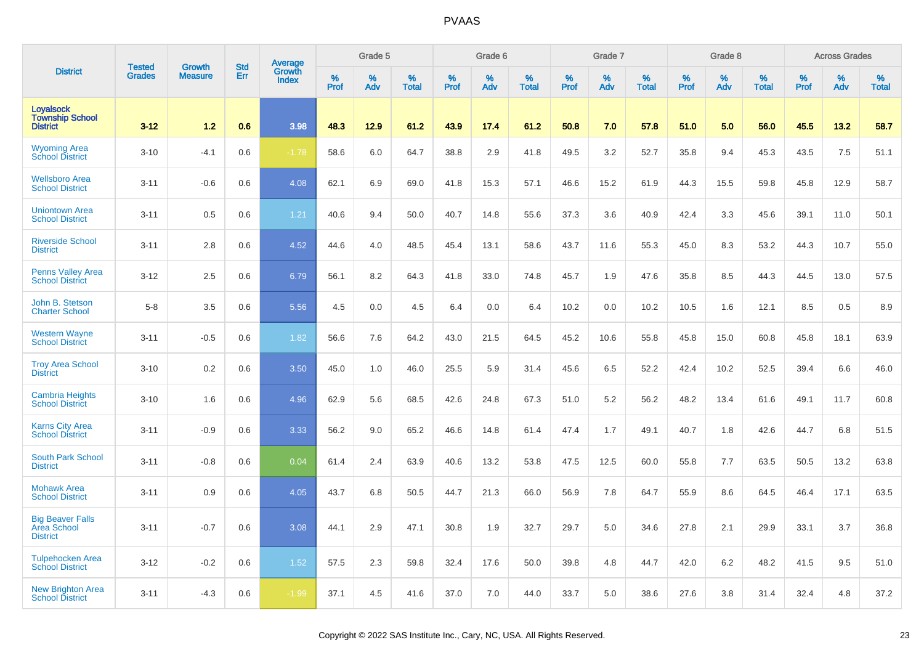|                                                               | <b>Tested</b> | <b>Growth</b>  | <b>Std</b> |                                   |                     | Grade 5  |                   |              | Grade 6  |                   |              | Grade 7  |                   |              | Grade 8  |                   |                  | <b>Across Grades</b> |                   |
|---------------------------------------------------------------|---------------|----------------|------------|-----------------------------------|---------------------|----------|-------------------|--------------|----------|-------------------|--------------|----------|-------------------|--------------|----------|-------------------|------------------|----------------------|-------------------|
| <b>District</b>                                               | <b>Grades</b> | <b>Measure</b> | Err        | Average<br>Growth<br><b>Index</b> | $\%$<br><b>Prof</b> | %<br>Adv | %<br><b>Total</b> | $\%$<br>Prof | %<br>Adv | %<br><b>Total</b> | $\%$<br>Prof | %<br>Adv | %<br><b>Total</b> | $\%$<br>Prof | %<br>Adv | %<br><b>Total</b> | %<br><b>Prof</b> | %<br>Adv             | %<br><b>Total</b> |
| <b>Loyalsock</b><br><b>Township School</b><br><b>District</b> | $3 - 12$      | 1.2            | 0.6        | 3.98                              | 48.3                | 12.9     | 61.2              | 43.9         | 17.4     | 61.2              | 50.8         | 7.0      | 57.8              | 51.0         | 5.0      | 56.0              | 45.5             | 13.2                 | 58.7              |
| <b>Wyoming Area</b><br><b>School District</b>                 | $3 - 10$      | $-4.1$         | 0.6        | $-1.78$                           | 58.6                | 6.0      | 64.7              | 38.8         | 2.9      | 41.8              | 49.5         | 3.2      | 52.7              | 35.8         | 9.4      | 45.3              | 43.5             | 7.5                  | 51.1              |
| <b>Wellsboro Area</b><br><b>School District</b>               | $3 - 11$      | $-0.6$         | 0.6        | 4.08                              | 62.1                | 6.9      | 69.0              | 41.8         | 15.3     | 57.1              | 46.6         | 15.2     | 61.9              | 44.3         | 15.5     | 59.8              | 45.8             | 12.9                 | 58.7              |
| <b>Uniontown Area</b><br><b>School District</b>               | $3 - 11$      | 0.5            | 0.6        | 1.21                              | 40.6                | 9.4      | 50.0              | 40.7         | 14.8     | 55.6              | 37.3         | 3.6      | 40.9              | 42.4         | 3.3      | 45.6              | 39.1             | 11.0                 | 50.1              |
| <b>Riverside School</b><br><b>District</b>                    | $3 - 11$      | 2.8            | 0.6        | 4.52                              | 44.6                | 4.0      | 48.5              | 45.4         | 13.1     | 58.6              | 43.7         | 11.6     | 55.3              | 45.0         | 8.3      | 53.2              | 44.3             | 10.7                 | 55.0              |
| Penns Valley Area<br><b>School District</b>                   | $3-12$        | 2.5            | 0.6        | 6.79                              | 56.1                | 8.2      | 64.3              | 41.8         | 33.0     | 74.8              | 45.7         | 1.9      | 47.6              | 35.8         | 8.5      | 44.3              | 44.5             | 13.0                 | 57.5              |
| John B. Stetson<br><b>Charter School</b>                      | $5-8$         | 3.5            | 0.6        | 5.56                              | 4.5                 | 0.0      | 4.5               | 6.4          | 0.0      | 6.4               | 10.2         | 0.0      | 10.2              | 10.5         | 1.6      | 12.1              | 8.5              | 0.5                  | 8.9               |
| <b>Western Wayne</b><br><b>School District</b>                | $3 - 11$      | $-0.5$         | 0.6        | 1.82                              | 56.6                | 7.6      | 64.2              | 43.0         | 21.5     | 64.5              | 45.2         | 10.6     | 55.8              | 45.8         | 15.0     | 60.8              | 45.8             | 18.1                 | 63.9              |
| <b>Troy Area School</b><br><b>District</b>                    | $3 - 10$      | 0.2            | 0.6        | 3.50                              | 45.0                | 1.0      | 46.0              | 25.5         | 5.9      | 31.4              | 45.6         | 6.5      | 52.2              | 42.4         | 10.2     | 52.5              | 39.4             | 6.6                  | 46.0              |
| <b>Cambria Heights</b><br><b>School District</b>              | $3 - 10$      | 1.6            | 0.6        | 4.96                              | 62.9                | 5.6      | 68.5              | 42.6         | 24.8     | 67.3              | 51.0         | 5.2      | 56.2              | 48.2         | 13.4     | 61.6              | 49.1             | 11.7                 | 60.8              |
| <b>Karns City Area</b><br><b>School District</b>              | $3 - 11$      | $-0.9$         | 0.6        | 3.33                              | 56.2                | 9.0      | 65.2              | 46.6         | 14.8     | 61.4              | 47.4         | 1.7      | 49.1              | 40.7         | 1.8      | 42.6              | 44.7             | 6.8                  | 51.5              |
| <b>South Park School</b><br><b>District</b>                   | $3 - 11$      | $-0.8$         | 0.6        | 0.04                              | 61.4                | 2.4      | 63.9              | 40.6         | 13.2     | 53.8              | 47.5         | 12.5     | 60.0              | 55.8         | 7.7      | 63.5              | 50.5             | 13.2                 | 63.8              |
| <b>Mohawk Area</b><br><b>School District</b>                  | $3 - 11$      | 0.9            | 0.6        | 4.05                              | 43.7                | 6.8      | 50.5              | 44.7         | 21.3     | 66.0              | 56.9         | 7.8      | 64.7              | 55.9         | 8.6      | 64.5              | 46.4             | 17.1                 | 63.5              |
| <b>Big Beaver Falls</b><br>Area School<br><b>District</b>     | $3 - 11$      | $-0.7$         | 0.6        | 3.08                              | 44.1                | 2.9      | 47.1              | 30.8         | 1.9      | 32.7              | 29.7         | 5.0      | 34.6              | 27.8         | 2.1      | 29.9              | 33.1             | 3.7                  | 36.8              |
| <b>Tulpehocken Area</b><br><b>School District</b>             | $3 - 12$      | $-0.2$         | 0.6        | 1.52                              | 57.5                | 2.3      | 59.8              | 32.4         | 17.6     | 50.0              | 39.8         | 4.8      | 44.7              | 42.0         | 6.2      | 48.2              | 41.5             | 9.5                  | 51.0              |
| <b>New Brighton Area</b><br><b>School District</b>            | $3 - 11$      | $-4.3$         | 0.6        | $-1.99$                           | 37.1                | 4.5      | 41.6              | 37.0         | 7.0      | 44.0              | 33.7         | 5.0      | 38.6              | 27.6         | 3.8      | 31.4              | 32.4             | 4.8                  | 37.2              |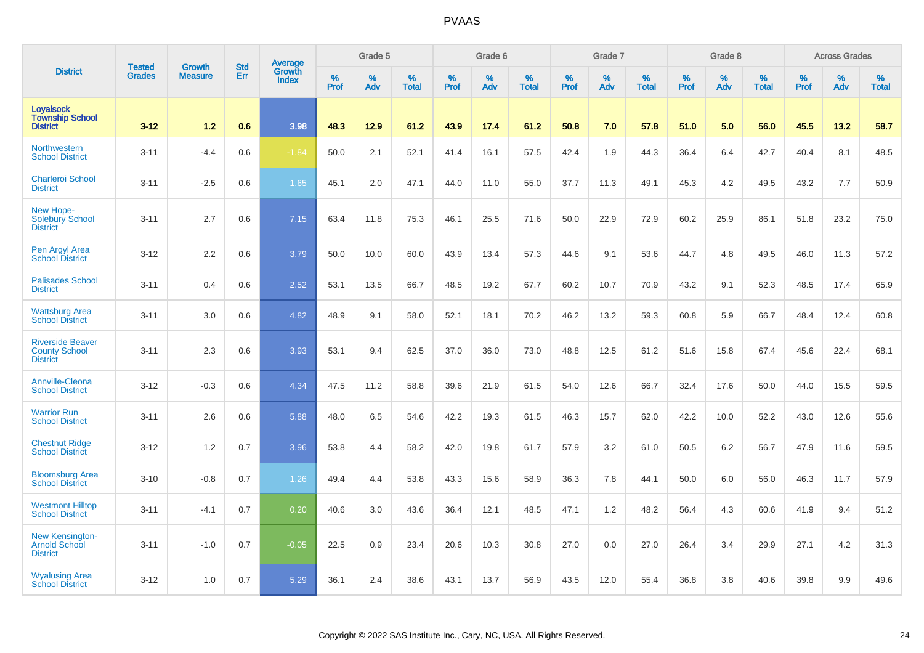|                                                                    |                                | <b>Growth</b>  | <b>Std</b> | Average         |              | Grade 5  |                   |           | Grade 6  |                   |              | Grade 7  |                   |           | Grade 8  |                   |              | <b>Across Grades</b> |                   |
|--------------------------------------------------------------------|--------------------------------|----------------|------------|-----------------|--------------|----------|-------------------|-----------|----------|-------------------|--------------|----------|-------------------|-----------|----------|-------------------|--------------|----------------------|-------------------|
| <b>District</b>                                                    | <b>Tested</b><br><b>Grades</b> | <b>Measure</b> | Err        | Growth<br>Index | $\%$<br>Prof | %<br>Adv | %<br><b>Total</b> | %<br>Prof | %<br>Adv | %<br><b>Total</b> | $\%$<br>Prof | %<br>Adv | %<br><b>Total</b> | %<br>Prof | %<br>Adv | %<br><b>Total</b> | $\%$<br>Prof | %<br>Adv             | %<br><b>Total</b> |
| <b>Loyalsock</b><br><b>Township School</b><br><b>District</b>      | $3 - 12$                       | 1.2            | 0.6        | 3.98            | 48.3         | 12.9     | 61.2              | 43.9      | 17.4     | 61.2              | 50.8         | 7.0      | 57.8              | 51.0      | 5.0      | 56.0              | 45.5         | 13.2                 | 58.7              |
| Northwestern<br><b>School District</b>                             | $3 - 11$                       | $-4.4$         | 0.6        | $-1.84$         | 50.0         | 2.1      | 52.1              | 41.4      | 16.1     | 57.5              | 42.4         | 1.9      | 44.3              | 36.4      | 6.4      | 42.7              | 40.4         | 8.1                  | 48.5              |
| <b>Charleroi School</b><br><b>District</b>                         | $3 - 11$                       | $-2.5$         | 0.6        | 1.65            | 45.1         | 2.0      | 47.1              | 44.0      | 11.0     | 55.0              | 37.7         | 11.3     | 49.1              | 45.3      | 4.2      | 49.5              | 43.2         | 7.7                  | 50.9              |
| New Hope-<br><b>Solebury School</b><br><b>District</b>             | $3 - 11$                       | 2.7            | 0.6        | 7.15            | 63.4         | 11.8     | 75.3              | 46.1      | 25.5     | 71.6              | 50.0         | 22.9     | 72.9              | 60.2      | 25.9     | 86.1              | 51.8         | 23.2                 | 75.0              |
| Pen Argyl Area<br><b>School District</b>                           | $3 - 12$                       | 2.2            | 0.6        | 3.79            | 50.0         | 10.0     | 60.0              | 43.9      | 13.4     | 57.3              | 44.6         | 9.1      | 53.6              | 44.7      | 4.8      | 49.5              | 46.0         | 11.3                 | 57.2              |
| <b>Palisades School</b><br><b>District</b>                         | $3 - 11$                       | 0.4            | 0.6        | 2.52            | 53.1         | 13.5     | 66.7              | 48.5      | 19.2     | 67.7              | 60.2         | 10.7     | 70.9              | 43.2      | 9.1      | 52.3              | 48.5         | 17.4                 | 65.9              |
| <b>Wattsburg Area</b><br><b>School District</b>                    | $3 - 11$                       | 3.0            | 0.6        | 4.82            | 48.9         | 9.1      | 58.0              | 52.1      | 18.1     | 70.2              | 46.2         | 13.2     | 59.3              | 60.8      | 5.9      | 66.7              | 48.4         | 12.4                 | 60.8              |
| <b>Riverside Beaver</b><br><b>County School</b><br><b>District</b> | $3 - 11$                       | 2.3            | 0.6        | 3.93            | 53.1         | 9.4      | 62.5              | 37.0      | 36.0     | 73.0              | 48.8         | 12.5     | 61.2              | 51.6      | 15.8     | 67.4              | 45.6         | 22.4                 | 68.1              |
| Annville-Cleona<br><b>School District</b>                          | $3 - 12$                       | $-0.3$         | 0.6        | 4.34            | 47.5         | 11.2     | 58.8              | 39.6      | 21.9     | 61.5              | 54.0         | 12.6     | 66.7              | 32.4      | 17.6     | 50.0              | 44.0         | 15.5                 | 59.5              |
| <b>Warrior Run</b><br><b>School District</b>                       | $3 - 11$                       | 2.6            | 0.6        | 5.88            | 48.0         | 6.5      | 54.6              | 42.2      | 19.3     | 61.5              | 46.3         | 15.7     | 62.0              | 42.2      | 10.0     | 52.2              | 43.0         | 12.6                 | 55.6              |
| <b>Chestnut Ridge</b><br><b>School District</b>                    | $3 - 12$                       | 1.2            | 0.7        | 3.96            | 53.8         | 4.4      | 58.2              | 42.0      | 19.8     | 61.7              | 57.9         | 3.2      | 61.0              | 50.5      | 6.2      | 56.7              | 47.9         | 11.6                 | 59.5              |
| <b>Bloomsburg Area</b><br><b>School District</b>                   | $3 - 10$                       | $-0.8$         | 0.7        | 1.26            | 49.4         | 4.4      | 53.8              | 43.3      | 15.6     | 58.9              | 36.3         | 7.8      | 44.1              | 50.0      | 6.0      | 56.0              | 46.3         | 11.7                 | 57.9              |
| <b>Westmont Hilltop</b><br><b>School District</b>                  | $3 - 11$                       | $-4.1$         | 0.7        | 0.20            | 40.6         | 3.0      | 43.6              | 36.4      | 12.1     | 48.5              | 47.1         | 1.2      | 48.2              | 56.4      | 4.3      | 60.6              | 41.9         | 9.4                  | 51.2              |
| New Kensington-<br>Arnold School<br><b>District</b>                | $3 - 11$                       | $-1.0$         | 0.7        | $-0.05$         | 22.5         | 0.9      | 23.4              | 20.6      | 10.3     | 30.8              | 27.0         | 0.0      | 27.0              | 26.4      | 3.4      | 29.9              | 27.1         | 4.2                  | 31.3              |
| <b>Wyalusing Area</b><br><b>School District</b>                    | $3 - 12$                       | 1.0            | 0.7        | 5.29            | 36.1         | 2.4      | 38.6              | 43.1      | 13.7     | 56.9              | 43.5         | 12.0     | 55.4              | 36.8      | 3.8      | 40.6              | 39.8         | 9.9                  | 49.6              |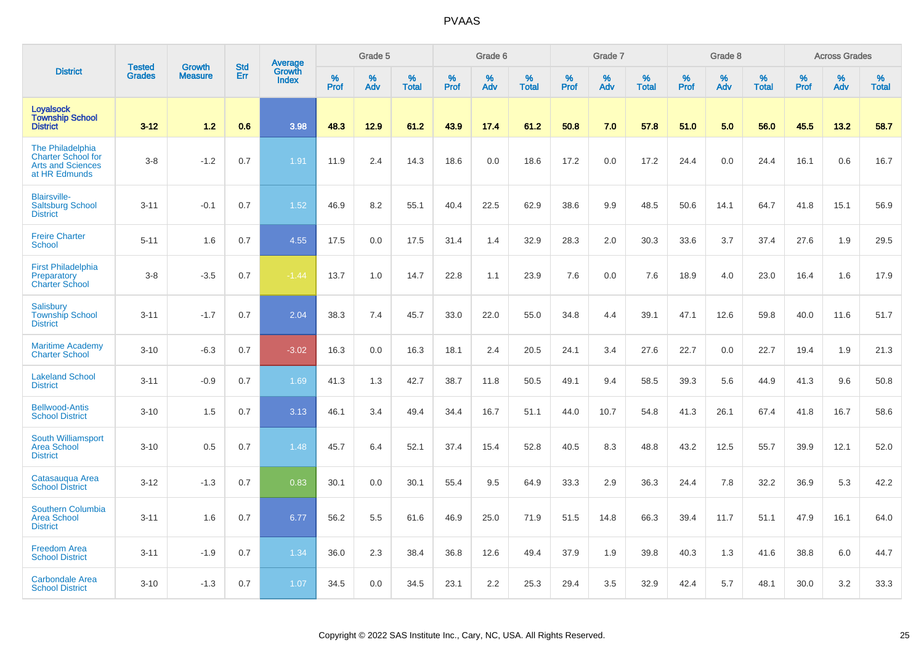|                                                                                            | <b>Tested</b> | <b>Growth</b>  | <b>Std</b> | Average                |              | Grade 5  |                   |           | Grade 6  |                   |              | Grade 7  |                   |           | Grade 8  |                   |           | <b>Across Grades</b> |                   |
|--------------------------------------------------------------------------------------------|---------------|----------------|------------|------------------------|--------------|----------|-------------------|-----------|----------|-------------------|--------------|----------|-------------------|-----------|----------|-------------------|-----------|----------------------|-------------------|
| <b>District</b>                                                                            | <b>Grades</b> | <b>Measure</b> | Err        | Growth<br><b>Index</b> | $\%$<br>Prof | %<br>Adv | %<br><b>Total</b> | %<br>Prof | %<br>Adv | %<br><b>Total</b> | $\%$<br>Prof | %<br>Adv | %<br><b>Total</b> | %<br>Prof | %<br>Adv | %<br><b>Total</b> | %<br>Prof | %<br>Adv             | %<br><b>Total</b> |
| <b>Loyalsock</b><br><b>Township School</b><br><b>District</b>                              | $3 - 12$      | 1.2            | 0.6        | 3.98                   | 48.3         | 12.9     | 61.2              | 43.9      | 17.4     | 61.2              | 50.8         | 7.0      | 57.8              | 51.0      | 5.0      | 56.0              | 45.5      | 13.2                 | 58.7              |
| The Philadelphia<br><b>Charter School for</b><br><b>Arts and Sciences</b><br>at HR Edmunds | $3 - 8$       | $-1.2$         | 0.7        | 1.91                   | 11.9         | 2.4      | 14.3              | 18.6      | 0.0      | 18.6              | 17.2         | 0.0      | 17.2              | 24.4      | 0.0      | 24.4              | 16.1      | 0.6                  | 16.7              |
| <b>Blairsville-</b><br><b>Saltsburg School</b><br><b>District</b>                          | $3 - 11$      | $-0.1$         | 0.7        | 1.52                   | 46.9         | 8.2      | 55.1              | 40.4      | 22.5     | 62.9              | 38.6         | 9.9      | 48.5              | 50.6      | 14.1     | 64.7              | 41.8      | 15.1                 | 56.9              |
| <b>Freire Charter</b><br><b>School</b>                                                     | $5 - 11$      | 1.6            | 0.7        | 4.55                   | 17.5         | 0.0      | 17.5              | 31.4      | 1.4      | 32.9              | 28.3         | 2.0      | 30.3              | 33.6      | 3.7      | 37.4              | 27.6      | 1.9                  | 29.5              |
| <b>First Philadelphia</b><br>Preparatory<br><b>Charter School</b>                          | $3 - 8$       | $-3.5$         | 0.7        | $-1.44$                | 13.7         | 1.0      | 14.7              | 22.8      | 1.1      | 23.9              | 7.6          | 0.0      | 7.6               | 18.9      | 4.0      | 23.0              | 16.4      | 1.6                  | 17.9              |
| <b>Salisbury</b><br><b>Township School</b><br><b>District</b>                              | $3 - 11$      | $-1.7$         | 0.7        | 2.04                   | 38.3         | 7.4      | 45.7              | 33.0      | 22.0     | 55.0              | 34.8         | 4.4      | 39.1              | 47.1      | 12.6     | 59.8              | 40.0      | 11.6                 | 51.7              |
| <b>Maritime Academy</b><br><b>Charter School</b>                                           | $3 - 10$      | $-6.3$         | 0.7        | $-3.02$                | 16.3         | 0.0      | 16.3              | 18.1      | 2.4      | 20.5              | 24.1         | 3.4      | 27.6              | 22.7      | 0.0      | 22.7              | 19.4      | 1.9                  | 21.3              |
| <b>Lakeland School</b><br><b>District</b>                                                  | $3 - 11$      | $-0.9$         | 0.7        | 1.69                   | 41.3         | 1.3      | 42.7              | 38.7      | 11.8     | 50.5              | 49.1         | 9.4      | 58.5              | 39.3      | 5.6      | 44.9              | 41.3      | 9.6                  | 50.8              |
| <b>Bellwood-Antis</b><br><b>School District</b>                                            | $3 - 10$      | 1.5            | 0.7        | 3.13                   | 46.1         | 3.4      | 49.4              | 34.4      | 16.7     | 51.1              | 44.0         | 10.7     | 54.8              | 41.3      | 26.1     | 67.4              | 41.8      | 16.7                 | 58.6              |
| <b>South Williamsport</b><br><b>Area School</b><br><b>District</b>                         | $3 - 10$      | 0.5            | 0.7        | 1.48                   | 45.7         | 6.4      | 52.1              | 37.4      | 15.4     | 52.8              | 40.5         | 8.3      | 48.8              | 43.2      | 12.5     | 55.7              | 39.9      | 12.1                 | 52.0              |
| Catasauqua Area<br><b>School District</b>                                                  | $3 - 12$      | $-1.3$         | 0.7        | 0.83                   | 30.1         | 0.0      | 30.1              | 55.4      | 9.5      | 64.9              | 33.3         | 2.9      | 36.3              | 24.4      | 7.8      | 32.2              | 36.9      | 5.3                  | 42.2              |
| <b>Southern Columbia</b><br><b>Area School</b><br><b>District</b>                          | $3 - 11$      | 1.6            | 0.7        | 6.77                   | 56.2         | 5.5      | 61.6              | 46.9      | 25.0     | 71.9              | 51.5         | 14.8     | 66.3              | 39.4      | 11.7     | 51.1              | 47.9      | 16.1                 | 64.0              |
| <b>Freedom Area</b><br><b>School District</b>                                              | $3 - 11$      | $-1.9$         | 0.7        | 1.34                   | 36.0         | 2.3      | 38.4              | 36.8      | 12.6     | 49.4              | 37.9         | 1.9      | 39.8              | 40.3      | 1.3      | 41.6              | 38.8      | 6.0                  | 44.7              |
| <b>Carbondale Area</b><br><b>School District</b>                                           | $3 - 10$      | $-1.3$         | 0.7        | 1.07                   | 34.5         | 0.0      | 34.5              | 23.1      | 2.2      | 25.3              | 29.4         | 3.5      | 32.9              | 42.4      | 5.7      | 48.1              | 30.0      | 3.2                  | 33.3              |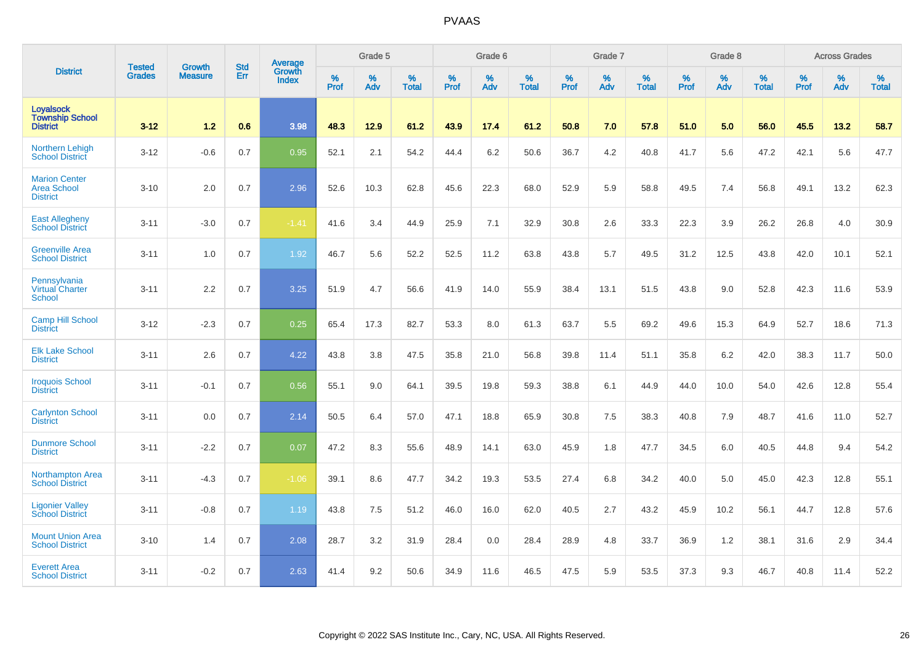|                                                               |                                | <b>Growth</b>  | <b>Std</b> | Average                       |           | Grade 5  |                   |           | Grade 6  |                   |           | Grade 7  |                   |           | Grade 8  |                   |           | <b>Across Grades</b> |                   |
|---------------------------------------------------------------|--------------------------------|----------------|------------|-------------------------------|-----------|----------|-------------------|-----------|----------|-------------------|-----------|----------|-------------------|-----------|----------|-------------------|-----------|----------------------|-------------------|
| <b>District</b>                                               | <b>Tested</b><br><b>Grades</b> | <b>Measure</b> | Err        | <b>Growth</b><br><b>Index</b> | %<br>Prof | %<br>Adv | %<br><b>Total</b> | %<br>Prof | %<br>Adv | %<br><b>Total</b> | %<br>Prof | %<br>Adv | %<br><b>Total</b> | %<br>Prof | %<br>Adv | %<br><b>Total</b> | %<br>Prof | %<br>Adv             | %<br><b>Total</b> |
| <b>Loyalsock</b><br><b>Township School</b><br><b>District</b> | $3 - 12$                       | 1.2            | 0.6        | 3.98                          | 48.3      | 12.9     | 61.2              | 43.9      | 17.4     | 61.2              | 50.8      | 7.0      | 57.8              | 51.0      | 5.0      | 56.0              | 45.5      | 13.2                 | 58.7              |
| <b>Northern Lehigh</b><br><b>School District</b>              | $3 - 12$                       | $-0.6$         | 0.7        | 0.95                          | 52.1      | 2.1      | 54.2              | 44.4      | 6.2      | 50.6              | 36.7      | 4.2      | 40.8              | 41.7      | 5.6      | 47.2              | 42.1      | 5.6                  | 47.7              |
| <b>Marion Center</b><br><b>Area School</b><br><b>District</b> | $3 - 10$                       | 2.0            | 0.7        | 2.96                          | 52.6      | 10.3     | 62.8              | 45.6      | 22.3     | 68.0              | 52.9      | 5.9      | 58.8              | 49.5      | 7.4      | 56.8              | 49.1      | 13.2                 | 62.3              |
| <b>East Allegheny</b><br><b>School District</b>               | $3 - 11$                       | $-3.0$         | 0.7        | $-1.41$                       | 41.6      | 3.4      | 44.9              | 25.9      | 7.1      | 32.9              | 30.8      | 2.6      | 33.3              | 22.3      | 3.9      | 26.2              | 26.8      | 4.0                  | 30.9              |
| <b>Greenville Area</b><br><b>School District</b>              | $3 - 11$                       | 1.0            | 0.7        | 1.92                          | 46.7      | 5.6      | 52.2              | 52.5      | 11.2     | 63.8              | 43.8      | 5.7      | 49.5              | 31.2      | 12.5     | 43.8              | 42.0      | 10.1                 | 52.1              |
| Pennsylvania<br><b>Virtual Charter</b><br><b>School</b>       | $3 - 11$                       | 2.2            | 0.7        | 3.25                          | 51.9      | 4.7      | 56.6              | 41.9      | 14.0     | 55.9              | 38.4      | 13.1     | 51.5              | 43.8      | 9.0      | 52.8              | 42.3      | 11.6                 | 53.9              |
| <b>Camp Hill School</b><br><b>District</b>                    | $3 - 12$                       | $-2.3$         | 0.7        | 0.25                          | 65.4      | 17.3     | 82.7              | 53.3      | 8.0      | 61.3              | 63.7      | 5.5      | 69.2              | 49.6      | 15.3     | 64.9              | 52.7      | 18.6                 | 71.3              |
| <b>Elk Lake School</b><br><b>District</b>                     | $3 - 11$                       | 2.6            | 0.7        | 4.22                          | 43.8      | 3.8      | 47.5              | 35.8      | 21.0     | 56.8              | 39.8      | 11.4     | 51.1              | 35.8      | 6.2      | 42.0              | 38.3      | 11.7                 | 50.0              |
| <b>Iroquois School</b><br><b>District</b>                     | $3 - 11$                       | $-0.1$         | 0.7        | 0.56                          | 55.1      | 9.0      | 64.1              | 39.5      | 19.8     | 59.3              | 38.8      | 6.1      | 44.9              | 44.0      | 10.0     | 54.0              | 42.6      | 12.8                 | 55.4              |
| <b>Carlynton School</b><br><b>District</b>                    | $3 - 11$                       | 0.0            | 0.7        | 2.14                          | 50.5      | 6.4      | 57.0              | 47.1      | 18.8     | 65.9              | 30.8      | 7.5      | 38.3              | 40.8      | 7.9      | 48.7              | 41.6      | 11.0                 | 52.7              |
| <b>Dunmore School</b><br><b>District</b>                      | $3 - 11$                       | $-2.2$         | 0.7        | 0.07                          | 47.2      | 8.3      | 55.6              | 48.9      | 14.1     | 63.0              | 45.9      | 1.8      | 47.7              | 34.5      | 6.0      | 40.5              | 44.8      | 9.4                  | 54.2              |
| <b>Northampton Area</b><br><b>School District</b>             | $3 - 11$                       | $-4.3$         | 0.7        | $-1.06$                       | 39.1      | 8.6      | 47.7              | 34.2      | 19.3     | 53.5              | 27.4      | 6.8      | 34.2              | 40.0      | 5.0      | 45.0              | 42.3      | 12.8                 | 55.1              |
| <b>Ligonier Valley</b><br><b>School District</b>              | $3 - 11$                       | $-0.8$         | 0.7        | 1.19                          | 43.8      | 7.5      | 51.2              | 46.0      | 16.0     | 62.0              | 40.5      | 2.7      | 43.2              | 45.9      | 10.2     | 56.1              | 44.7      | 12.8                 | 57.6              |
| <b>Mount Union Area</b><br><b>School District</b>             | $3 - 10$                       | 1.4            | 0.7        | 2.08                          | 28.7      | 3.2      | 31.9              | 28.4      | 0.0      | 28.4              | 28.9      | 4.8      | 33.7              | 36.9      | 1.2      | 38.1              | 31.6      | 2.9                  | 34.4              |
| <b>Everett Area</b><br><b>School District</b>                 | $3 - 11$                       | $-0.2$         | 0.7        | 2.63                          | 41.4      | 9.2      | 50.6              | 34.9      | 11.6     | 46.5              | 47.5      | 5.9      | 53.5              | 37.3      | 9.3      | 46.7              | 40.8      | 11.4                 | 52.2              |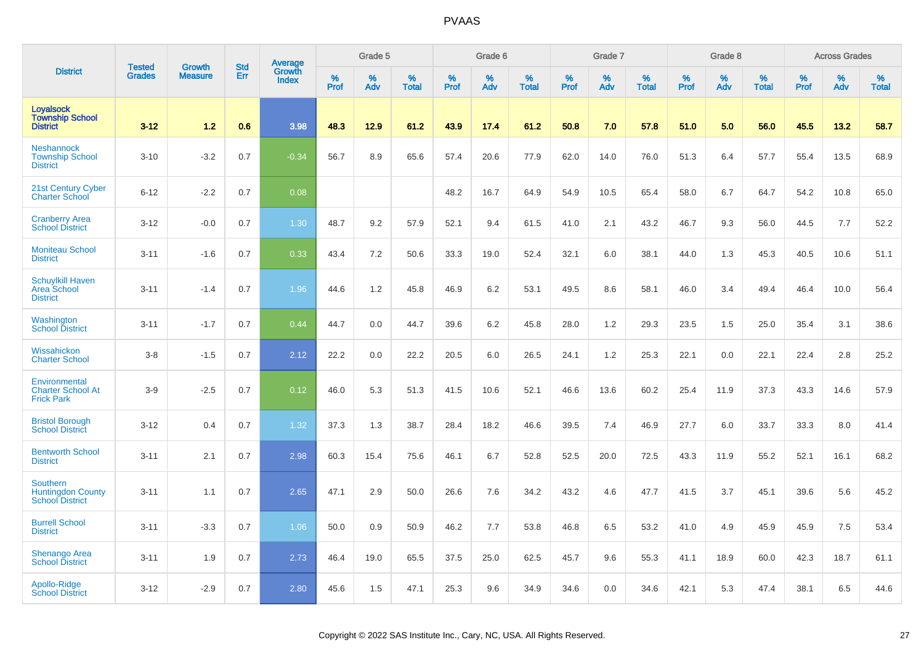|                                                                | <b>Tested</b> | <b>Growth</b>  | <b>Std</b> | <b>Average</b><br>Growth |              | Grade 5  |                   |           | Grade 6  |                   |           | Grade 7  |                   |           | Grade 8  |                   |           | <b>Across Grades</b> |                   |
|----------------------------------------------------------------|---------------|----------------|------------|--------------------------|--------------|----------|-------------------|-----------|----------|-------------------|-----------|----------|-------------------|-----------|----------|-------------------|-----------|----------------------|-------------------|
| <b>District</b>                                                | <b>Grades</b> | <b>Measure</b> | Err        | <b>Index</b>             | $\%$<br>Prof | %<br>Adv | %<br><b>Total</b> | %<br>Prof | %<br>Adv | %<br><b>Total</b> | %<br>Prof | %<br>Adv | %<br><b>Total</b> | %<br>Prof | %<br>Adv | %<br><b>Total</b> | %<br>Prof | %<br>Adv             | %<br><b>Total</b> |
| <b>Loyalsock</b><br><b>Township School</b><br><b>District</b>  | $3 - 12$      | 1.2            | 0.6        | 3.98                     | 48.3         | 12.9     | 61.2              | 43.9      | 17.4     | 61.2              | 50.8      | 7.0      | 57.8              | 51.0      | 5.0      | 56.0              | 45.5      | 13.2                 | 58.7              |
| <b>Neshannock</b><br><b>Township School</b><br><b>District</b> | $3 - 10$      | $-3.2$         | 0.7        | $-0.34$                  | 56.7         | 8.9      | 65.6              | 57.4      | 20.6     | 77.9              | 62.0      | 14.0     | 76.0              | 51.3      | 6.4      | 57.7              | 55.4      | 13.5                 | 68.9              |
| 21st Century Cyber<br><b>Charter School</b>                    | $6 - 12$      | $-2.2$         | 0.7        | 0.08                     |              |          |                   | 48.2      | 16.7     | 64.9              | 54.9      | 10.5     | 65.4              | 58.0      | 6.7      | 64.7              | 54.2      | 10.8                 | 65.0              |
| <b>Cranberry Area</b><br><b>School District</b>                | $3 - 12$      | $-0.0$         | 0.7        | 1.30                     | 48.7         | 9.2      | 57.9              | 52.1      | 9.4      | 61.5              | 41.0      | 2.1      | 43.2              | 46.7      | 9.3      | 56.0              | 44.5      | 7.7                  | 52.2              |
| <b>Moniteau School</b><br><b>District</b>                      | $3 - 11$      | $-1.6$         | 0.7        | 0.33                     | 43.4         | 7.2      | 50.6              | 33.3      | 19.0     | 52.4              | 32.1      | 6.0      | 38.1              | 44.0      | 1.3      | 45.3              | 40.5      | 10.6                 | 51.1              |
| <b>Schuylkill Haven</b><br>Area School<br><b>District</b>      | $3 - 11$      | $-1.4$         | 0.7        | 1.96                     | 44.6         | 1.2      | 45.8              | 46.9      | 6.2      | 53.1              | 49.5      | 8.6      | 58.1              | 46.0      | 3.4      | 49.4              | 46.4      | 10.0                 | 56.4              |
| Washington<br><b>School District</b>                           | $3 - 11$      | $-1.7$         | 0.7        | 0.44                     | 44.7         | 0.0      | 44.7              | 39.6      | 6.2      | 45.8              | 28.0      | 1.2      | 29.3              | 23.5      | 1.5      | 25.0              | 35.4      | 3.1                  | 38.6              |
| Wissahickon<br><b>Charter School</b>                           | $3-8$         | $-1.5$         | 0.7        | 2.12                     | 22.2         | 0.0      | 22.2              | 20.5      | 6.0      | 26.5              | 24.1      | 1.2      | 25.3              | 22.1      | 0.0      | 22.1              | 22.4      | 2.8                  | 25.2              |
| Environmental<br><b>Charter School At</b><br><b>Frick Park</b> | $3-9$         | $-2.5$         | 0.7        | 0.12                     | 46.0         | 5.3      | 51.3              | 41.5      | 10.6     | 52.1              | 46.6      | 13.6     | 60.2              | 25.4      | 11.9     | 37.3              | 43.3      | 14.6                 | 57.9              |
| <b>Bristol Borough</b><br><b>School District</b>               | $3 - 12$      | 0.4            | 0.7        | 1.32                     | 37.3         | 1.3      | 38.7              | 28.4      | 18.2     | 46.6              | 39.5      | 7.4      | 46.9              | 27.7      | 6.0      | 33.7              | 33.3      | 8.0                  | 41.4              |
| <b>Bentworth School</b><br><b>District</b>                     | $3 - 11$      | 2.1            | 0.7        | 2.98                     | 60.3         | 15.4     | 75.6              | 46.1      | 6.7      | 52.8              | 52.5      | 20.0     | 72.5              | 43.3      | 11.9     | 55.2              | 52.1      | 16.1                 | 68.2              |
| Southern<br><b>Huntingdon County</b><br><b>School District</b> | $3 - 11$      | 1.1            | 0.7        | 2.65                     | 47.1         | 2.9      | 50.0              | 26.6      | 7.6      | 34.2              | 43.2      | 4.6      | 47.7              | 41.5      | 3.7      | 45.1              | 39.6      | 5.6                  | 45.2              |
| <b>Burrell School</b><br><b>District</b>                       | $3 - 11$      | $-3.3$         | 0.7        | 1.06                     | 50.0         | 0.9      | 50.9              | 46.2      | 7.7      | 53.8              | 46.8      | 6.5      | 53.2              | 41.0      | 4.9      | 45.9              | 45.9      | 7.5                  | 53.4              |
| Shenango Area<br><b>School District</b>                        | $3 - 11$      | 1.9            | 0.7        | 2.73                     | 46.4         | 19.0     | 65.5              | 37.5      | 25.0     | 62.5              | 45.7      | 9.6      | 55.3              | 41.1      | 18.9     | 60.0              | 42.3      | 18.7                 | 61.1              |
| Apollo-Ridge<br><b>School District</b>                         | $3 - 12$      | $-2.9$         | 0.7        | 2.80                     | 45.6         | 1.5      | 47.1              | 25.3      | 9.6      | 34.9              | 34.6      | 0.0      | 34.6              | 42.1      | 5.3      | 47.4              | 38.1      | 6.5                  | 44.6              |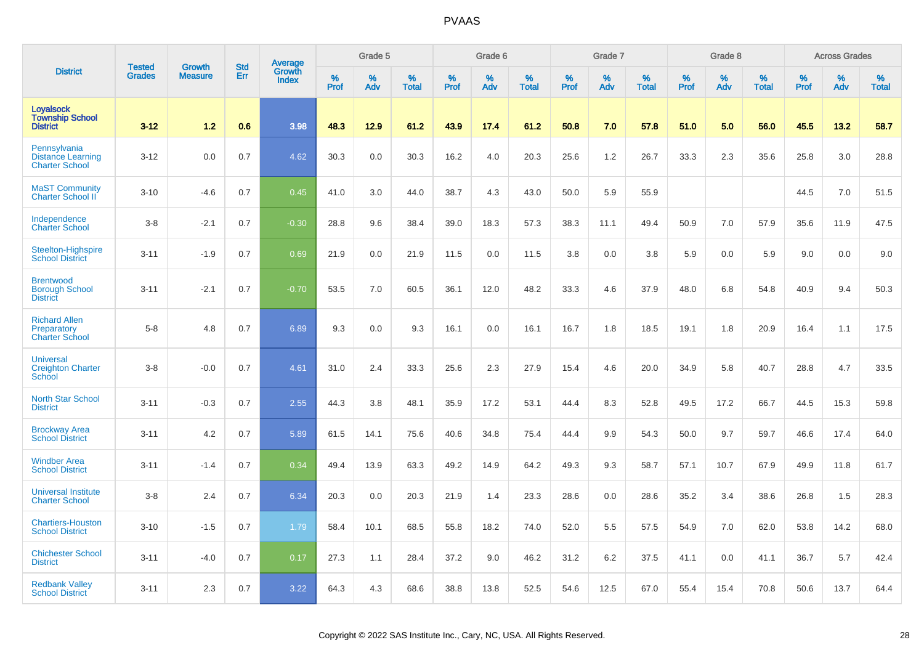|                                                                   |                         |                                 | <b>Std</b> | Average         |                  | Grade 5  |                   |           | Grade 6  |                   |           | Grade 7  |                   |           | Grade 8  |                   |                  | <b>Across Grades</b> |                   |
|-------------------------------------------------------------------|-------------------------|---------------------------------|------------|-----------------|------------------|----------|-------------------|-----------|----------|-------------------|-----------|----------|-------------------|-----------|----------|-------------------|------------------|----------------------|-------------------|
| <b>District</b>                                                   | <b>Tested</b><br>Grades | <b>Growth</b><br><b>Measure</b> | Err        | Growth<br>Index | %<br><b>Prof</b> | %<br>Adv | %<br><b>Total</b> | %<br>Prof | %<br>Adv | %<br><b>Total</b> | %<br>Prof | %<br>Adv | %<br><b>Total</b> | %<br>Prof | %<br>Adv | %<br><b>Total</b> | %<br><b>Prof</b> | %<br>Adv             | %<br><b>Total</b> |
| <b>Loyalsock</b><br><b>Township School</b><br><b>District</b>     | $3 - 12$                | 1.2                             | 0.6        | 3.98            | 48.3             | 12.9     | 61.2              | 43.9      | 17.4     | 61.2              | 50.8      | 7.0      | 57.8              | 51.0      | 5.0      | 56.0              | 45.5             | 13.2                 | 58.7              |
| Pennsylvania<br><b>Distance Learning</b><br><b>Charter School</b> | $3 - 12$                | 0.0                             | 0.7        | 4.62            | 30.3             | 0.0      | 30.3              | 16.2      | 4.0      | 20.3              | 25.6      | 1.2      | 26.7              | 33.3      | 2.3      | 35.6              | 25.8             | 3.0                  | 28.8              |
| <b>MaST Community</b><br><b>Charter School II</b>                 | $3 - 10$                | $-4.6$                          | 0.7        | 0.45            | 41.0             | 3.0      | 44.0              | 38.7      | 4.3      | 43.0              | 50.0      | 5.9      | 55.9              |           |          |                   | 44.5             | 7.0                  | 51.5              |
| Independence<br><b>Charter School</b>                             | $3-8$                   | $-2.1$                          | 0.7        | $-0.30$         | 28.8             | 9.6      | 38.4              | 39.0      | 18.3     | 57.3              | 38.3      | 11.1     | 49.4              | 50.9      | 7.0      | 57.9              | 35.6             | 11.9                 | 47.5              |
| Steelton-Highspire<br><b>School District</b>                      | $3 - 11$                | $-1.9$                          | 0.7        | 0.69            | 21.9             | 0.0      | 21.9              | 11.5      | 0.0      | 11.5              | 3.8       | 0.0      | 3.8               | 5.9       | 0.0      | 5.9               | 9.0              | 0.0                  | 9.0               |
| <b>Brentwood</b><br><b>Borough School</b><br><b>District</b>      | $3 - 11$                | $-2.1$                          | 0.7        | $-0.70$         | 53.5             | 7.0      | 60.5              | 36.1      | 12.0     | 48.2              | 33.3      | 4.6      | 37.9              | 48.0      | 6.8      | 54.8              | 40.9             | 9.4                  | 50.3              |
| <b>Richard Allen</b><br>Preparatory<br><b>Charter School</b>      | $5 - 8$                 | 4.8                             | 0.7        | 6.89            | 9.3              | 0.0      | 9.3               | 16.1      | 0.0      | 16.1              | 16.7      | 1.8      | 18.5              | 19.1      | 1.8      | 20.9              | 16.4             | 1.1                  | 17.5              |
| <b>Universal</b><br><b>Creighton Charter</b><br>School            | $3-8$                   | $-0.0$                          | 0.7        | 4.61            | 31.0             | 2.4      | 33.3              | 25.6      | 2.3      | 27.9              | 15.4      | 4.6      | 20.0              | 34.9      | 5.8      | 40.7              | 28.8             | 4.7                  | 33.5              |
| <b>North Star School</b><br><b>District</b>                       | $3 - 11$                | $-0.3$                          | 0.7        | 2.55            | 44.3             | 3.8      | 48.1              | 35.9      | 17.2     | 53.1              | 44.4      | 8.3      | 52.8              | 49.5      | 17.2     | 66.7              | 44.5             | 15.3                 | 59.8              |
| <b>Brockway Area</b><br><b>School District</b>                    | $3 - 11$                | 4.2                             | 0.7        | 5.89            | 61.5             | 14.1     | 75.6              | 40.6      | 34.8     | 75.4              | 44.4      | 9.9      | 54.3              | 50.0      | 9.7      | 59.7              | 46.6             | 17.4                 | 64.0              |
| <b>Windber Area</b><br><b>School District</b>                     | $3 - 11$                | $-1.4$                          | 0.7        | 0.34            | 49.4             | 13.9     | 63.3              | 49.2      | 14.9     | 64.2              | 49.3      | 9.3      | 58.7              | 57.1      | 10.7     | 67.9              | 49.9             | 11.8                 | 61.7              |
| <b>Universal Institute</b><br><b>Charter School</b>               | $3 - 8$                 | 2.4                             | 0.7        | 6.34            | 20.3             | 0.0      | 20.3              | 21.9      | 1.4      | 23.3              | 28.6      | 0.0      | 28.6              | 35.2      | 3.4      | 38.6              | 26.8             | 1.5                  | 28.3              |
| <b>Chartiers-Houston</b><br><b>School District</b>                | $3 - 10$                | $-1.5$                          | 0.7        | 1.79            | 58.4             | 10.1     | 68.5              | 55.8      | 18.2     | 74.0              | 52.0      | 5.5      | 57.5              | 54.9      | 7.0      | 62.0              | 53.8             | 14.2                 | 68.0              |
| <b>Chichester School</b><br><b>District</b>                       | $3 - 11$                | $-4.0$                          | 0.7        | 0.17            | 27.3             | 1.1      | 28.4              | 37.2      | 9.0      | 46.2              | 31.2      | 6.2      | 37.5              | 41.1      | 0.0      | 41.1              | 36.7             | 5.7                  | 42.4              |
| <b>Redbank Valley</b><br><b>School District</b>                   | $3 - 11$                | 2.3                             | 0.7        | 3.22            | 64.3             | 4.3      | 68.6              | 38.8      | 13.8     | 52.5              | 54.6      | 12.5     | 67.0              | 55.4      | 15.4     | 70.8              | 50.6             | 13.7                 | 64.4              |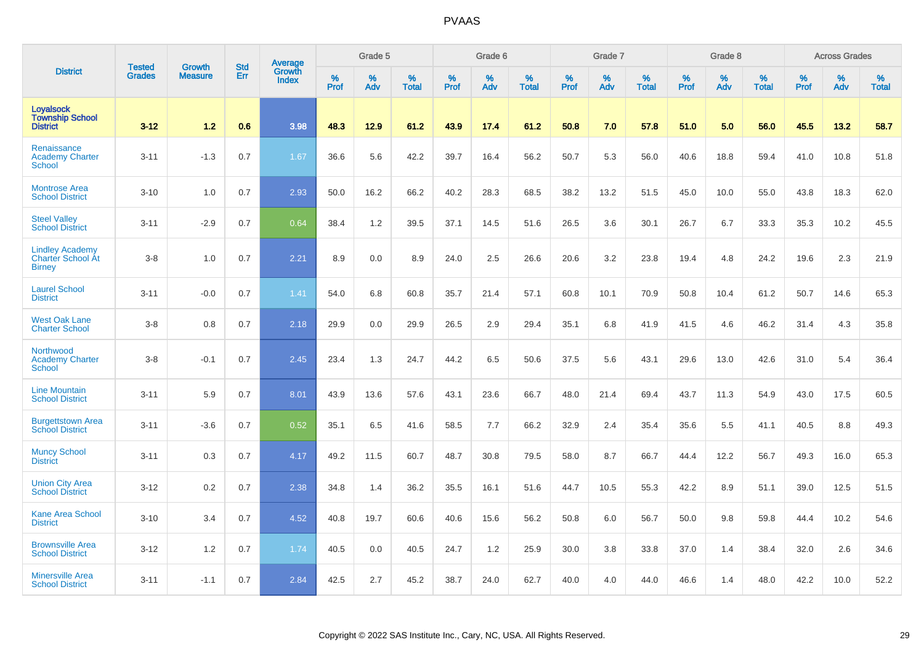|                                                                     | <b>Tested</b> | <b>Growth</b>  | <b>Std</b> | Average         |              | Grade 5  |                   |           | Grade 6  |                   |           | Grade 7  |                   |           | Grade 8  |                   |           | <b>Across Grades</b> |                   |
|---------------------------------------------------------------------|---------------|----------------|------------|-----------------|--------------|----------|-------------------|-----------|----------|-------------------|-----------|----------|-------------------|-----------|----------|-------------------|-----------|----------------------|-------------------|
| <b>District</b>                                                     | <b>Grades</b> | <b>Measure</b> | Err        | Growth<br>Index | $\%$<br>Prof | %<br>Adv | %<br><b>Total</b> | %<br>Prof | %<br>Adv | %<br><b>Total</b> | %<br>Prof | %<br>Adv | %<br><b>Total</b> | %<br>Prof | %<br>Adv | %<br><b>Total</b> | %<br>Prof | $\%$<br>Adv          | %<br><b>Total</b> |
| <b>Loyalsock</b><br><b>Township School</b><br><b>District</b>       | $3 - 12$      | 1.2            | 0.6        | 3.98            | 48.3         | 12.9     | 61.2              | 43.9      | 17.4     | 61.2              | 50.8      | 7.0      | 57.8              | 51.0      | 5.0      | 56.0              | 45.5      | 13.2                 | 58.7              |
| Renaissance<br><b>Academy Charter</b><br><b>School</b>              | $3 - 11$      | $-1.3$         | 0.7        | 1.67            | 36.6         | 5.6      | 42.2              | 39.7      | 16.4     | 56.2              | 50.7      | 5.3      | 56.0              | 40.6      | 18.8     | 59.4              | 41.0      | 10.8                 | 51.8              |
| <b>Montrose Area</b><br><b>School District</b>                      | $3 - 10$      | 1.0            | 0.7        | 2.93            | 50.0         | 16.2     | 66.2              | 40.2      | 28.3     | 68.5              | 38.2      | 13.2     | 51.5              | 45.0      | 10.0     | 55.0              | 43.8      | 18.3                 | 62.0              |
| <b>Steel Valley</b><br><b>School District</b>                       | $3 - 11$      | $-2.9$         | 0.7        | 0.64            | 38.4         | $1.2$    | 39.5              | 37.1      | 14.5     | 51.6              | 26.5      | 3.6      | 30.1              | 26.7      | 6.7      | 33.3              | 35.3      | 10.2                 | 45.5              |
| <b>Lindley Academy</b><br><b>Charter School At</b><br><b>Birney</b> | $3-8$         | 1.0            | 0.7        | 2.21            | 8.9          | 0.0      | 8.9               | 24.0      | 2.5      | 26.6              | 20.6      | 3.2      | 23.8              | 19.4      | 4.8      | 24.2              | 19.6      | 2.3                  | 21.9              |
| <b>Laurel School</b><br><b>District</b>                             | $3 - 11$      | $-0.0$         | 0.7        | 1.41            | 54.0         | 6.8      | 60.8              | 35.7      | 21.4     | 57.1              | 60.8      | 10.1     | 70.9              | 50.8      | 10.4     | 61.2              | 50.7      | 14.6                 | 65.3              |
| <b>West Oak Lane</b><br><b>Charter School</b>                       | $3 - 8$       | 0.8            | 0.7        | 2.18            | 29.9         | 0.0      | 29.9              | 26.5      | 2.9      | 29.4              | 35.1      | 6.8      | 41.9              | 41.5      | 4.6      | 46.2              | 31.4      | 4.3                  | 35.8              |
| Northwood<br><b>Academy Charter</b><br><b>School</b>                | $3-8$         | $-0.1$         | 0.7        | 2.45            | 23.4         | 1.3      | 24.7              | 44.2      | 6.5      | 50.6              | 37.5      | 5.6      | 43.1              | 29.6      | 13.0     | 42.6              | 31.0      | 5.4                  | 36.4              |
| <b>Line Mountain</b><br><b>School District</b>                      | $3 - 11$      | 5.9            | 0.7        | 8.01            | 43.9         | 13.6     | 57.6              | 43.1      | 23.6     | 66.7              | 48.0      | 21.4     | 69.4              | 43.7      | 11.3     | 54.9              | 43.0      | 17.5                 | 60.5              |
| <b>Burgettstown Area</b><br><b>School District</b>                  | $3 - 11$      | $-3.6$         | 0.7        | 0.52            | 35.1         | 6.5      | 41.6              | 58.5      | 7.7      | 66.2              | 32.9      | 2.4      | 35.4              | 35.6      | 5.5      | 41.1              | 40.5      | 8.8                  | 49.3              |
| <b>Muncy School</b><br><b>District</b>                              | $3 - 11$      | 0.3            | 0.7        | 4.17            | 49.2         | 11.5     | 60.7              | 48.7      | 30.8     | 79.5              | 58.0      | 8.7      | 66.7              | 44.4      | 12.2     | 56.7              | 49.3      | 16.0                 | 65.3              |
| <b>Union City Area</b><br><b>School District</b>                    | $3 - 12$      | 0.2            | 0.7        | 2.38            | 34.8         | 1.4      | 36.2              | 35.5      | 16.1     | 51.6              | 44.7      | 10.5     | 55.3              | 42.2      | 8.9      | 51.1              | 39.0      | 12.5                 | 51.5              |
| <b>Kane Area School</b><br><b>District</b>                          | $3 - 10$      | 3.4            | 0.7        | 4.52            | 40.8         | 19.7     | 60.6              | 40.6      | 15.6     | 56.2              | 50.8      | 6.0      | 56.7              | 50.0      | 9.8      | 59.8              | 44.4      | 10.2                 | 54.6              |
| <b>Brownsville Area</b><br><b>School District</b>                   | $3-12$        | 1.2            | 0.7        | 1.74            | 40.5         | 0.0      | 40.5              | 24.7      | 1.2      | 25.9              | 30.0      | 3.8      | 33.8              | 37.0      | 1.4      | 38.4              | 32.0      | 2.6                  | 34.6              |
| <b>Minersville Area</b><br><b>School District</b>                   | $3 - 11$      | $-1.1$         | 0.7        | 2.84            | 42.5         | 2.7      | 45.2              | 38.7      | 24.0     | 62.7              | 40.0      | 4.0      | 44.0              | 46.6      | 1.4      | 48.0              | 42.2      | 10.0                 | 52.2              |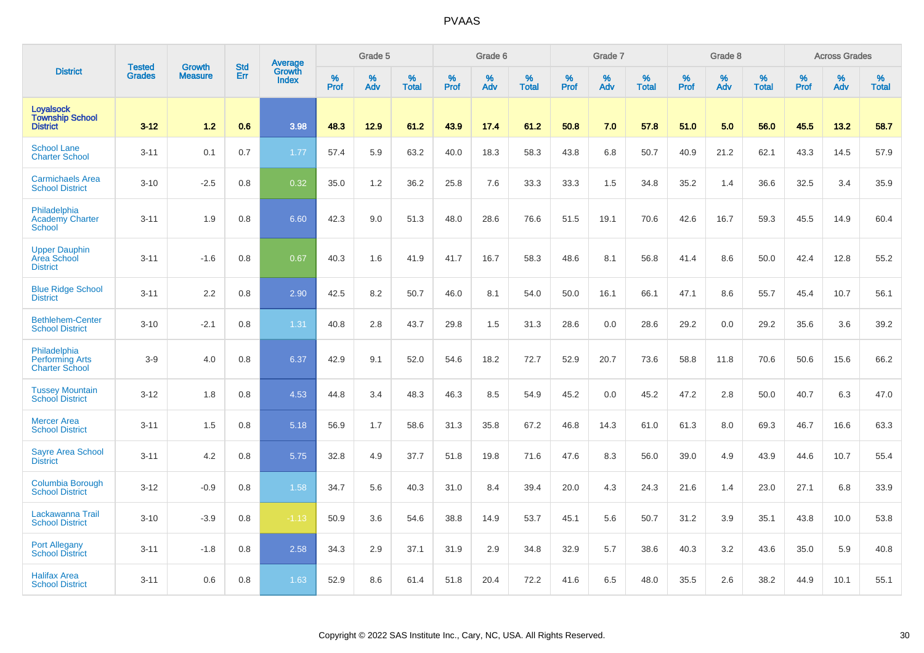|                                                                 |                         | <b>Growth</b>  | <b>Std</b> | Average                |              | Grade 5  |                   |           | Grade 6  |                   |           | Grade 7  |                   |           | Grade 8  |                   |           | <b>Across Grades</b> |                   |
|-----------------------------------------------------------------|-------------------------|----------------|------------|------------------------|--------------|----------|-------------------|-----------|----------|-------------------|-----------|----------|-------------------|-----------|----------|-------------------|-----------|----------------------|-------------------|
| <b>District</b>                                                 | <b>Tested</b><br>Grades | <b>Measure</b> | Err        | Growth<br><b>Index</b> | $\%$<br>Prof | %<br>Adv | %<br><b>Total</b> | %<br>Prof | %<br>Adv | %<br><b>Total</b> | %<br>Prof | %<br>Adv | %<br><b>Total</b> | %<br>Prof | %<br>Adv | %<br><b>Total</b> | %<br>Prof | %<br>Adv             | %<br><b>Total</b> |
| Loyalsock<br><b>Township School</b><br><b>District</b>          | $3 - 12$                | 1.2            | 0.6        | 3.98                   | 48.3         | 12.9     | 61.2              | 43.9      | 17.4     | 61.2              | 50.8      | 7.0      | 57.8              | 51.0      | 5.0      | 56.0              | 45.5      | 13.2                 | 58.7              |
| <b>School Lane</b><br><b>Charter School</b>                     | $3 - 11$                | 0.1            | 0.7        | 1.77                   | 57.4         | 5.9      | 63.2              | 40.0      | 18.3     | 58.3              | 43.8      | 6.8      | 50.7              | 40.9      | 21.2     | 62.1              | 43.3      | 14.5                 | 57.9              |
| <b>Carmichaels Area</b><br><b>School District</b>               | $3 - 10$                | $-2.5$         | 0.8        | 0.32                   | 35.0         | 1.2      | 36.2              | 25.8      | 7.6      | 33.3              | 33.3      | 1.5      | 34.8              | 35.2      | 1.4      | 36.6              | 32.5      | 3.4                  | 35.9              |
| Philadelphia<br><b>Academy Charter</b><br><b>School</b>         | $3 - 11$                | 1.9            | 0.8        | 6.60                   | 42.3         | 9.0      | 51.3              | 48.0      | 28.6     | 76.6              | 51.5      | 19.1     | 70.6              | 42.6      | 16.7     | 59.3              | 45.5      | 14.9                 | 60.4              |
| <b>Upper Dauphin</b><br>Area School<br><b>District</b>          | $3 - 11$                | $-1.6$         | 0.8        | 0.67                   | 40.3         | 1.6      | 41.9              | 41.7      | 16.7     | 58.3              | 48.6      | 8.1      | 56.8              | 41.4      | 8.6      | 50.0              | 42.4      | 12.8                 | 55.2              |
| <b>Blue Ridge School</b><br><b>District</b>                     | $3 - 11$                | 2.2            | 0.8        | 2.90                   | 42.5         | 8.2      | 50.7              | 46.0      | 8.1      | 54.0              | 50.0      | 16.1     | 66.1              | 47.1      | 8.6      | 55.7              | 45.4      | 10.7                 | 56.1              |
| <b>Bethlehem-Center</b><br><b>School District</b>               | $3 - 10$                | $-2.1$         | 0.8        | 1.31                   | 40.8         | 2.8      | 43.7              | 29.8      | 1.5      | 31.3              | 28.6      | 0.0      | 28.6              | 29.2      | 0.0      | 29.2              | 35.6      | 3.6                  | 39.2              |
| Philadelphia<br><b>Performing Arts</b><br><b>Charter School</b> | $3-9$                   | 4.0            | 0.8        | 6.37                   | 42.9         | 9.1      | 52.0              | 54.6      | 18.2     | 72.7              | 52.9      | 20.7     | 73.6              | 58.8      | 11.8     | 70.6              | 50.6      | 15.6                 | 66.2              |
| <b>Tussey Mountain</b><br><b>School District</b>                | $3 - 12$                | 1.8            | 0.8        | 4.53                   | 44.8         | 3.4      | 48.3              | 46.3      | 8.5      | 54.9              | 45.2      | 0.0      | 45.2              | 47.2      | 2.8      | 50.0              | 40.7      | 6.3                  | 47.0              |
| <b>Mercer Area</b><br><b>School District</b>                    | $3 - 11$                | 1.5            | 0.8        | 5.18                   | 56.9         | 1.7      | 58.6              | 31.3      | 35.8     | 67.2              | 46.8      | 14.3     | 61.0              | 61.3      | 8.0      | 69.3              | 46.7      | 16.6                 | 63.3              |
| <b>Sayre Area School</b><br><b>District</b>                     | $3 - 11$                | 4.2            | 0.8        | 5.75                   | 32.8         | 4.9      | 37.7              | 51.8      | 19.8     | 71.6              | 47.6      | 8.3      | 56.0              | 39.0      | 4.9      | 43.9              | 44.6      | 10.7                 | 55.4              |
| <b>Columbia Borough</b><br><b>School District</b>               | $3 - 12$                | $-0.9$         | 0.8        | 1.58                   | 34.7         | 5.6      | 40.3              | 31.0      | 8.4      | 39.4              | 20.0      | 4.3      | 24.3              | 21.6      | 1.4      | 23.0              | 27.1      | 6.8                  | 33.9              |
| Lackawanna Trail<br><b>School District</b>                      | $3 - 10$                | $-3.9$         | 0.8        | $-1.13$                | 50.9         | 3.6      | 54.6              | 38.8      | 14.9     | 53.7              | 45.1      | 5.6      | 50.7              | 31.2      | 3.9      | 35.1              | 43.8      | 10.0                 | 53.8              |
| <b>Port Allegany</b><br><b>School District</b>                  | $3 - 11$                | $-1.8$         | 0.8        | 2.58                   | 34.3         | 2.9      | 37.1              | 31.9      | 2.9      | 34.8              | 32.9      | 5.7      | 38.6              | 40.3      | 3.2      | 43.6              | 35.0      | 5.9                  | 40.8              |
| <b>Halifax Area</b><br><b>School District</b>                   | $3 - 11$                | 0.6            | 0.8        | 1.63                   | 52.9         | 8.6      | 61.4              | 51.8      | 20.4     | 72.2              | 41.6      | 6.5      | 48.0              | 35.5      | 2.6      | 38.2              | 44.9      | 10.1                 | 55.1              |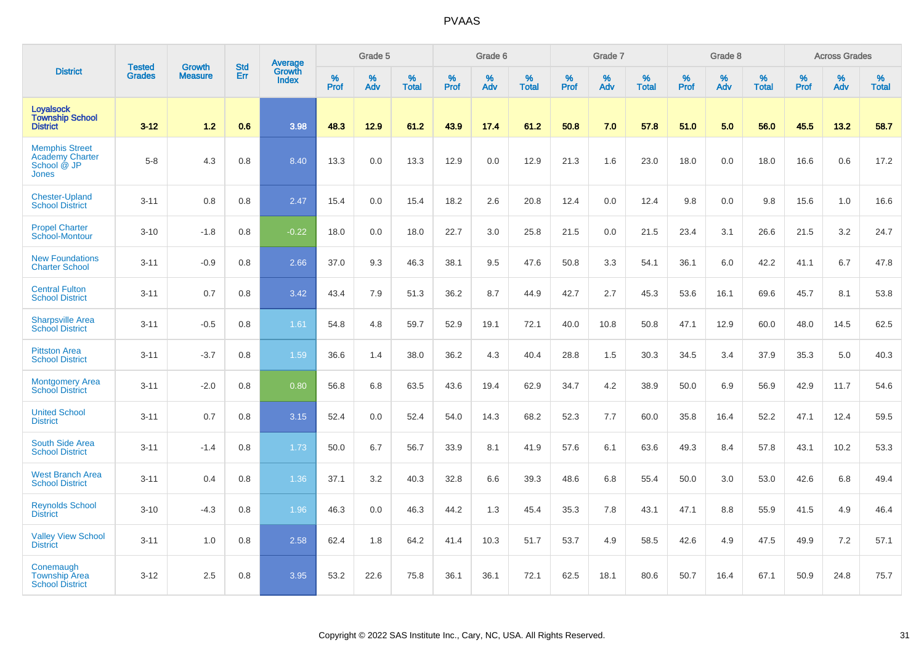|                                                                                |                                |                                 | <b>Std</b> | Average                |           | Grade 5  |                   |           | Grade 6  |                   |              | Grade 7  |                   |           | Grade 8  |                   |           | <b>Across Grades</b> |                   |
|--------------------------------------------------------------------------------|--------------------------------|---------------------------------|------------|------------------------|-----------|----------|-------------------|-----------|----------|-------------------|--------------|----------|-------------------|-----------|----------|-------------------|-----------|----------------------|-------------------|
| <b>District</b>                                                                | <b>Tested</b><br><b>Grades</b> | <b>Growth</b><br><b>Measure</b> | Err        | Growth<br><b>Index</b> | %<br>Prof | %<br>Adv | %<br><b>Total</b> | %<br>Prof | %<br>Adv | %<br><b>Total</b> | $\%$<br>Prof | %<br>Adv | %<br><b>Total</b> | %<br>Prof | %<br>Adv | %<br><b>Total</b> | %<br>Prof | %<br>Adv             | %<br><b>Total</b> |
| <b>Loyalsock</b><br><b>Township School</b><br><b>District</b>                  | $3 - 12$                       | 1.2                             | 0.6        | 3.98                   | 48.3      | 12.9     | 61.2              | 43.9      | 17.4     | 61.2              | 50.8         | 7.0      | 57.8              | 51.0      | 5.0      | 56.0              | 45.5      | 13.2                 | 58.7              |
| <b>Memphis Street</b><br><b>Academy Charter</b><br>School @ JP<br><b>Jones</b> | $5-8$                          | 4.3                             | 0.8        | 8.40                   | 13.3      | 0.0      | 13.3              | 12.9      | 0.0      | 12.9              | 21.3         | 1.6      | 23.0              | 18.0      | 0.0      | 18.0              | 16.6      | 0.6                  | 17.2              |
| <b>Chester-Upland</b><br><b>School District</b>                                | $3 - 11$                       | 0.8                             | 0.8        | 2.47                   | 15.4      | 0.0      | 15.4              | 18.2      | 2.6      | 20.8              | 12.4         | 0.0      | 12.4              | 9.8       | 0.0      | 9.8               | 15.6      | 1.0                  | 16.6              |
| <b>Propel Charter</b><br><b>School-Montour</b>                                 | $3 - 10$                       | $-1.8$                          | 0.8        | $-0.22$                | 18.0      | 0.0      | 18.0              | 22.7      | 3.0      | 25.8              | 21.5         | 0.0      | 21.5              | 23.4      | 3.1      | 26.6              | 21.5      | 3.2                  | 24.7              |
| <b>New Foundations</b><br><b>Charter School</b>                                | $3 - 11$                       | $-0.9$                          | 0.8        | 2.66                   | 37.0      | 9.3      | 46.3              | 38.1      | 9.5      | 47.6              | 50.8         | 3.3      | 54.1              | 36.1      | 6.0      | 42.2              | 41.1      | 6.7                  | 47.8              |
| <b>Central Fulton</b><br><b>School District</b>                                | $3 - 11$                       | 0.7                             | 0.8        | 3.42                   | 43.4      | 7.9      | 51.3              | 36.2      | 8.7      | 44.9              | 42.7         | 2.7      | 45.3              | 53.6      | 16.1     | 69.6              | 45.7      | 8.1                  | 53.8              |
| <b>Sharpsville Area</b><br><b>School District</b>                              | $3 - 11$                       | $-0.5$                          | 0.8        | 1.61                   | 54.8      | 4.8      | 59.7              | 52.9      | 19.1     | 72.1              | 40.0         | 10.8     | 50.8              | 47.1      | 12.9     | 60.0              | 48.0      | 14.5                 | 62.5              |
| <b>Pittston Area</b><br><b>School District</b>                                 | $3 - 11$                       | $-3.7$                          | 0.8        | 1.59                   | 36.6      | 1.4      | 38.0              | 36.2      | 4.3      | 40.4              | 28.8         | 1.5      | 30.3              | 34.5      | 3.4      | 37.9              | 35.3      | 5.0                  | 40.3              |
| <b>Montgomery Area</b><br><b>School District</b>                               | $3 - 11$                       | $-2.0$                          | 0.8        | 0.80                   | 56.8      | 6.8      | 63.5              | 43.6      | 19.4     | 62.9              | 34.7         | 4.2      | 38.9              | 50.0      | 6.9      | 56.9              | 42.9      | 11.7                 | 54.6              |
| <b>United School</b><br><b>District</b>                                        | $3 - 11$                       | 0.7                             | 0.8        | 3.15                   | 52.4      | 0.0      | 52.4              | 54.0      | 14.3     | 68.2              | 52.3         | 7.7      | 60.0              | 35.8      | 16.4     | 52.2              | 47.1      | 12.4                 | 59.5              |
| South Side Area<br><b>School District</b>                                      | $3 - 11$                       | $-1.4$                          | 0.8        | 1.73                   | 50.0      | 6.7      | 56.7              | 33.9      | 8.1      | 41.9              | 57.6         | 6.1      | 63.6              | 49.3      | 8.4      | 57.8              | 43.1      | 10.2                 | 53.3              |
| <b>West Branch Area</b><br><b>School District</b>                              | $3 - 11$                       | 0.4                             | 0.8        | 1.36                   | 37.1      | 3.2      | 40.3              | 32.8      | 6.6      | 39.3              | 48.6         | 6.8      | 55.4              | 50.0      | 3.0      | 53.0              | 42.6      | 6.8                  | 49.4              |
| <b>Reynolds School</b><br><b>District</b>                                      | $3 - 10$                       | $-4.3$                          | 0.8        | 1.96                   | 46.3      | 0.0      | 46.3              | 44.2      | 1.3      | 45.4              | 35.3         | 7.8      | 43.1              | 47.1      | 8.8      | 55.9              | 41.5      | 4.9                  | 46.4              |
| <b>Valley View School</b><br><b>District</b>                                   | $3 - 11$                       | 1.0                             | 0.8        | 2.58                   | 62.4      | 1.8      | 64.2              | 41.4      | 10.3     | 51.7              | 53.7         | 4.9      | 58.5              | 42.6      | 4.9      | 47.5              | 49.9      | 7.2                  | 57.1              |
| Conemaugh<br><b>Township Area</b><br><b>School District</b>                    | $3-12$                         | 2.5                             | 0.8        | 3.95                   | 53.2      | 22.6     | 75.8              | 36.1      | 36.1     | 72.1              | 62.5         | 18.1     | 80.6              | 50.7      | 16.4     | 67.1              | 50.9      | 24.8                 | 75.7              |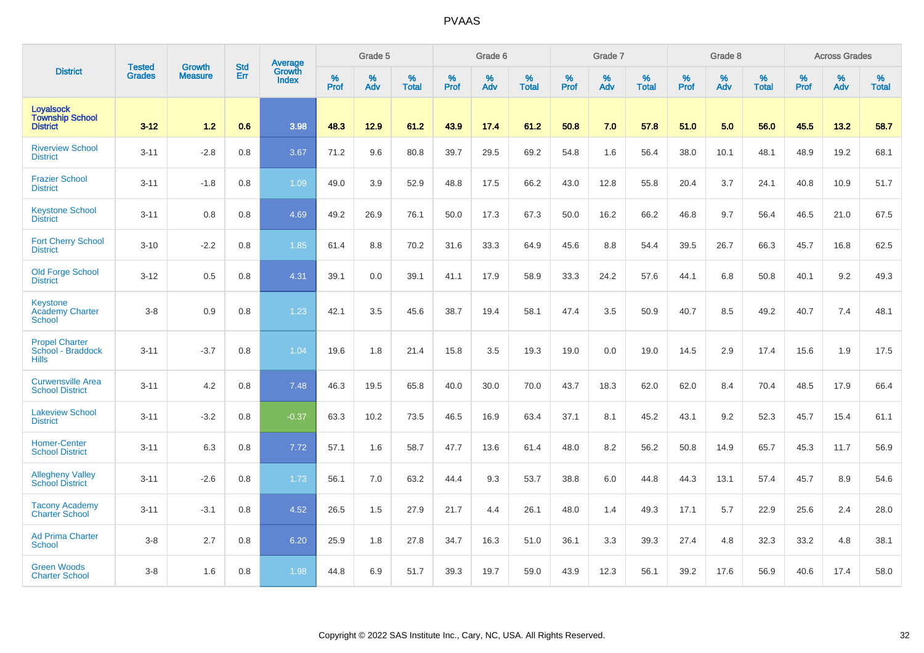|                                                               | <b>Tested</b> | <b>Growth</b>  | <b>Std</b> | Average                |           | Grade 5  |                   |           | Grade 6  |                   |           | Grade 7  |                   |           | Grade 8  |                   |           | <b>Across Grades</b> |                   |
|---------------------------------------------------------------|---------------|----------------|------------|------------------------|-----------|----------|-------------------|-----------|----------|-------------------|-----------|----------|-------------------|-----------|----------|-------------------|-----------|----------------------|-------------------|
| <b>District</b>                                               | <b>Grades</b> | <b>Measure</b> | Err        | <b>Growth</b><br>Index | %<br>Prof | %<br>Adv | %<br><b>Total</b> | %<br>Prof | %<br>Adv | %<br><b>Total</b> | %<br>Prof | %<br>Adv | %<br><b>Total</b> | %<br>Prof | %<br>Adv | %<br><b>Total</b> | %<br>Prof | %<br>Adv             | %<br><b>Total</b> |
| <b>Loyalsock</b><br><b>Township School</b><br><b>District</b> | $3 - 12$      | 1.2            | 0.6        | 3.98                   | 48.3      | 12.9     | 61.2              | 43.9      | 17.4     | 61.2              | 50.8      | 7.0      | 57.8              | 51.0      | 5.0      | 56.0              | 45.5      | 13.2                 | 58.7              |
| <b>Riverview School</b><br><b>District</b>                    | $3 - 11$      | $-2.8$         | 0.8        | 3.67                   | 71.2      | 9.6      | 80.8              | 39.7      | 29.5     | 69.2              | 54.8      | 1.6      | 56.4              | 38.0      | 10.1     | 48.1              | 48.9      | 19.2                 | 68.1              |
| <b>Frazier School</b><br><b>District</b>                      | $3 - 11$      | $-1.8$         | 0.8        | 1.09                   | 49.0      | 3.9      | 52.9              | 48.8      | 17.5     | 66.2              | 43.0      | 12.8     | 55.8              | 20.4      | 3.7      | 24.1              | 40.8      | 10.9                 | 51.7              |
| <b>Keystone School</b><br><b>District</b>                     | $3 - 11$      | 0.8            | 0.8        | 4.69                   | 49.2      | 26.9     | 76.1              | 50.0      | 17.3     | 67.3              | 50.0      | 16.2     | 66.2              | 46.8      | 9.7      | 56.4              | 46.5      | 21.0                 | 67.5              |
| <b>Fort Cherry School</b><br><b>District</b>                  | $3 - 10$      | $-2.2$         | 0.8        | 1.85                   | 61.4      | 8.8      | 70.2              | 31.6      | 33.3     | 64.9              | 45.6      | 8.8      | 54.4              | 39.5      | 26.7     | 66.3              | 45.7      | 16.8                 | 62.5              |
| <b>Old Forge School</b><br><b>District</b>                    | $3 - 12$      | 0.5            | 0.8        | 4.31                   | 39.1      | 0.0      | 39.1              | 41.1      | 17.9     | 58.9              | 33.3      | 24.2     | 57.6              | 44.1      | 6.8      | 50.8              | 40.1      | 9.2                  | 49.3              |
| <b>Keystone</b><br><b>Academy Charter</b><br><b>School</b>    | $3-8$         | 0.9            | 0.8        | 1.23                   | 42.1      | 3.5      | 45.6              | 38.7      | 19.4     | 58.1              | 47.4      | 3.5      | 50.9              | 40.7      | 8.5      | 49.2              | 40.7      | 7.4                  | 48.1              |
| <b>Propel Charter</b><br>School - Braddock<br><b>Hills</b>    | $3 - 11$      | $-3.7$         | 0.8        | 1.04                   | 19.6      | 1.8      | 21.4              | 15.8      | 3.5      | 19.3              | 19.0      | 0.0      | 19.0              | 14.5      | 2.9      | 17.4              | 15.6      | 1.9                  | 17.5              |
| <b>Curwensville Area</b><br><b>School District</b>            | $3 - 11$      | 4.2            | 0.8        | 7.48                   | 46.3      | 19.5     | 65.8              | 40.0      | 30.0     | 70.0              | 43.7      | 18.3     | 62.0              | 62.0      | 8.4      | 70.4              | 48.5      | 17.9                 | 66.4              |
| <b>Lakeview School</b><br><b>District</b>                     | $3 - 11$      | $-3.2$         | 0.8        | $-0.37$                | 63.3      | 10.2     | 73.5              | 46.5      | 16.9     | 63.4              | 37.1      | 8.1      | 45.2              | 43.1      | 9.2      | 52.3              | 45.7      | 15.4                 | 61.1              |
| <b>Homer-Center</b><br><b>School District</b>                 | $3 - 11$      | 6.3            | 0.8        | 7.72                   | 57.1      | 1.6      | 58.7              | 47.7      | 13.6     | 61.4              | 48.0      | 8.2      | 56.2              | 50.8      | 14.9     | 65.7              | 45.3      | 11.7                 | 56.9              |
| <b>Allegheny Valley</b><br><b>School District</b>             | $3 - 11$      | $-2.6$         | 0.8        | 1.73                   | 56.1      | 7.0      | 63.2              | 44.4      | 9.3      | 53.7              | 38.8      | 6.0      | 44.8              | 44.3      | 13.1     | 57.4              | 45.7      | 8.9                  | 54.6              |
| <b>Tacony Academy</b><br><b>Charter School</b>                | $3 - 11$      | $-3.1$         | 0.8        | 4.52                   | 26.5      | 1.5      | 27.9              | 21.7      | 4.4      | 26.1              | 48.0      | 1.4      | 49.3              | 17.1      | 5.7      | 22.9              | 25.6      | 2.4                  | 28.0              |
| <b>Ad Prima Charter</b><br><b>School</b>                      | $3-8$         | 2.7            | 0.8        | 6.20                   | 25.9      | 1.8      | 27.8              | 34.7      | 16.3     | 51.0              | 36.1      | 3.3      | 39.3              | 27.4      | 4.8      | 32.3              | 33.2      | 4.8                  | 38.1              |
| <b>Green Woods</b><br><b>Charter School</b>                   | $3-8$         | 1.6            | 0.8        | 1.98                   | 44.8      | 6.9      | 51.7              | 39.3      | 19.7     | 59.0              | 43.9      | 12.3     | 56.1              | 39.2      | 17.6     | 56.9              | 40.6      | 17.4                 | 58.0              |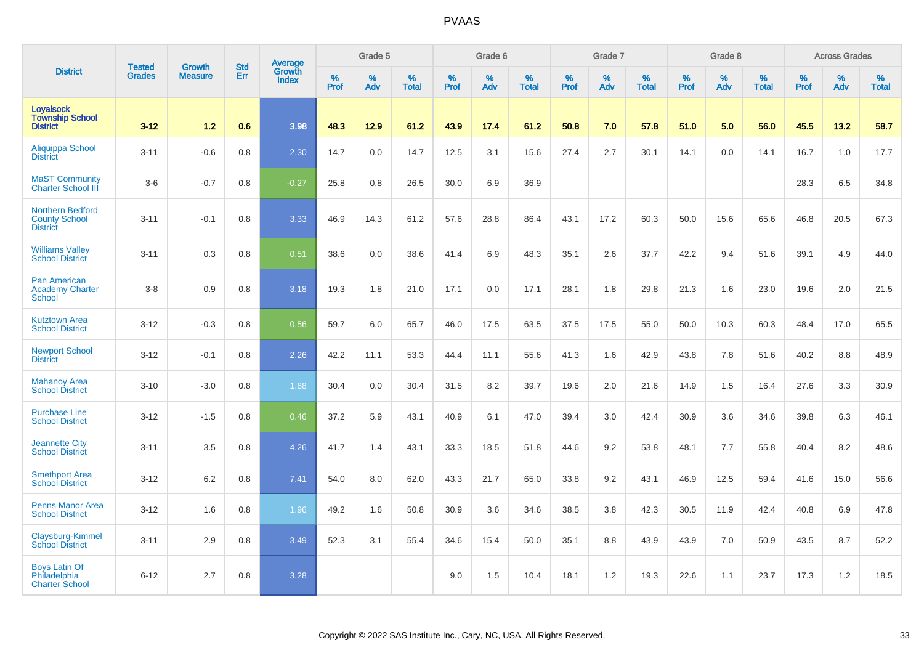|                                                                    |                                |                                 | <b>Std</b> | Average                       |           | Grade 5  |                   |           | Grade 6  |                   |           | Grade 7  |                   |           | Grade 8  |                   |           | <b>Across Grades</b> |                   |
|--------------------------------------------------------------------|--------------------------------|---------------------------------|------------|-------------------------------|-----------|----------|-------------------|-----------|----------|-------------------|-----------|----------|-------------------|-----------|----------|-------------------|-----------|----------------------|-------------------|
| <b>District</b>                                                    | <b>Tested</b><br><b>Grades</b> | <b>Growth</b><br><b>Measure</b> | Err        | <b>Growth</b><br><b>Index</b> | %<br>Prof | %<br>Adv | %<br><b>Total</b> | %<br>Prof | %<br>Adv | %<br><b>Total</b> | %<br>Prof | %<br>Adv | %<br><b>Total</b> | %<br>Prof | %<br>Adv | %<br><b>Total</b> | %<br>Prof | %<br>Adv             | %<br><b>Total</b> |
| <b>Loyalsock</b><br><b>Township School</b><br><b>District</b>      | $3 - 12$                       | 1.2                             | 0.6        | 3.98                          | 48.3      | 12.9     | 61.2              | 43.9      | 17.4     | 61.2              | 50.8      | 7.0      | 57.8              | 51.0      | 5.0      | 56.0              | 45.5      | 13.2                 | 58.7              |
| Aliquippa School<br><b>District</b>                                | $3 - 11$                       | $-0.6$                          | 0.8        | 2.30                          | 14.7      | 0.0      | 14.7              | 12.5      | 3.1      | 15.6              | 27.4      | 2.7      | 30.1              | 14.1      | 0.0      | 14.1              | 16.7      | 1.0                  | 17.7              |
| <b>MaST Community</b><br><b>Charter School III</b>                 | $3-6$                          | $-0.7$                          | 0.8        | $-0.27$                       | 25.8      | 0.8      | 26.5              | 30.0      | 6.9      | 36.9              |           |          |                   |           |          |                   | 28.3      | 6.5                  | 34.8              |
| <b>Northern Bedford</b><br><b>County School</b><br><b>District</b> | $3 - 11$                       | $-0.1$                          | 0.8        | 3.33                          | 46.9      | 14.3     | 61.2              | 57.6      | 28.8     | 86.4              | 43.1      | 17.2     | 60.3              | 50.0      | 15.6     | 65.6              | 46.8      | 20.5                 | 67.3              |
| <b>Williams Valley</b><br><b>School District</b>                   | $3 - 11$                       | 0.3                             | 0.8        | 0.51                          | 38.6      | 0.0      | 38.6              | 41.4      | 6.9      | 48.3              | 35.1      | 2.6      | 37.7              | 42.2      | 9.4      | 51.6              | 39.1      | 4.9                  | 44.0              |
| <b>Pan American</b><br><b>Academy Charter</b><br><b>School</b>     | $3-8$                          | 0.9                             | 0.8        | 3.18                          | 19.3      | 1.8      | 21.0              | 17.1      | 0.0      | 17.1              | 28.1      | 1.8      | 29.8              | 21.3      | 1.6      | 23.0              | 19.6      | 2.0                  | 21.5              |
| <b>Kutztown Area</b><br><b>School District</b>                     | $3 - 12$                       | $-0.3$                          | 0.8        | 0.56                          | 59.7      | 6.0      | 65.7              | 46.0      | 17.5     | 63.5              | 37.5      | 17.5     | 55.0              | 50.0      | 10.3     | 60.3              | 48.4      | 17.0                 | 65.5              |
| <b>Newport School</b><br><b>District</b>                           | $3 - 12$                       | $-0.1$                          | 0.8        | 2.26                          | 42.2      | 11.1     | 53.3              | 44.4      | 11.1     | 55.6              | 41.3      | 1.6      | 42.9              | 43.8      | 7.8      | 51.6              | 40.2      | 8.8                  | 48.9              |
| <b>Mahanoy Area</b><br><b>School District</b>                      | $3 - 10$                       | $-3.0$                          | 0.8        | 1.88                          | 30.4      | 0.0      | 30.4              | 31.5      | 8.2      | 39.7              | 19.6      | 2.0      | 21.6              | 14.9      | 1.5      | 16.4              | 27.6      | 3.3                  | 30.9              |
| <b>Purchase Line</b><br><b>School District</b>                     | $3 - 12$                       | $-1.5$                          | 0.8        | 0.46                          | 37.2      | 5.9      | 43.1              | 40.9      | 6.1      | 47.0              | 39.4      | 3.0      | 42.4              | 30.9      | 3.6      | 34.6              | 39.8      | 6.3                  | 46.1              |
| <b>Jeannette City</b><br><b>School District</b>                    | $3 - 11$                       | 3.5                             | 0.8        | 4.26                          | 41.7      | 1.4      | 43.1              | 33.3      | 18.5     | 51.8              | 44.6      | 9.2      | 53.8              | 48.1      | 7.7      | 55.8              | 40.4      | 8.2                  | 48.6              |
| <b>Smethport Area</b><br><b>School District</b>                    | $3 - 12$                       | 6.2                             | 0.8        | 7.41                          | 54.0      | 8.0      | 62.0              | 43.3      | 21.7     | 65.0              | 33.8      | 9.2      | 43.1              | 46.9      | 12.5     | 59.4              | 41.6      | 15.0                 | 56.6              |
| <b>Penns Manor Area</b><br><b>School District</b>                  | $3 - 12$                       | 1.6                             | 0.8        | 1.96                          | 49.2      | 1.6      | 50.8              | 30.9      | 3.6      | 34.6              | 38.5      | 3.8      | 42.3              | 30.5      | 11.9     | 42.4              | 40.8      | 6.9                  | 47.8              |
| Claysburg-Kimmel<br><b>School District</b>                         | $3 - 11$                       | 2.9                             | 0.8        | 3.49                          | 52.3      | 3.1      | 55.4              | 34.6      | 15.4     | 50.0              | 35.1      | 8.8      | 43.9              | 43.9      | 7.0      | 50.9              | 43.5      | 8.7                  | 52.2              |
| <b>Boys Latin Of</b><br>Philadelphia<br><b>Charter School</b>      | $6 - 12$                       | 2.7                             | 0.8        | 3.28                          |           |          |                   | 9.0       | 1.5      | 10.4              | 18.1      | 1.2      | 19.3              | 22.6      | 1.1      | 23.7              | 17.3      | 1.2                  | 18.5              |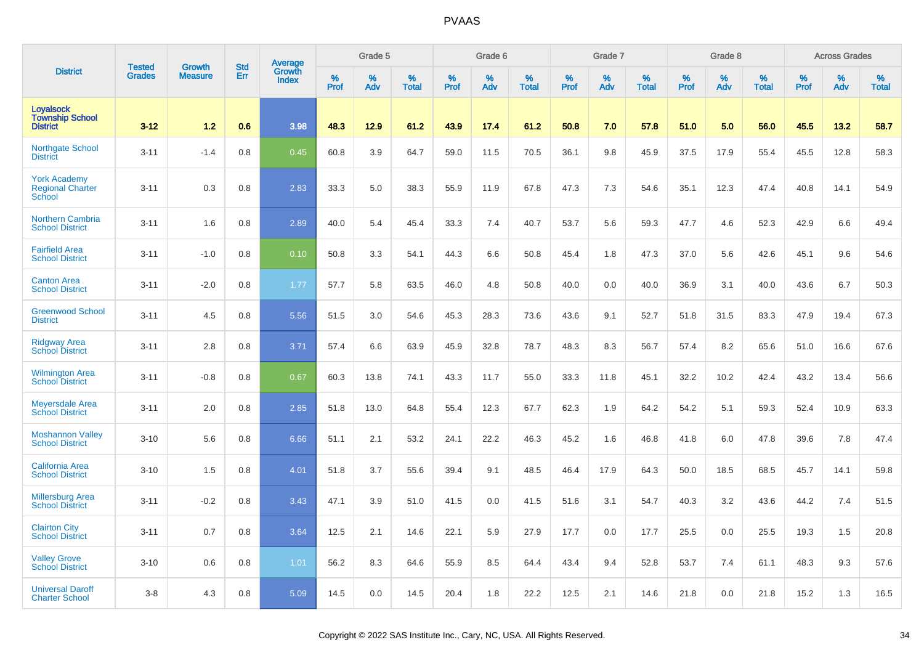|                                                               | <b>Tested</b> | <b>Growth</b>  | <b>Std</b> | Average                |                     | Grade 5     |                   |                  | Grade 6  |                   |                     | Grade 7  |                   |                     | Grade 8  |                   |           | <b>Across Grades</b> |                   |
|---------------------------------------------------------------|---------------|----------------|------------|------------------------|---------------------|-------------|-------------------|------------------|----------|-------------------|---------------------|----------|-------------------|---------------------|----------|-------------------|-----------|----------------------|-------------------|
| <b>District</b>                                               | <b>Grades</b> | <b>Measure</b> | Err        | Growth<br><b>Index</b> | $\%$<br><b>Prof</b> | $\%$<br>Adv | %<br><b>Total</b> | %<br><b>Prof</b> | %<br>Adv | %<br><b>Total</b> | $\%$<br><b>Prof</b> | %<br>Adv | %<br><b>Total</b> | $\%$<br><b>Prof</b> | %<br>Adv | %<br><b>Total</b> | %<br>Prof | %<br>Adv             | %<br><b>Total</b> |
| <b>Loyalsock</b><br><b>Township School</b><br><b>District</b> | $3 - 12$      | 1.2            | 0.6        | 3.98                   | 48.3                | 12.9        | 61.2              | 43.9             | 17.4     | 61.2              | 50.8                | 7.0      | 57.8              | 51.0                | 5.0      | 56.0              | 45.5      | 13.2                 | 58.7              |
| <b>Northgate School</b><br><b>District</b>                    | $3 - 11$      | $-1.4$         | 0.8        | 0.45                   | 60.8                | 3.9         | 64.7              | 59.0             | 11.5     | 70.5              | 36.1                | 9.8      | 45.9              | 37.5                | 17.9     | 55.4              | 45.5      | 12.8                 | 58.3              |
| <b>York Academy</b><br><b>Regional Charter</b><br>School      | $3 - 11$      | 0.3            | 0.8        | 2.83                   | 33.3                | 5.0         | 38.3              | 55.9             | 11.9     | 67.8              | 47.3                | 7.3      | 54.6              | 35.1                | 12.3     | 47.4              | 40.8      | 14.1                 | 54.9              |
| <b>Northern Cambria</b><br><b>School District</b>             | $3 - 11$      | 1.6            | 0.8        | 2.89                   | 40.0                | 5.4         | 45.4              | 33.3             | 7.4      | 40.7              | 53.7                | 5.6      | 59.3              | 47.7                | 4.6      | 52.3              | 42.9      | 6.6                  | 49.4              |
| <b>Fairfield Area</b><br><b>School District</b>               | $3 - 11$      | $-1.0$         | 0.8        | 0.10                   | 50.8                | 3.3         | 54.1              | 44.3             | 6.6      | 50.8              | 45.4                | 1.8      | 47.3              | 37.0                | 5.6      | 42.6              | 45.1      | 9.6                  | 54.6              |
| <b>Canton Area</b><br><b>School District</b>                  | $3 - 11$      | $-2.0$         | 0.8        | 1.77                   | 57.7                | 5.8         | 63.5              | 46.0             | 4.8      | 50.8              | 40.0                | 0.0      | 40.0              | 36.9                | 3.1      | 40.0              | 43.6      | 6.7                  | 50.3              |
| <b>Greenwood School</b><br><b>District</b>                    | $3 - 11$      | 4.5            | 0.8        | 5.56                   | 51.5                | 3.0         | 54.6              | 45.3             | 28.3     | 73.6              | 43.6                | 9.1      | 52.7              | 51.8                | 31.5     | 83.3              | 47.9      | 19.4                 | 67.3              |
| <b>Ridgway Area</b><br><b>School District</b>                 | $3 - 11$      | 2.8            | 0.8        | 3.71                   | 57.4                | 6.6         | 63.9              | 45.9             | 32.8     | 78.7              | 48.3                | 8.3      | 56.7              | 57.4                | 8.2      | 65.6              | 51.0      | 16.6                 | 67.6              |
| <b>Wilmington Area</b><br><b>School District</b>              | $3 - 11$      | $-0.8$         | 0.8        | 0.67                   | 60.3                | 13.8        | 74.1              | 43.3             | 11.7     | 55.0              | 33.3                | 11.8     | 45.1              | 32.2                | 10.2     | 42.4              | 43.2      | 13.4                 | 56.6              |
| <b>Meyersdale Area</b><br><b>School District</b>              | $3 - 11$      | 2.0            | 0.8        | 2.85                   | 51.8                | 13.0        | 64.8              | 55.4             | 12.3     | 67.7              | 62.3                | 1.9      | 64.2              | 54.2                | 5.1      | 59.3              | 52.4      | 10.9                 | 63.3              |
| <b>Moshannon Valley</b><br><b>School District</b>             | $3 - 10$      | 5.6            | 0.8        | 6.66                   | 51.1                | 2.1         | 53.2              | 24.1             | 22.2     | 46.3              | 45.2                | 1.6      | 46.8              | 41.8                | 6.0      | 47.8              | 39.6      | 7.8                  | 47.4              |
| <b>California Area</b><br><b>School District</b>              | $3 - 10$      | 1.5            | 0.8        | 4.01                   | 51.8                | 3.7         | 55.6              | 39.4             | 9.1      | 48.5              | 46.4                | 17.9     | 64.3              | 50.0                | 18.5     | 68.5              | 45.7      | 14.1                 | 59.8              |
| <b>Millersburg Area</b><br><b>School District</b>             | $3 - 11$      | $-0.2$         | 0.8        | 3.43                   | 47.1                | 3.9         | 51.0              | 41.5             | 0.0      | 41.5              | 51.6                | 3.1      | 54.7              | 40.3                | 3.2      | 43.6              | 44.2      | 7.4                  | 51.5              |
| <b>Clairton City</b><br><b>School District</b>                | $3 - 11$      | 0.7            | 0.8        | 3.64                   | 12.5                | 2.1         | 14.6              | 22.1             | 5.9      | 27.9              | 17.7                | 0.0      | 17.7              | 25.5                | 0.0      | 25.5              | 19.3      | 1.5                  | 20.8              |
| <b>Valley Grove</b><br><b>School District</b>                 | $3 - 10$      | 0.6            | 0.8        | 1.01                   | 56.2                | 8.3         | 64.6              | 55.9             | 8.5      | 64.4              | 43.4                | 9.4      | 52.8              | 53.7                | 7.4      | 61.1              | 48.3      | 9.3                  | 57.6              |
| <b>Universal Daroff</b><br><b>Charter School</b>              | $3 - 8$       | 4.3            | 0.8        | 5.09                   | 14.5                | 0.0         | 14.5              | 20.4             | 1.8      | 22.2              | 12.5                | 2.1      | 14.6              | 21.8                | 0.0      | 21.8              | 15.2      | 1.3                  | 16.5              |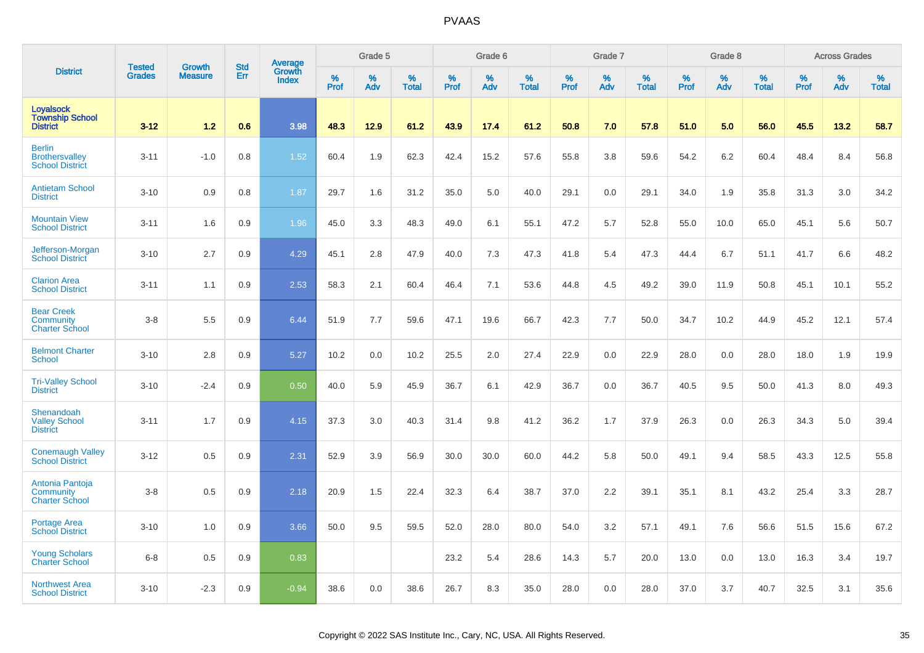|                                                                  | <b>Tested</b> | <b>Growth</b>  | <b>Std</b> |                                          |              | Grade 5  |                   |           | Grade 6  |                   |           | Grade 7  |                   |           | Grade 8  |                   |           | <b>Across Grades</b> |                   |
|------------------------------------------------------------------|---------------|----------------|------------|------------------------------------------|--------------|----------|-------------------|-----------|----------|-------------------|-----------|----------|-------------------|-----------|----------|-------------------|-----------|----------------------|-------------------|
| <b>District</b>                                                  | <b>Grades</b> | <b>Measure</b> | Err        | <b>Average</b><br>Growth<br><b>Index</b> | $\%$<br>Prof | %<br>Adv | %<br><b>Total</b> | %<br>Prof | %<br>Adv | %<br><b>Total</b> | %<br>Prof | %<br>Adv | %<br><b>Total</b> | %<br>Prof | %<br>Adv | %<br><b>Total</b> | %<br>Prof | %<br>Adv             | %<br><b>Total</b> |
| <b>Loyalsock</b><br><b>Township School</b><br><b>District</b>    | $3 - 12$      | 1.2            | 0.6        | 3.98                                     | 48.3         | 12.9     | 61.2              | 43.9      | 17.4     | 61.2              | 50.8      | 7.0      | 57.8              | 51.0      | 5.0      | 56.0              | 45.5      | 13.2                 | 58.7              |
| <b>Berlin</b><br><b>Brothersvalley</b><br><b>School District</b> | $3 - 11$      | $-1.0$         | 0.8        | 1.52                                     | 60.4         | 1.9      | 62.3              | 42.4      | 15.2     | 57.6              | 55.8      | 3.8      | 59.6              | 54.2      | 6.2      | 60.4              | 48.4      | 8.4                  | 56.8              |
| <b>Antietam School</b><br><b>District</b>                        | $3 - 10$      | 0.9            | 0.8        | 1.87                                     | 29.7         | 1.6      | 31.2              | 35.0      | 5.0      | 40.0              | 29.1      | 0.0      | 29.1              | 34.0      | 1.9      | 35.8              | 31.3      | 3.0                  | 34.2              |
| <b>Mountain View</b><br><b>School District</b>                   | $3 - 11$      | 1.6            | 0.9        | 1.96                                     | 45.0         | 3.3      | 48.3              | 49.0      | 6.1      | 55.1              | 47.2      | 5.7      | 52.8              | 55.0      | 10.0     | 65.0              | 45.1      | 5.6                  | 50.7              |
| Jefferson-Morgan<br><b>School District</b>                       | $3 - 10$      | 2.7            | 0.9        | 4.29                                     | 45.1         | 2.8      | 47.9              | 40.0      | 7.3      | 47.3              | 41.8      | 5.4      | 47.3              | 44.4      | 6.7      | 51.1              | 41.7      | 6.6                  | 48.2              |
| <b>Clarion Area</b><br><b>School District</b>                    | $3 - 11$      | 1.1            | 0.9        | 2.53                                     | 58.3         | 2.1      | 60.4              | 46.4      | 7.1      | 53.6              | 44.8      | 4.5      | 49.2              | 39.0      | 11.9     | 50.8              | 45.1      | 10.1                 | 55.2              |
| <b>Bear Creek</b><br>Community<br><b>Charter School</b>          | $3 - 8$       | 5.5            | 0.9        | 6.44                                     | 51.9         | 7.7      | 59.6              | 47.1      | 19.6     | 66.7              | 42.3      | 7.7      | 50.0              | 34.7      | 10.2     | 44.9              | 45.2      | 12.1                 | 57.4              |
| <b>Belmont Charter</b><br><b>School</b>                          | $3 - 10$      | 2.8            | 0.9        | 5.27                                     | 10.2         | 0.0      | 10.2              | 25.5      | 2.0      | 27.4              | 22.9      | 0.0      | 22.9              | 28.0      | 0.0      | 28.0              | 18.0      | 1.9                  | 19.9              |
| <b>Tri-Valley School</b><br><b>District</b>                      | $3 - 10$      | $-2.4$         | 0.9        | 0.50                                     | 40.0         | 5.9      | 45.9              | 36.7      | 6.1      | 42.9              | 36.7      | 0.0      | 36.7              | 40.5      | 9.5      | 50.0              | 41.3      | 8.0                  | 49.3              |
| Shenandoah<br><b>Valley School</b><br><b>District</b>            | $3 - 11$      | 1.7            | 0.9        | 4.15                                     | 37.3         | 3.0      | 40.3              | 31.4      | 9.8      | 41.2              | 36.2      | 1.7      | 37.9              | 26.3      | 0.0      | 26.3              | 34.3      | 5.0                  | 39.4              |
| <b>Conemaugh Valley</b><br><b>School District</b>                | $3 - 12$      | 0.5            | 0.9        | 2.31                                     | 52.9         | 3.9      | 56.9              | 30.0      | 30.0     | 60.0              | 44.2      | 5.8      | 50.0              | 49.1      | 9.4      | 58.5              | 43.3      | 12.5                 | 55.8              |
| Antonia Pantoja<br><b>Community</b><br><b>Charter School</b>     | $3 - 8$       | 0.5            | 0.9        | 2.18                                     | 20.9         | 1.5      | 22.4              | 32.3      | 6.4      | 38.7              | 37.0      | 2.2      | 39.1              | 35.1      | 8.1      | 43.2              | 25.4      | 3.3                  | 28.7              |
| Portage Area<br><b>School District</b>                           | $3 - 10$      | 1.0            | 0.9        | 3.66                                     | 50.0         | 9.5      | 59.5              | 52.0      | 28.0     | 80.0              | 54.0      | 3.2      | 57.1              | 49.1      | 7.6      | 56.6              | 51.5      | 15.6                 | 67.2              |
| <b>Young Scholars</b><br><b>Charter School</b>                   | $6 - 8$       | 0.5            | 0.9        | 0.83                                     |              |          |                   | 23.2      | 5.4      | 28.6              | 14.3      | 5.7      | 20.0              | 13.0      | 0.0      | 13.0              | 16.3      | 3.4                  | 19.7              |
| <b>Northwest Area</b><br><b>School District</b>                  | $3 - 10$      | $-2.3$         | 0.9        | $-0.94$                                  | 38.6         | 0.0      | 38.6              | 26.7      | 8.3      | 35.0              | 28.0      | 0.0      | 28.0              | 37.0      | 3.7      | 40.7              | 32.5      | 3.1                  | 35.6              |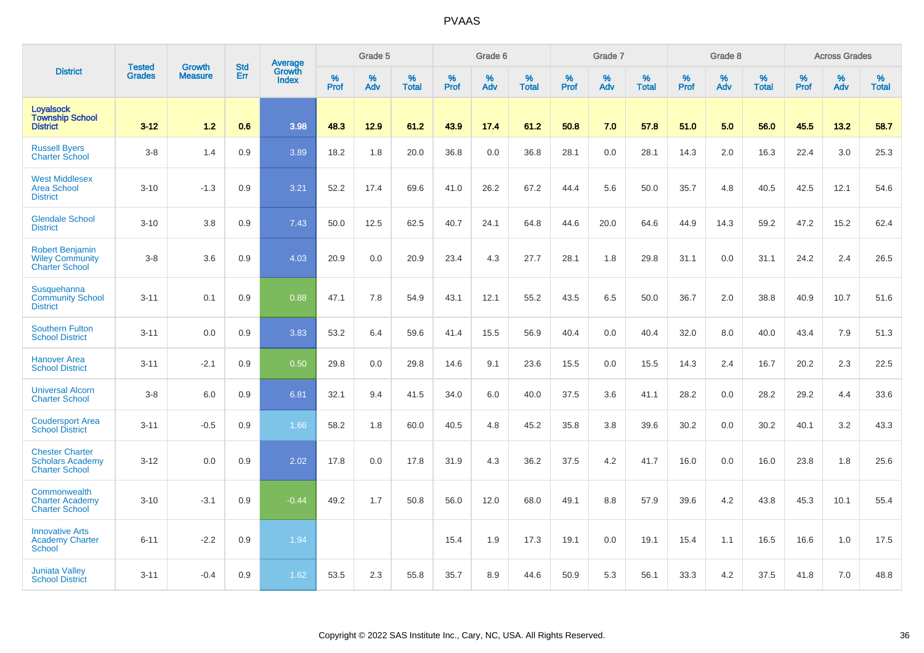|                                                                            |                                |                                 | <b>Std</b> | Average                |                  | Grade 5  |                   |           | Grade 6  |                   |           | Grade 7  |                   |           | Grade 8  |                   |           | <b>Across Grades</b> |                   |
|----------------------------------------------------------------------------|--------------------------------|---------------------------------|------------|------------------------|------------------|----------|-------------------|-----------|----------|-------------------|-----------|----------|-------------------|-----------|----------|-------------------|-----------|----------------------|-------------------|
| <b>District</b>                                                            | <b>Tested</b><br><b>Grades</b> | <b>Growth</b><br><b>Measure</b> | Err        | Growth<br><b>Index</b> | %<br><b>Prof</b> | %<br>Adv | %<br><b>Total</b> | %<br>Prof | %<br>Adv | %<br><b>Total</b> | %<br>Prof | %<br>Adv | %<br><b>Total</b> | %<br>Prof | %<br>Adv | %<br><b>Total</b> | %<br>Prof | %<br>Adv             | %<br><b>Total</b> |
| <b>Loyalsock</b><br><b>Township School</b><br><b>District</b>              | $3 - 12$                       | 1.2                             | 0.6        | 3.98                   | 48.3             | 12.9     | 61.2              | 43.9      | 17.4     | 61.2              | 50.8      | 7.0      | 57.8              | 51.0      | 5.0      | 56.0              | 45.5      | 13.2                 | 58.7              |
| <b>Russell Byers</b><br><b>Charter School</b>                              | $3-8$                          | 1.4                             | 0.9        | 3.89                   | 18.2             | 1.8      | 20.0              | 36.8      | 0.0      | 36.8              | 28.1      | 0.0      | 28.1              | 14.3      | 2.0      | 16.3              | 22.4      | 3.0                  | 25.3              |
| <b>West Middlesex</b><br><b>Area School</b><br><b>District</b>             | $3 - 10$                       | $-1.3$                          | 0.9        | 3.21                   | 52.2             | 17.4     | 69.6              | 41.0      | 26.2     | 67.2              | 44.4      | 5.6      | 50.0              | 35.7      | 4.8      | 40.5              | 42.5      | 12.1                 | 54.6              |
| <b>Glendale School</b><br><b>District</b>                                  | $3 - 10$                       | 3.8                             | 0.9        | 7.43                   | 50.0             | 12.5     | 62.5              | 40.7      | 24.1     | 64.8              | 44.6      | 20.0     | 64.6              | 44.9      | 14.3     | 59.2              | 47.2      | 15.2                 | 62.4              |
| <b>Robert Benjamin</b><br><b>Wiley Community</b><br><b>Charter School</b>  | $3-8$                          | 3.6                             | 0.9        | 4.03                   | 20.9             | 0.0      | 20.9              | 23.4      | 4.3      | 27.7              | 28.1      | 1.8      | 29.8              | 31.1      | 0.0      | 31.1              | 24.2      | 2.4                  | 26.5              |
| Susquehanna<br><b>Community School</b><br><b>District</b>                  | $3 - 11$                       | 0.1                             | 0.9        | 0.88                   | 47.1             | 7.8      | 54.9              | 43.1      | 12.1     | 55.2              | 43.5      | 6.5      | 50.0              | 36.7      | 2.0      | 38.8              | 40.9      | 10.7                 | 51.6              |
| <b>Southern Fulton</b><br><b>School District</b>                           | $3 - 11$                       | 0.0                             | 0.9        | 3.83                   | 53.2             | 6.4      | 59.6              | 41.4      | 15.5     | 56.9              | 40.4      | 0.0      | 40.4              | 32.0      | 8.0      | 40.0              | 43.4      | 7.9                  | 51.3              |
| <b>Hanover Area</b><br><b>School District</b>                              | $3 - 11$                       | $-2.1$                          | 0.9        | 0.50                   | 29.8             | 0.0      | 29.8              | 14.6      | 9.1      | 23.6              | 15.5      | 0.0      | 15.5              | 14.3      | 2.4      | 16.7              | 20.2      | 2.3                  | 22.5              |
| <b>Universal Alcorn</b><br><b>Charter School</b>                           | $3-8$                          | 6.0                             | 0.9        | 6.81                   | 32.1             | 9.4      | 41.5              | 34.0      | 6.0      | 40.0              | 37.5      | 3.6      | 41.1              | 28.2      | 0.0      | 28.2              | 29.2      | 4.4                  | 33.6              |
| <b>Coudersport Area</b><br><b>School District</b>                          | $3 - 11$                       | $-0.5$                          | 0.9        | 1.66                   | 58.2             | 1.8      | 60.0              | 40.5      | 4.8      | 45.2              | 35.8      | 3.8      | 39.6              | 30.2      | 0.0      | 30.2              | 40.1      | 3.2                  | 43.3              |
| <b>Chester Charter</b><br><b>Scholars Academy</b><br><b>Charter School</b> | $3 - 12$                       | 0.0                             | 0.9        | 2.02                   | 17.8             | 0.0      | 17.8              | 31.9      | 4.3      | 36.2              | 37.5      | 4.2      | 41.7              | 16.0      | 0.0      | 16.0              | 23.8      | 1.8                  | 25.6              |
| Commonwealth<br><b>Charter Academy</b><br><b>Charter School</b>            | $3 - 10$                       | $-3.1$                          | 0.9        | $-0.44$                | 49.2             | 1.7      | 50.8              | 56.0      | 12.0     | 68.0              | 49.1      | 8.8      | 57.9              | 39.6      | 4.2      | 43.8              | 45.3      | 10.1                 | 55.4              |
| <b>Innovative Arts</b><br><b>Academy Charter</b><br>School                 | $6 - 11$                       | $-2.2$                          | 0.9        | 1.94                   |                  |          |                   | 15.4      | 1.9      | 17.3              | 19.1      | 0.0      | 19.1              | 15.4      | 1.1      | 16.5              | 16.6      | 1.0                  | 17.5              |
| <b>Juniata Valley</b><br><b>School District</b>                            | $3 - 11$                       | $-0.4$                          | 0.9        | 1.62                   | 53.5             | 2.3      | 55.8              | 35.7      | 8.9      | 44.6              | 50.9      | 5.3      | 56.1              | 33.3      | 4.2      | 37.5              | 41.8      | 7.0                  | 48.8              |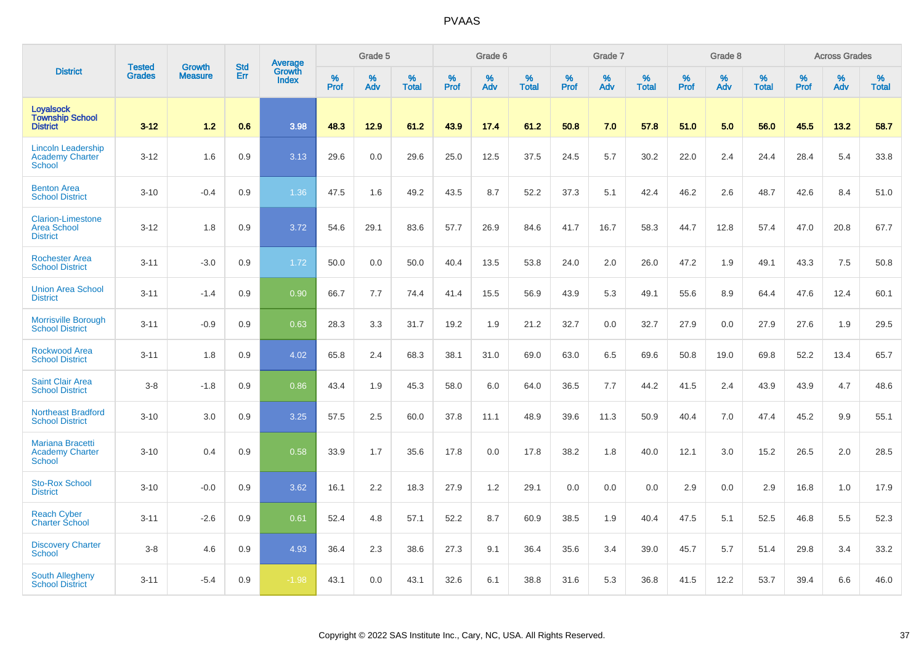|                                                                    | <b>Tested</b> | <b>Growth</b>  | <b>Std</b> | <b>Average</b><br>Growth |              | Grade 5  |                   |           | Grade 6  |                   |           | Grade 7  |                   |           | Grade 8  |                   |                  | <b>Across Grades</b> |                   |
|--------------------------------------------------------------------|---------------|----------------|------------|--------------------------|--------------|----------|-------------------|-----------|----------|-------------------|-----------|----------|-------------------|-----------|----------|-------------------|------------------|----------------------|-------------------|
| <b>District</b>                                                    | <b>Grades</b> | <b>Measure</b> | Err        | <b>Index</b>             | $\%$<br>Prof | %<br>Adv | %<br><b>Total</b> | %<br>Prof | %<br>Adv | %<br><b>Total</b> | %<br>Prof | %<br>Adv | %<br><b>Total</b> | %<br>Prof | %<br>Adv | %<br><b>Total</b> | %<br><b>Prof</b> | %<br>Adv             | %<br><b>Total</b> |
| <b>Loyalsock</b><br><b>Township School</b><br><b>District</b>      | $3 - 12$      | $1.2$          | 0.6        | 3.98                     | 48.3         | 12.9     | 61.2              | 43.9      | 17.4     | 61.2              | 50.8      | 7.0      | 57.8              | 51.0      | 5.0      | 56.0              | 45.5             | 13.2                 | 58.7              |
| <b>Lincoln Leadership</b><br>Academy Charter<br><b>School</b>      | $3 - 12$      | 1.6            | 0.9        | 3.13                     | 29.6         | 0.0      | 29.6              | 25.0      | 12.5     | 37.5              | 24.5      | 5.7      | 30.2              | 22.0      | 2.4      | 24.4              | 28.4             | 5.4                  | 33.8              |
| <b>Benton Area</b><br><b>School District</b>                       | $3 - 10$      | $-0.4$         | 0.9        | 1.36                     | 47.5         | 1.6      | 49.2              | 43.5      | 8.7      | 52.2              | 37.3      | 5.1      | 42.4              | 46.2      | 2.6      | 48.7              | 42.6             | 8.4                  | 51.0              |
| <b>Clarion-Limestone</b><br><b>Area School</b><br><b>District</b>  | $3 - 12$      | 1.8            | 0.9        | 3.72                     | 54.6         | 29.1     | 83.6              | 57.7      | 26.9     | 84.6              | 41.7      | 16.7     | 58.3              | 44.7      | 12.8     | 57.4              | 47.0             | 20.8                 | 67.7              |
| <b>Rochester Area</b><br><b>School District</b>                    | $3 - 11$      | $-3.0$         | 0.9        | 1.72                     | 50.0         | 0.0      | 50.0              | 40.4      | 13.5     | 53.8              | 24.0      | 2.0      | 26.0              | 47.2      | 1.9      | 49.1              | 43.3             | 7.5                  | 50.8              |
| <b>Union Area School</b><br><b>District</b>                        | $3 - 11$      | $-1.4$         | 0.9        | 0.90                     | 66.7         | 7.7      | 74.4              | 41.4      | 15.5     | 56.9              | 43.9      | 5.3      | 49.1              | 55.6      | 8.9      | 64.4              | 47.6             | 12.4                 | 60.1              |
| <b>Morrisville Borough</b><br><b>School District</b>               | $3 - 11$      | $-0.9$         | 0.9        | 0.63                     | 28.3         | 3.3      | 31.7              | 19.2      | 1.9      | 21.2              | 32.7      | 0.0      | 32.7              | 27.9      | 0.0      | 27.9              | 27.6             | 1.9                  | 29.5              |
| <b>Rockwood Area</b><br><b>School District</b>                     | $3 - 11$      | 1.8            | 0.9        | 4.02                     | 65.8         | 2.4      | 68.3              | 38.1      | 31.0     | 69.0              | 63.0      | 6.5      | 69.6              | 50.8      | 19.0     | 69.8              | 52.2             | 13.4                 | 65.7              |
| <b>Saint Clair Area</b><br><b>School District</b>                  | $3-8$         | $-1.8$         | 0.9        | 0.86                     | 43.4         | 1.9      | 45.3              | 58.0      | 6.0      | 64.0              | 36.5      | 7.7      | 44.2              | 41.5      | 2.4      | 43.9              | 43.9             | 4.7                  | 48.6              |
| <b>Northeast Bradford</b><br><b>School District</b>                | $3 - 10$      | 3.0            | 0.9        | 3.25                     | 57.5         | 2.5      | 60.0              | 37.8      | 11.1     | 48.9              | 39.6      | 11.3     | 50.9              | 40.4      | 7.0      | 47.4              | 45.2             | 9.9                  | 55.1              |
| <b>Mariana Bracetti</b><br><b>Academy Charter</b><br><b>School</b> | $3 - 10$      | 0.4            | 0.9        | 0.58                     | 33.9         | 1.7      | 35.6              | 17.8      | 0.0      | 17.8              | 38.2      | 1.8      | 40.0              | 12.1      | 3.0      | 15.2              | 26.5             | 2.0                  | 28.5              |
| <b>Sto-Rox School</b><br><b>District</b>                           | $3 - 10$      | $-0.0$         | 0.9        | 3.62                     | 16.1         | 2.2      | 18.3              | 27.9      | 1.2      | 29.1              | 0.0       | 0.0      | 0.0               | 2.9       | 0.0      | 2.9               | 16.8             | 1.0                  | 17.9              |
| <b>Reach Cyber</b><br><b>Charter School</b>                        | $3 - 11$      | $-2.6$         | 0.9        | 0.61                     | 52.4         | 4.8      | 57.1              | 52.2      | 8.7      | 60.9              | 38.5      | 1.9      | 40.4              | 47.5      | 5.1      | 52.5              | 46.8             | 5.5                  | 52.3              |
| <b>Discovery Charter</b><br><b>School</b>                          | $3-8$         | 4.6            | 0.9        | 4.93                     | 36.4         | 2.3      | 38.6              | 27.3      | 9.1      | 36.4              | 35.6      | 3.4      | 39.0              | 45.7      | 5.7      | 51.4              | 29.8             | 3.4                  | 33.2              |
| South Allegheny<br><b>School District</b>                          | $3 - 11$      | $-5.4$         | 0.9        | $-1.98$                  | 43.1         | 0.0      | 43.1              | 32.6      | 6.1      | 38.8              | 31.6      | 5.3      | 36.8              | 41.5      | 12.2     | 53.7              | 39.4             | 6.6                  | 46.0              |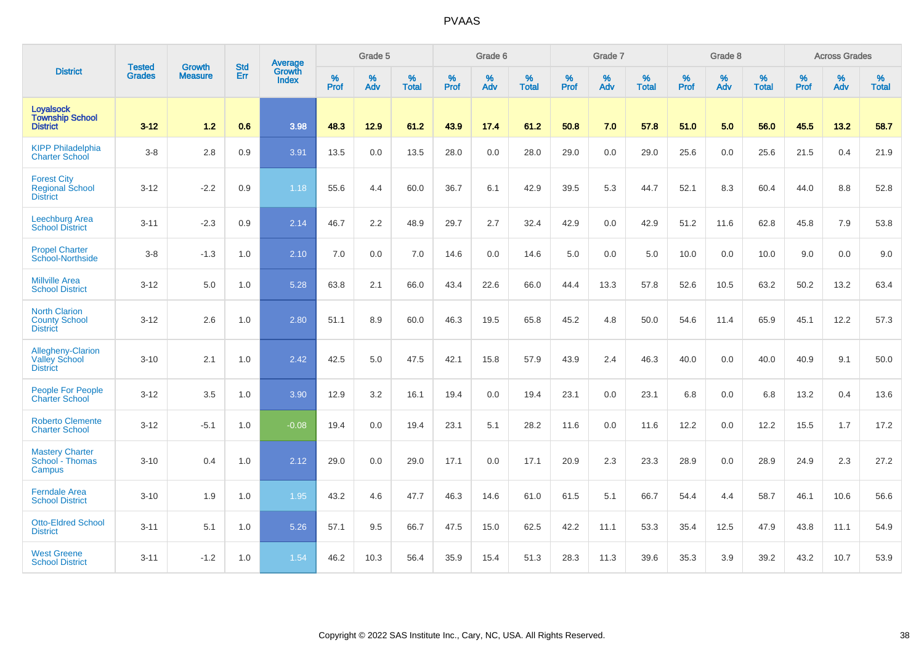|                                                                 |                                |                                 | <b>Std</b> | Average                |                     | Grade 5  |                   |                     | Grade 6  |                   |                     | Grade 7  |                   |                     | Grade 8     |                   |                     | <b>Across Grades</b> |                   |
|-----------------------------------------------------------------|--------------------------------|---------------------------------|------------|------------------------|---------------------|----------|-------------------|---------------------|----------|-------------------|---------------------|----------|-------------------|---------------------|-------------|-------------------|---------------------|----------------------|-------------------|
| <b>District</b>                                                 | <b>Tested</b><br><b>Grades</b> | <b>Growth</b><br><b>Measure</b> | Err        | Growth<br><b>Index</b> | $\%$<br><b>Prof</b> | %<br>Adv | %<br><b>Total</b> | $\%$<br><b>Prof</b> | %<br>Adv | %<br><b>Total</b> | $\%$<br><b>Prof</b> | %<br>Adv | %<br><b>Total</b> | $\%$<br><b>Prof</b> | $\%$<br>Adv | %<br><b>Total</b> | $\%$<br><b>Prof</b> | %<br>Adv             | %<br><b>Total</b> |
| Loyalsock<br><b>Township School</b><br><b>District</b>          | $3 - 12$                       | 1.2                             | 0.6        | 3.98                   | 48.3                | 12.9     | 61.2              | 43.9                | 17.4     | 61.2              | 50.8                | 7.0      | 57.8              | 51.0                | 5.0         | 56.0              | 45.5                | 13.2                 | 58.7              |
| <b>KIPP Philadelphia</b><br><b>Charter School</b>               | $3-8$                          | 2.8                             | 0.9        | 3.91                   | 13.5                | 0.0      | 13.5              | 28.0                | 0.0      | 28.0              | 29.0                | 0.0      | 29.0              | 25.6                | 0.0         | 25.6              | 21.5                | 0.4                  | 21.9              |
| <b>Forest City</b><br><b>Regional School</b><br><b>District</b> | $3 - 12$                       | $-2.2$                          | 0.9        | 1.18                   | 55.6                | 4.4      | 60.0              | 36.7                | 6.1      | 42.9              | 39.5                | 5.3      | 44.7              | 52.1                | 8.3         | 60.4              | 44.0                | 8.8                  | 52.8              |
| Leechburg Area<br><b>School District</b>                        | $3 - 11$                       | $-2.3$                          | 0.9        | 2.14                   | 46.7                | 2.2      | 48.9              | 29.7                | 2.7      | 32.4              | 42.9                | 0.0      | 42.9              | 51.2                | 11.6        | 62.8              | 45.8                | 7.9                  | 53.8              |
| <b>Propel Charter</b><br>School-Northside                       | $3-8$                          | $-1.3$                          | 1.0        | 2.10                   | 7.0                 | 0.0      | 7.0               | 14.6                | 0.0      | 14.6              | 5.0                 | 0.0      | 5.0               | 10.0                | 0.0         | 10.0              | 9.0                 | 0.0                  | 9.0               |
| <b>Millville Area</b><br><b>School District</b>                 | $3 - 12$                       | 5.0                             | 1.0        | 5.28                   | 63.8                | 2.1      | 66.0              | 43.4                | 22.6     | 66.0              | 44.4                | 13.3     | 57.8              | 52.6                | 10.5        | 63.2              | 50.2                | 13.2                 | 63.4              |
| <b>North Clarion</b><br><b>County School</b><br><b>District</b> | $3-12$                         | 2.6                             | 1.0        | 2.80                   | 51.1                | 8.9      | 60.0              | 46.3                | 19.5     | 65.8              | 45.2                | 4.8      | 50.0              | 54.6                | 11.4        | 65.9              | 45.1                | 12.2                 | 57.3              |
| Allegheny-Clarion<br><b>Valley School</b><br><b>District</b>    | $3 - 10$                       | 2.1                             | 1.0        | 2.42                   | 42.5                | 5.0      | 47.5              | 42.1                | 15.8     | 57.9              | 43.9                | 2.4      | 46.3              | 40.0                | 0.0         | 40.0              | 40.9                | 9.1                  | 50.0              |
| <b>People For People</b><br><b>Charter School</b>               | $3 - 12$                       | 3.5                             | 1.0        | 3.90                   | 12.9                | 3.2      | 16.1              | 19.4                | 0.0      | 19.4              | 23.1                | 0.0      | 23.1              | 6.8                 | 0.0         | 6.8               | 13.2                | 0.4                  | 13.6              |
| <b>Roberto Clemente</b><br><b>Charter School</b>                | $3 - 12$                       | $-5.1$                          | 1.0        | $-0.08$                | 19.4                | 0.0      | 19.4              | 23.1                | 5.1      | 28.2              | 11.6                | 0.0      | 11.6              | 12.2                | 0.0         | 12.2              | 15.5                | 1.7                  | 17.2              |
| <b>Mastery Charter</b><br>School - Thomas<br>Campus             | $3 - 10$                       | 0.4                             | 1.0        | 2.12                   | 29.0                | 0.0      | 29.0              | 17.1                | 0.0      | 17.1              | 20.9                | 2.3      | 23.3              | 28.9                | 0.0         | 28.9              | 24.9                | 2.3                  | 27.2              |
| <b>Ferndale Area</b><br><b>School District</b>                  | $3 - 10$                       | 1.9                             | 1.0        | 1.95                   | 43.2                | 4.6      | 47.7              | 46.3                | 14.6     | 61.0              | 61.5                | 5.1      | 66.7              | 54.4                | 4.4         | 58.7              | 46.1                | 10.6                 | 56.6              |
| <b>Otto-Eldred School</b><br><b>District</b>                    | $3 - 11$                       | 5.1                             | 1.0        | 5.26                   | 57.1                | 9.5      | 66.7              | 47.5                | 15.0     | 62.5              | 42.2                | 11.1     | 53.3              | 35.4                | 12.5        | 47.9              | 43.8                | 11.1                 | 54.9              |
| <b>West Greene</b><br><b>School District</b>                    | $3 - 11$                       | $-1.2$                          | 1.0        | 1.54                   | 46.2                | 10.3     | 56.4              | 35.9                | 15.4     | 51.3              | 28.3                | 11.3     | 39.6              | 35.3                | 3.9         | 39.2              | 43.2                | 10.7                 | 53.9              |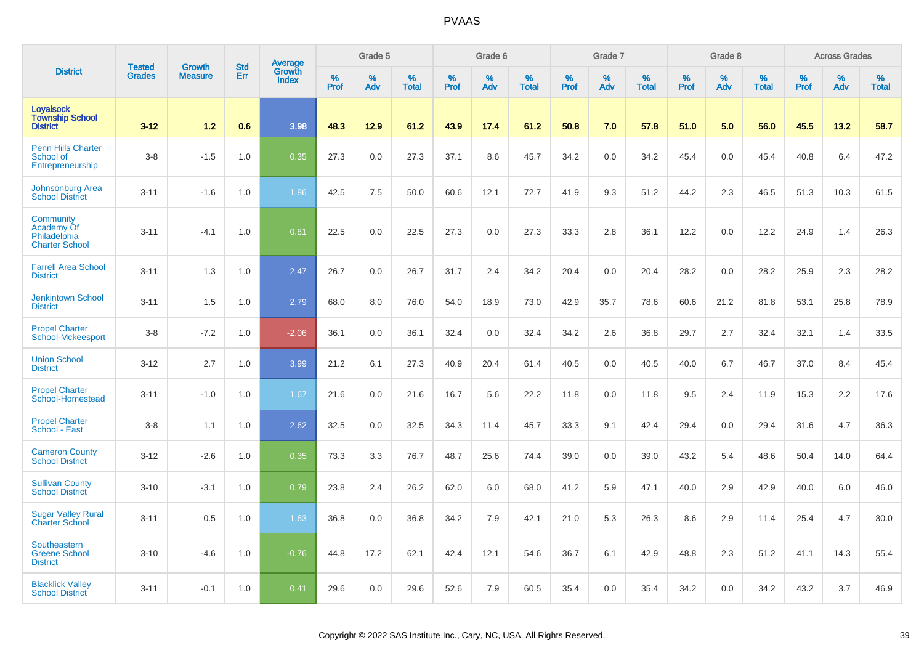|                                                                  | <b>Tested</b> | <b>Growth</b>  | <b>Std</b> |                                          |              | Grade 5  |                   |           | Grade 6  |                   |           | Grade 7  |                   |           | Grade 8  |                   |           | <b>Across Grades</b> |                   |
|------------------------------------------------------------------|---------------|----------------|------------|------------------------------------------|--------------|----------|-------------------|-----------|----------|-------------------|-----------|----------|-------------------|-----------|----------|-------------------|-----------|----------------------|-------------------|
| <b>District</b>                                                  | <b>Grades</b> | <b>Measure</b> | Err        | <b>Average</b><br>Growth<br><b>Index</b> | $\%$<br>Prof | %<br>Adv | %<br><b>Total</b> | %<br>Prof | %<br>Adv | %<br><b>Total</b> | %<br>Prof | %<br>Adv | %<br><b>Total</b> | %<br>Prof | %<br>Adv | %<br><b>Total</b> | %<br>Prof | %<br>Adv             | %<br><b>Total</b> |
| <b>Loyalsock</b><br><b>Township School</b><br><b>District</b>    | $3 - 12$      | 1.2            | 0.6        | 3.98                                     | 48.3         | 12.9     | 61.2              | 43.9      | 17.4     | 61.2              | 50.8      | 7.0      | 57.8              | 51.0      | 5.0      | 56.0              | 45.5      | 13.2                 | 58.7              |
| <b>Penn Hills Charter</b><br>School of<br>Entrepreneurship       | $3-8$         | $-1.5$         | 1.0        | 0.35                                     | 27.3         | 0.0      | 27.3              | 37.1      | 8.6      | 45.7              | 34.2      | 0.0      | 34.2              | 45.4      | 0.0      | 45.4              | 40.8      | 6.4                  | 47.2              |
| Johnsonburg Area<br><b>School District</b>                       | $3 - 11$      | $-1.6$         | 1.0        | 1.86                                     | 42.5         | 7.5      | 50.0              | 60.6      | 12.1     | 72.7              | 41.9      | 9.3      | 51.2              | 44.2      | 2.3      | 46.5              | 51.3      | 10.3                 | 61.5              |
| Community<br>Academy Of<br>Philadelphia<br><b>Charter School</b> | $3 - 11$      | $-4.1$         | 1.0        | 0.81                                     | 22.5         | 0.0      | 22.5              | 27.3      | 0.0      | 27.3              | 33.3      | 2.8      | 36.1              | 12.2      | 0.0      | 12.2              | 24.9      | 1.4                  | 26.3              |
| <b>Farrell Area School</b><br><b>District</b>                    | $3 - 11$      | 1.3            | 1.0        | 2.47                                     | 26.7         | 0.0      | 26.7              | 31.7      | 2.4      | 34.2              | 20.4      | 0.0      | 20.4              | 28.2      | 0.0      | 28.2              | 25.9      | 2.3                  | 28.2              |
| <b>Jenkintown School</b><br><b>District</b>                      | $3 - 11$      | 1.5            | 1.0        | 2.79                                     | 68.0         | 8.0      | 76.0              | 54.0      | 18.9     | 73.0              | 42.9      | 35.7     | 78.6              | 60.6      | 21.2     | 81.8              | 53.1      | 25.8                 | 78.9              |
| <b>Propel Charter</b><br>School-Mckeesport                       | $3-8$         | $-7.2$         | 1.0        | $-2.06$                                  | 36.1         | 0.0      | 36.1              | 32.4      | 0.0      | 32.4              | 34.2      | 2.6      | 36.8              | 29.7      | 2.7      | 32.4              | 32.1      | 1.4                  | 33.5              |
| <b>Union School</b><br><b>District</b>                           | $3 - 12$      | 2.7            | 1.0        | 3.99                                     | 21.2         | 6.1      | 27.3              | 40.9      | 20.4     | 61.4              | 40.5      | 0.0      | 40.5              | 40.0      | 6.7      | 46.7              | 37.0      | 8.4                  | 45.4              |
| <b>Propel Charter</b><br>School-Homestead                        | $3 - 11$      | $-1.0$         | 1.0        | 1.67                                     | 21.6         | 0.0      | 21.6              | 16.7      | 5.6      | 22.2              | 11.8      | 0.0      | 11.8              | 9.5       | 2.4      | 11.9              | 15.3      | 2.2                  | 17.6              |
| <b>Propel Charter</b><br>School - East                           | $3-8$         | 1.1            | 1.0        | 2.62                                     | 32.5         | 0.0      | 32.5              | 34.3      | 11.4     | 45.7              | 33.3      | 9.1      | 42.4              | 29.4      | 0.0      | 29.4              | 31.6      | 4.7                  | 36.3              |
| <b>Cameron County</b><br><b>School District</b>                  | $3 - 12$      | $-2.6$         | 1.0        | 0.35                                     | 73.3         | 3.3      | 76.7              | 48.7      | 25.6     | 74.4              | 39.0      | 0.0      | 39.0              | 43.2      | 5.4      | 48.6              | 50.4      | 14.0                 | 64.4              |
| <b>Sullivan County</b><br><b>School District</b>                 | $3 - 10$      | $-3.1$         | 1.0        | 0.79                                     | 23.8         | 2.4      | 26.2              | 62.0      | 6.0      | 68.0              | 41.2      | 5.9      | 47.1              | 40.0      | 2.9      | 42.9              | 40.0      | 6.0                  | 46.0              |
| <b>Sugar Valley Rural</b><br><b>Charter School</b>               | $3 - 11$      | 0.5            | 1.0        | 1.63                                     | 36.8         | 0.0      | 36.8              | 34.2      | 7.9      | 42.1              | 21.0      | 5.3      | 26.3              | 8.6       | 2.9      | 11.4              | 25.4      | 4.7                  | 30.0              |
| Southeastern<br><b>Greene School</b><br><b>District</b>          | $3 - 10$      | $-4.6$         | 1.0        | $-0.76$                                  | 44.8         | 17.2     | 62.1              | 42.4      | 12.1     | 54.6              | 36.7      | 6.1      | 42.9              | 48.8      | 2.3      | 51.2              | 41.1      | 14.3                 | 55.4              |
| <b>Blacklick Valley</b><br><b>School District</b>                | $3 - 11$      | $-0.1$         | 1.0        | 0.41                                     | 29.6         | 0.0      | 29.6              | 52.6      | 7.9      | 60.5              | 35.4      | 0.0      | 35.4              | 34.2      | 0.0      | 34.2              | 43.2      | 3.7                  | 46.9              |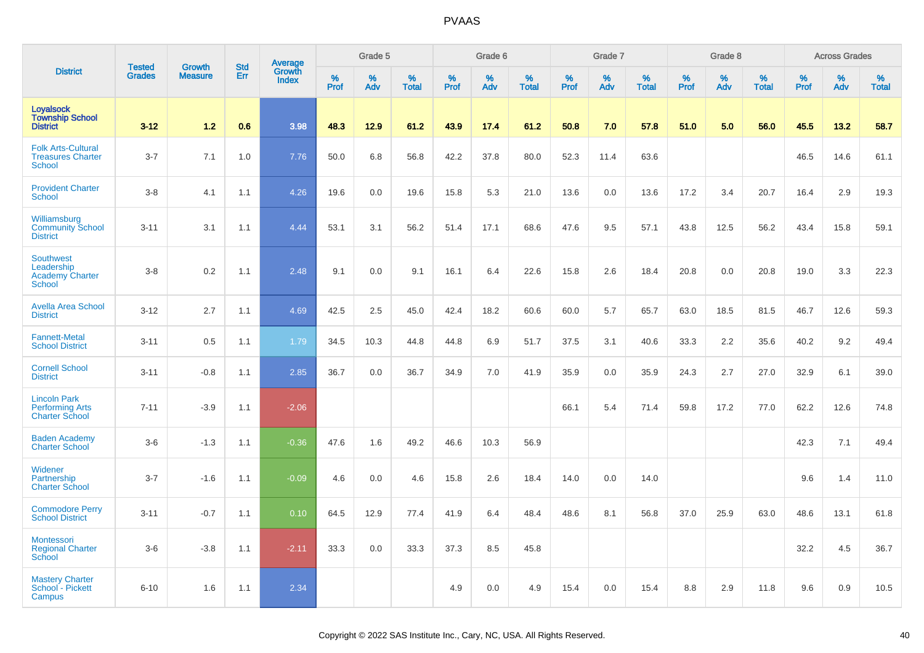|                                                                           |                                |                                 |                   | Average                |                     | Grade 5     |                      |                  | Grade 6  |                      |                     | Grade 7  |                   |           | Grade 8  |                   |                     | <b>Across Grades</b> |                      |
|---------------------------------------------------------------------------|--------------------------------|---------------------------------|-------------------|------------------------|---------------------|-------------|----------------------|------------------|----------|----------------------|---------------------|----------|-------------------|-----------|----------|-------------------|---------------------|----------------------|----------------------|
| <b>District</b>                                                           | <b>Tested</b><br><b>Grades</b> | <b>Growth</b><br><b>Measure</b> | <b>Std</b><br>Err | Growth<br><b>Index</b> | $\%$<br><b>Prof</b> | $\%$<br>Adv | $\%$<br><b>Total</b> | %<br><b>Prof</b> | %<br>Adv | $\%$<br><b>Total</b> | $\%$<br><b>Prof</b> | %<br>Adv | %<br><b>Total</b> | %<br>Prof | %<br>Adv | %<br><b>Total</b> | $\%$<br><b>Prof</b> | $\%$<br>Adv          | $\%$<br><b>Total</b> |
| Loyalsock<br><b>Township School</b><br><b>District</b>                    | $3 - 12$                       | 1.2                             | 0.6               | 3.98                   | 48.3                | 12.9        | 61.2                 | 43.9             | 17.4     | 61.2                 | 50.8                | 7.0      | 57.8              | 51.0      | 5.0      | 56.0              | 45.5                | 13.2                 | 58.7                 |
| <b>Folk Arts-Cultural</b><br><b>Treasures Charter</b><br><b>School</b>    | $3 - 7$                        | 7.1                             | 1.0               | 7.76                   | 50.0                | 6.8         | 56.8                 | 42.2             | 37.8     | 80.0                 | 52.3                | 11.4     | 63.6              |           |          |                   | 46.5                | 14.6                 | 61.1                 |
| <b>Provident Charter</b><br><b>School</b>                                 | $3 - 8$                        | 4.1                             | 1.1               | 4.26                   | 19.6                | 0.0         | 19.6                 | 15.8             | 5.3      | 21.0                 | 13.6                | 0.0      | 13.6              | 17.2      | 3.4      | 20.7              | 16.4                | 2.9                  | 19.3                 |
| Williamsburg<br><b>Community School</b><br><b>District</b>                | $3 - 11$                       | 3.1                             | 1.1               | 4.44                   | 53.1                | 3.1         | 56.2                 | 51.4             | 17.1     | 68.6                 | 47.6                | 9.5      | 57.1              | 43.8      | 12.5     | 56.2              | 43.4                | 15.8                 | 59.1                 |
| <b>Southwest</b><br>Leadership<br><b>Academy Charter</b><br><b>School</b> | $3 - 8$                        | 0.2                             | 1.1               | 2.48                   | 9.1                 | 0.0         | 9.1                  | 16.1             | 6.4      | 22.6                 | 15.8                | 2.6      | 18.4              | 20.8      | 0.0      | 20.8              | 19.0                | 3.3                  | 22.3                 |
| <b>Avella Area School</b><br><b>District</b>                              | $3 - 12$                       | 2.7                             | 1.1               | 4.69                   | 42.5                | 2.5         | 45.0                 | 42.4             | 18.2     | 60.6                 | 60.0                | 5.7      | 65.7              | 63.0      | 18.5     | 81.5              | 46.7                | 12.6                 | 59.3                 |
| <b>Fannett-Metal</b><br><b>School District</b>                            | $3 - 11$                       | 0.5                             | 1.1               | 1.79                   | 34.5                | 10.3        | 44.8                 | 44.8             | 6.9      | 51.7                 | 37.5                | 3.1      | 40.6              | 33.3      | 2.2      | 35.6              | 40.2                | 9.2                  | 49.4                 |
| <b>Cornell School</b><br><b>District</b>                                  | $3 - 11$                       | $-0.8$                          | 1.1               | 2.85                   | 36.7                | 0.0         | 36.7                 | 34.9             | 7.0      | 41.9                 | 35.9                | 0.0      | 35.9              | 24.3      | 2.7      | 27.0              | 32.9                | 6.1                  | 39.0                 |
| <b>Lincoln Park</b><br><b>Performing Arts</b><br><b>Charter School</b>    | $7 - 11$                       | $-3.9$                          | 1.1               | $-2.06$                |                     |             |                      |                  |          |                      | 66.1                | 5.4      | 71.4              | 59.8      | 17.2     | 77.0              | 62.2                | 12.6                 | 74.8                 |
| <b>Baden Academy</b><br><b>Charter School</b>                             | $3-6$                          | $-1.3$                          | 1.1               | $-0.36$                | 47.6                | 1.6         | 49.2                 | 46.6             | 10.3     | 56.9                 |                     |          |                   |           |          |                   | 42.3                | 7.1                  | 49.4                 |
| Widener<br>Partnership<br><b>Charter School</b>                           | $3 - 7$                        | $-1.6$                          | 1.1               | $-0.09$                | 4.6                 | 0.0         | 4.6                  | 15.8             | 2.6      | 18.4                 | 14.0                | $0.0\,$  | 14.0              |           |          |                   | 9.6                 | 1.4                  | 11.0                 |
| <b>Commodore Perry</b><br><b>School District</b>                          | $3 - 11$                       | $-0.7$                          | 1.1               | 0.10                   | 64.5                | 12.9        | 77.4                 | 41.9             | 6.4      | 48.4                 | 48.6                | 8.1      | 56.8              | 37.0      | 25.9     | 63.0              | 48.6                | 13.1                 | 61.8                 |
| <b>Montessori</b><br><b>Regional Charter</b><br><b>School</b>             | $3-6$                          | $-3.8$                          | 1.1               | $-2.11$                | 33.3                | 0.0         | 33.3                 | 37.3             | 8.5      | 45.8                 |                     |          |                   |           |          |                   | 32.2                | 4.5                  | 36.7                 |
| <b>Mastery Charter</b><br>School - Pickett<br>Campus                      | $6 - 10$                       | 1.6                             | 1.1               | 2.34                   |                     |             |                      | 4.9              | 0.0      | 4.9                  | 15.4                | 0.0      | 15.4              | 8.8       | 2.9      | 11.8              | 9.6                 | 0.9                  | 10.5                 |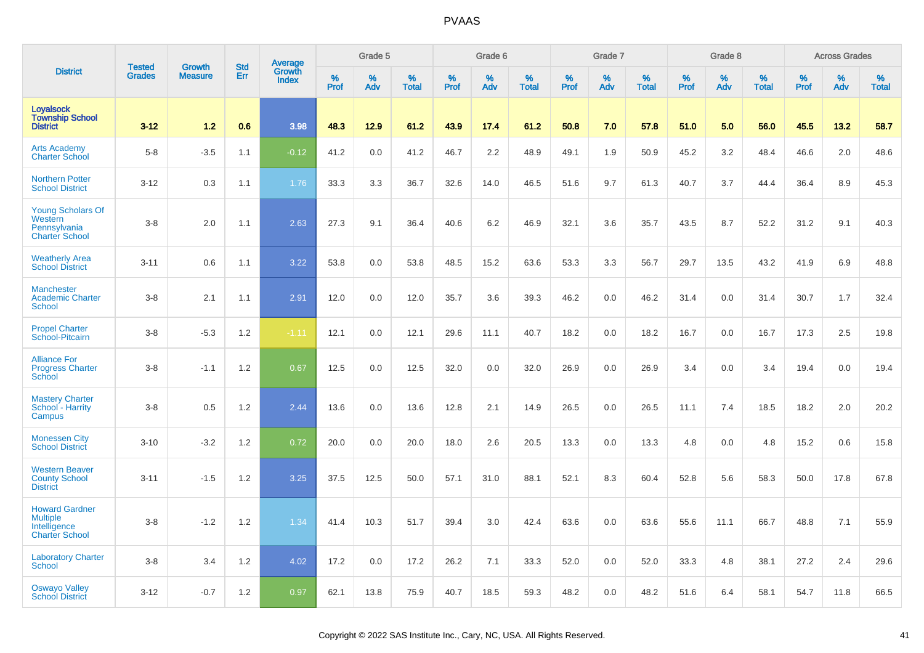|                                                                                   |                                |                                 |                   | Average                |                     | Grade 5     |                      |                  | Grade 6  |                      |                  | Grade 7  |                      |                  | Grade 8  |                      |           | <b>Across Grades</b> |                      |
|-----------------------------------------------------------------------------------|--------------------------------|---------------------------------|-------------------|------------------------|---------------------|-------------|----------------------|------------------|----------|----------------------|------------------|----------|----------------------|------------------|----------|----------------------|-----------|----------------------|----------------------|
| <b>District</b>                                                                   | <b>Tested</b><br><b>Grades</b> | <b>Growth</b><br><b>Measure</b> | <b>Std</b><br>Err | Growth<br><b>Index</b> | $\%$<br><b>Prof</b> | $\%$<br>Adv | $\%$<br><b>Total</b> | %<br><b>Prof</b> | %<br>Adv | $\%$<br><b>Total</b> | %<br><b>Prof</b> | %<br>Adv | $\%$<br><b>Total</b> | %<br><b>Prof</b> | %<br>Adv | $\%$<br><b>Total</b> | %<br>Prof | %<br>Adv             | $\%$<br><b>Total</b> |
| <b>Loyalsock</b><br><b>Township School</b><br><b>District</b>                     | $3 - 12$                       | 1.2                             | 0.6               | 3.98                   | 48.3                | 12.9        | 61.2                 | 43.9             | 17.4     | 61.2                 | 50.8             | 7.0      | 57.8                 | 51.0             | 5.0      | 56.0                 | 45.5      | 13.2                 | 58.7                 |
| <b>Arts Academy</b><br>Charter School                                             | $5 - 8$                        | $-3.5$                          | 1.1               | $-0.12$                | 41.2                | 0.0         | 41.2                 | 46.7             | 2.2      | 48.9                 | 49.1             | 1.9      | 50.9                 | 45.2             | 3.2      | 48.4                 | 46.6      | 2.0                  | 48.6                 |
| <b>Northern Potter</b><br><b>School District</b>                                  | $3 - 12$                       | 0.3                             | 1.1               | 1.76                   | 33.3                | 3.3         | 36.7                 | 32.6             | 14.0     | 46.5                 | 51.6             | 9.7      | 61.3                 | 40.7             | 3.7      | 44.4                 | 36.4      | 8.9                  | 45.3                 |
| <b>Young Scholars Of</b><br>Western<br>Pennsylvania<br><b>Charter School</b>      | $3 - 8$                        | 2.0                             | 1.1               | 2.63                   | 27.3                | 9.1         | 36.4                 | 40.6             | 6.2      | 46.9                 | 32.1             | 3.6      | 35.7                 | 43.5             | 8.7      | 52.2                 | 31.2      | 9.1                  | 40.3                 |
| <b>Weatherly Area</b><br><b>School District</b>                                   | $3 - 11$                       | 0.6                             | 1.1               | 3.22                   | 53.8                | 0.0         | 53.8                 | 48.5             | 15.2     | 63.6                 | 53.3             | 3.3      | 56.7                 | 29.7             | 13.5     | 43.2                 | 41.9      | 6.9                  | 48.8                 |
| <b>Manchester</b><br><b>Academic Charter</b><br><b>School</b>                     | $3 - 8$                        | 2.1                             | 1.1               | 2.91                   | 12.0                | 0.0         | 12.0                 | 35.7             | 3.6      | 39.3                 | 46.2             | 0.0      | 46.2                 | 31.4             | 0.0      | 31.4                 | 30.7      | 1.7                  | 32.4                 |
| <b>Propel Charter</b><br>School-Pitcairn                                          | $3 - 8$                        | $-5.3$                          | 1.2               | $-1.11$                | 12.1                | 0.0         | 12.1                 | 29.6             | 11.1     | 40.7                 | 18.2             | 0.0      | 18.2                 | 16.7             | 0.0      | 16.7                 | 17.3      | 2.5                  | 19.8                 |
| <b>Alliance For</b><br><b>Progress Charter</b><br>School                          | $3 - 8$                        | $-1.1$                          | 1.2               | 0.67                   | 12.5                | 0.0         | 12.5                 | 32.0             | 0.0      | 32.0                 | 26.9             | 0.0      | 26.9                 | 3.4              | 0.0      | 3.4                  | 19.4      | 0.0                  | 19.4                 |
| <b>Mastery Charter</b><br>School - Harrity<br>Campus                              | $3 - 8$                        | 0.5                             | 1.2               | 2.44                   | 13.6                | 0.0         | 13.6                 | 12.8             | 2.1      | 14.9                 | 26.5             | 0.0      | 26.5                 | 11.1             | 7.4      | 18.5                 | 18.2      | 2.0                  | 20.2                 |
| <b>Monessen City</b><br><b>School District</b>                                    | $3 - 10$                       | $-3.2$                          | 1.2               | 0.72                   | 20.0                | 0.0         | 20.0                 | 18.0             | 2.6      | 20.5                 | 13.3             | 0.0      | 13.3                 | 4.8              | 0.0      | 4.8                  | 15.2      | 0.6                  | 15.8                 |
| <b>Western Beaver</b><br><b>County School</b><br><b>District</b>                  | $3 - 11$                       | $-1.5$                          | 1.2               | 3.25                   | 37.5                | 12.5        | 50.0                 | 57.1             | 31.0     | 88.1                 | 52.1             | 8.3      | 60.4                 | 52.8             | 5.6      | 58.3                 | 50.0      | 17.8                 | 67.8                 |
| <b>Howard Gardner</b><br><b>Multiple</b><br>Intelligence<br><b>Charter School</b> | $3 - 8$                        | $-1.2$                          | 1.2               | 1.34                   | 41.4                | 10.3        | 51.7                 | 39.4             | 3.0      | 42.4                 | 63.6             | 0.0      | 63.6                 | 55.6             | 11.1     | 66.7                 | 48.8      | 7.1                  | 55.9                 |
| <b>Laboratory Charter</b><br><b>School</b>                                        | $3 - 8$                        | 3.4                             | 1.2               | 4.02                   | 17.2                | 0.0         | 17.2                 | 26.2             | 7.1      | 33.3                 | 52.0             | 0.0      | 52.0                 | 33.3             | 4.8      | 38.1                 | 27.2      | 2.4                  | 29.6                 |
| <b>Oswayo Valley</b><br><b>School District</b>                                    | $3 - 12$                       | $-0.7$                          | 1.2               | 0.97                   | 62.1                | 13.8        | 75.9                 | 40.7             | 18.5     | 59.3                 | 48.2             | 0.0      | 48.2                 | 51.6             | 6.4      | 58.1                 | 54.7      | 11.8                 | 66.5                 |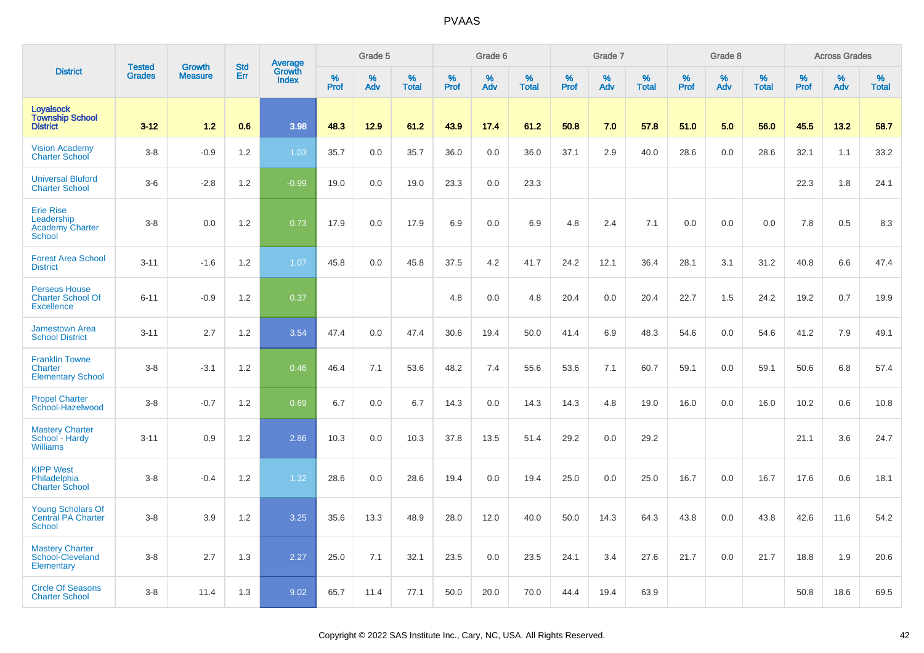|                                                                           |                                |                                 |                   |                                   |                     | Grade 5     |                      |              | Grade 6  |                      |              | Grade 7     |                      |                     | Grade 8     |                   |                     | <b>Across Grades</b> |                      |
|---------------------------------------------------------------------------|--------------------------------|---------------------------------|-------------------|-----------------------------------|---------------------|-------------|----------------------|--------------|----------|----------------------|--------------|-------------|----------------------|---------------------|-------------|-------------------|---------------------|----------------------|----------------------|
| <b>District</b>                                                           | <b>Tested</b><br><b>Grades</b> | <b>Growth</b><br><b>Measure</b> | <b>Std</b><br>Err | Average<br>Growth<br><b>Index</b> | $\%$<br><b>Prof</b> | $\%$<br>Adv | $\%$<br><b>Total</b> | $\%$<br>Prof | %<br>Adv | $\%$<br><b>Total</b> | $\%$<br>Prof | $\%$<br>Adv | $\%$<br><b>Total</b> | $\%$<br><b>Prof</b> | $\%$<br>Adv | %<br><b>Total</b> | $\%$<br><b>Prof</b> | $\%$<br>Adv          | $\%$<br><b>Total</b> |
| <b>Loyalsock</b><br><b>Township School</b><br><b>District</b>             | $3 - 12$                       | 1.2                             | 0.6               | 3.98                              | 48.3                | 12.9        | 61.2                 | 43.9         | 17.4     | 61.2                 | 50.8         | 7.0         | 57.8                 | 51.0                | 5.0         | 56.0              | 45.5                | 13.2                 | 58.7                 |
| <b>Vision Academy</b><br><b>Charter School</b>                            | $3-8$                          | $-0.9$                          | 1.2               | 1.03                              | 35.7                | 0.0         | 35.7                 | 36.0         | 0.0      | 36.0                 | 37.1         | 2.9         | 40.0                 | 28.6                | 0.0         | 28.6              | 32.1                | 1.1                  | 33.2                 |
| <b>Universal Bluford</b><br><b>Charter School</b>                         | $3-6$                          | $-2.8$                          | 1.2               | $-0.99$                           | 19.0                | 0.0         | 19.0                 | 23.3         | 0.0      | 23.3                 |              |             |                      |                     |             |                   | 22.3                | 1.8                  | 24.1                 |
| <b>Erie Rise</b><br>Leadership<br><b>Academy Charter</b><br><b>School</b> | $3-8$                          | 0.0                             | 1.2               | 0.73                              | 17.9                | 0.0         | 17.9                 | 6.9          | 0.0      | 6.9                  | 4.8          | 2.4         | 7.1                  | 0.0                 | 0.0         | 0.0               | 7.8                 | 0.5                  | 8.3                  |
| <b>Forest Area School</b><br><b>District</b>                              | $3 - 11$                       | $-1.6$                          | 1.2               | 1.07                              | 45.8                | 0.0         | 45.8                 | 37.5         | 4.2      | 41.7                 | 24.2         | 12.1        | 36.4                 | 28.1                | 3.1         | 31.2              | 40.8                | 6.6                  | 47.4                 |
| <b>Perseus House</b><br><b>Charter School Of</b><br><b>Excellence</b>     | $6 - 11$                       | $-0.9$                          | 1.2               | 0.37                              |                     |             |                      | 4.8          | 0.0      | 4.8                  | 20.4         | 0.0         | 20.4                 | 22.7                | 1.5         | 24.2              | 19.2                | 0.7                  | 19.9                 |
| <b>Jamestown Area</b><br><b>School District</b>                           | $3 - 11$                       | 2.7                             | 1.2               | 3.54                              | 47.4                | 0.0         | 47.4                 | 30.6         | 19.4     | 50.0                 | 41.4         | 6.9         | 48.3                 | 54.6                | 0.0         | 54.6              | 41.2                | 7.9                  | 49.1                 |
| <b>Franklin Towne</b><br>Charter<br><b>Elementary School</b>              | $3-8$                          | $-3.1$                          | 1.2               | 0.46                              | 46.4                | 7.1         | 53.6                 | 48.2         | 7.4      | 55.6                 | 53.6         | 7.1         | 60.7                 | 59.1                | 0.0         | 59.1              | 50.6                | 6.8                  | 57.4                 |
| <b>Propel Charter</b><br>School-Hazelwood                                 | $3 - 8$                        | $-0.7$                          | 1.2               | 0.69                              | 6.7                 | 0.0         | 6.7                  | 14.3         | 0.0      | 14.3                 | 14.3         | 4.8         | 19.0                 | 16.0                | 0.0         | 16.0              | 10.2                | 0.6                  | 10.8                 |
| <b>Mastery Charter</b><br>School - Hardy<br><b>Williams</b>               | $3 - 11$                       | 0.9                             | 1.2               | 2.86                              | 10.3                | 0.0         | 10.3                 | 37.8         | 13.5     | 51.4                 | 29.2         | 0.0         | 29.2                 |                     |             |                   | 21.1                | 3.6                  | 24.7                 |
| <b>KIPP West</b><br>Philadelphia<br><b>Charter School</b>                 | $3 - 8$                        | $-0.4$                          | 1.2               | 1.32                              | 28.6                | 0.0         | 28.6                 | 19.4         | 0.0      | 19.4                 | 25.0         | 0.0         | 25.0                 | 16.7                | 0.0         | 16.7              | 17.6                | 0.6                  | 18.1                 |
| <b>Young Scholars Of</b><br><b>Central PA Charter</b><br><b>School</b>    | $3-8$                          | 3.9                             | 1.2               | 3.25                              | 35.6                | 13.3        | 48.9                 | 28.0         | 12.0     | 40.0                 | 50.0         | 14.3        | 64.3                 | 43.8                | 0.0         | 43.8              | 42.6                | 11.6                 | 54.2                 |
| <b>Mastery Charter</b><br>School-Cleveland<br>Elementary                  | $3-8$                          | 2.7                             | 1.3               | 2.27                              | 25.0                | 7.1         | 32.1                 | 23.5         | 0.0      | 23.5                 | 24.1         | 3.4         | 27.6                 | 21.7                | 0.0         | 21.7              | 18.8                | 1.9                  | 20.6                 |
| <b>Circle Of Seasons</b><br><b>Charter School</b>                         | $3 - 8$                        | 11.4                            | 1.3               | 9.02                              | 65.7                | 11.4        | 77.1                 | 50.0         | 20.0     | 70.0                 | 44.4         | 19.4        | 63.9                 |                     |             |                   | 50.8                | 18.6                 | 69.5                 |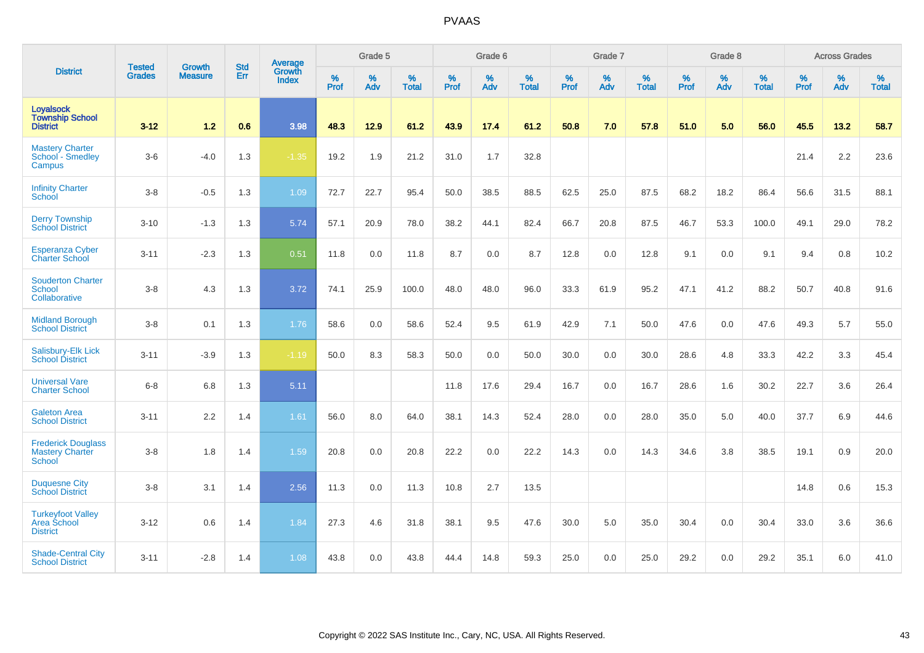|                                                                      |                                |                                 | <b>Std</b> | Average                       |                     | Grade 5  |                   |                  | Grade 6  |                   |           | Grade 7  |                   |           | Grade 8  |                   |                  | <b>Across Grades</b> |                   |
|----------------------------------------------------------------------|--------------------------------|---------------------------------|------------|-------------------------------|---------------------|----------|-------------------|------------------|----------|-------------------|-----------|----------|-------------------|-----------|----------|-------------------|------------------|----------------------|-------------------|
| <b>District</b>                                                      | <b>Tested</b><br><b>Grades</b> | <b>Growth</b><br><b>Measure</b> | <b>Err</b> | <b>Growth</b><br><b>Index</b> | $\%$<br><b>Prof</b> | %<br>Adv | %<br><b>Total</b> | %<br><b>Prof</b> | %<br>Adv | %<br><b>Total</b> | %<br>Prof | %<br>Adv | %<br><b>Total</b> | %<br>Prof | %<br>Adv | %<br><b>Total</b> | %<br><b>Prof</b> | %<br>Adv             | %<br><b>Total</b> |
| Loyalsock<br><b>Township School</b><br><b>District</b>               | $3 - 12$                       | 1.2                             | 0.6        | 3.98                          | 48.3                | 12.9     | 61.2              | 43.9             | 17.4     | 61.2              | 50.8      | 7.0      | 57.8              | 51.0      | 5.0      | 56.0              | 45.5             | 13.2                 | 58.7              |
| <b>Mastery Charter</b><br>School - Smedley<br>Campus                 | $3-6$                          | $-4.0$                          | 1.3        | $-1.35$                       | 19.2                | 1.9      | 21.2              | 31.0             | 1.7      | 32.8              |           |          |                   |           |          |                   | 21.4             | 2.2                  | 23.6              |
| <b>Infinity Charter</b><br>School                                    | $3-8$                          | $-0.5$                          | 1.3        | 1.09                          | 72.7                | 22.7     | 95.4              | 50.0             | 38.5     | 88.5              | 62.5      | 25.0     | 87.5              | 68.2      | 18.2     | 86.4              | 56.6             | 31.5                 | 88.1              |
| <b>Derry Township</b><br><b>School District</b>                      | $3 - 10$                       | $-1.3$                          | 1.3        | 5.74                          | 57.1                | 20.9     | 78.0              | 38.2             | 44.1     | 82.4              | 66.7      | 20.8     | 87.5              | 46.7      | 53.3     | 100.0             | 49.1             | 29.0                 | 78.2              |
| <b>Esperanza Cyber</b><br>Charter School                             | $3 - 11$                       | $-2.3$                          | 1.3        | 0.51                          | 11.8                | 0.0      | 11.8              | 8.7              | 0.0      | 8.7               | 12.8      | 0.0      | 12.8              | 9.1       | 0.0      | 9.1               | 9.4              | 0.8                  | 10.2              |
| <b>Souderton Charter</b><br><b>School</b><br>Collaborative           | $3 - 8$                        | 4.3                             | 1.3        | 3.72                          | 74.1                | 25.9     | 100.0             | 48.0             | 48.0     | 96.0              | 33.3      | 61.9     | 95.2              | 47.1      | 41.2     | 88.2              | 50.7             | 40.8                 | 91.6              |
| <b>Midland Borough</b><br><b>School District</b>                     | $3-8$                          | 0.1                             | 1.3        | 1.76                          | 58.6                | 0.0      | 58.6              | 52.4             | 9.5      | 61.9              | 42.9      | 7.1      | 50.0              | 47.6      | 0.0      | 47.6              | 49.3             | $5.7$                | 55.0              |
| Salisbury-Elk Lick<br><b>School District</b>                         | $3 - 11$                       | $-3.9$                          | 1.3        | $-1.19$                       | 50.0                | 8.3      | 58.3              | 50.0             | 0.0      | 50.0              | 30.0      | 0.0      | 30.0              | 28.6      | 4.8      | 33.3              | 42.2             | 3.3                  | 45.4              |
| <b>Universal Vare</b><br><b>Charter School</b>                       | $6 - 8$                        | 6.8                             | 1.3        | 5.11                          |                     |          |                   | 11.8             | 17.6     | 29.4              | 16.7      | 0.0      | 16.7              | 28.6      | 1.6      | 30.2              | 22.7             | 3.6                  | 26.4              |
| <b>Galeton Area</b><br><b>School District</b>                        | $3 - 11$                       | 2.2                             | 1.4        | 1.61                          | 56.0                | 8.0      | 64.0              | 38.1             | 14.3     | 52.4              | 28.0      | 0.0      | 28.0              | 35.0      | 5.0      | 40.0              | 37.7             | 6.9                  | 44.6              |
| <b>Frederick Douglass</b><br><b>Mastery Charter</b><br><b>School</b> | $3 - 8$                        | 1.8                             | 1.4        | 1.59                          | 20.8                | 0.0      | 20.8              | 22.2             | 0.0      | 22.2              | 14.3      | 0.0      | 14.3              | 34.6      | 3.8      | 38.5              | 19.1             | 0.9                  | 20.0              |
| <b>Duquesne City</b><br><b>School District</b>                       | $3 - 8$                        | 3.1                             | 1.4        | 2.56                          | 11.3                | 0.0      | 11.3              | 10.8             | 2.7      | 13.5              |           |          |                   |           |          |                   | 14.8             | 0.6                  | 15.3              |
| <b>Turkeyfoot Valley</b><br>Area School<br><b>District</b>           | $3 - 12$                       | 0.6                             | 1.4        | 1.84                          | 27.3                | 4.6      | 31.8              | 38.1             | 9.5      | 47.6              | 30.0      | 5.0      | 35.0              | 30.4      | 0.0      | 30.4              | 33.0             | 3.6                  | 36.6              |
| <b>Shade-Central City</b><br><b>School District</b>                  | $3 - 11$                       | $-2.8$                          | 1.4        | 1.08                          | 43.8                | 0.0      | 43.8              | 44.4             | 14.8     | 59.3              | 25.0      | 0.0      | 25.0              | 29.2      | 0.0      | 29.2              | 35.1             | 6.0                  | 41.0              |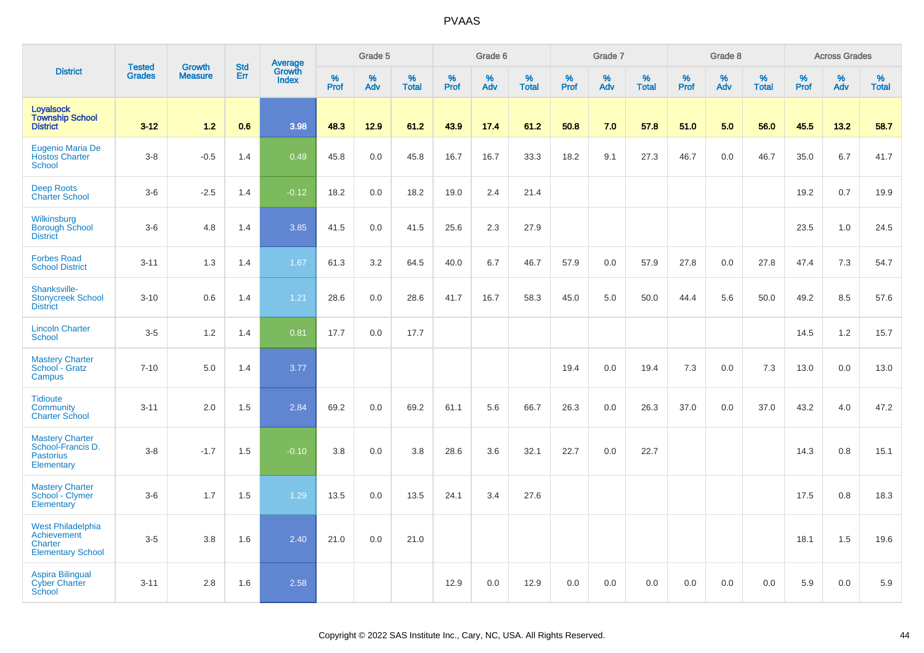|                                                                                |                                |                                 |                   | Average                |                     | Grade 5  |                   |                  | Grade 6  |                   |                  | Grade 7  |                   |           | Grade 8  |                   |           | <b>Across Grades</b> |                   |
|--------------------------------------------------------------------------------|--------------------------------|---------------------------------|-------------------|------------------------|---------------------|----------|-------------------|------------------|----------|-------------------|------------------|----------|-------------------|-----------|----------|-------------------|-----------|----------------------|-------------------|
| <b>District</b>                                                                | <b>Tested</b><br><b>Grades</b> | <b>Growth</b><br><b>Measure</b> | <b>Std</b><br>Err | Growth<br><b>Index</b> | $\%$<br><b>Prof</b> | %<br>Adv | %<br><b>Total</b> | %<br><b>Prof</b> | %<br>Adv | %<br><b>Total</b> | %<br><b>Prof</b> | %<br>Adv | %<br><b>Total</b> | %<br>Prof | %<br>Adv | %<br><b>Total</b> | %<br>Prof | $\%$<br>Adv          | %<br><b>Total</b> |
| <b>Loyalsock</b><br><b>Township School</b><br><b>District</b>                  | $3 - 12$                       | $1.2$                           | 0.6               | 3.98                   | 48.3                | 12.9     | 61.2              | 43.9             | 17.4     | 61.2              | 50.8             | 7.0      | 57.8              | 51.0      | 5.0      | 56.0              | 45.5      | 13.2                 | 58.7              |
| Eugenio Maria De<br><b>Hostos Charter</b><br><b>School</b>                     | $3-8$                          | $-0.5$                          | 1.4               | 0.49                   | 45.8                | 0.0      | 45.8              | 16.7             | 16.7     | 33.3              | 18.2             | 9.1      | 27.3              | 46.7      | 0.0      | 46.7              | 35.0      | 6.7                  | 41.7              |
| <b>Deep Roots</b><br><b>Charter School</b>                                     | $3-6$                          | $-2.5$                          | 1.4               | $-0.12$                | 18.2                | 0.0      | 18.2              | 19.0             | 2.4      | 21.4              |                  |          |                   |           |          |                   | 19.2      | 0.7                  | 19.9              |
| Wilkinsburg<br><b>Borough School</b><br><b>District</b>                        | $3-6$                          | 4.8                             | 1.4               | 3.85                   | 41.5                | 0.0      | 41.5              | 25.6             | 2.3      | 27.9              |                  |          |                   |           |          |                   | 23.5      | 1.0                  | 24.5              |
| <b>Forbes Road</b><br><b>School District</b>                                   | $3 - 11$                       | 1.3                             | 1.4               | 1.67                   | 61.3                | 3.2      | 64.5              | 40.0             | 6.7      | 46.7              | 57.9             | 0.0      | 57.9              | 27.8      | 0.0      | 27.8              | 47.4      | 7.3                  | 54.7              |
| Shanksville-<br><b>Stonycreek School</b><br><b>District</b>                    | $3 - 10$                       | 0.6                             | 1.4               | 1.21                   | 28.6                | 0.0      | 28.6              | 41.7             | 16.7     | 58.3              | 45.0             | 5.0      | 50.0              | 44.4      | 5.6      | 50.0              | 49.2      | 8.5                  | 57.6              |
| <b>Lincoln Charter</b><br><b>School</b>                                        | $3-5$                          | 1.2                             | 1.4               | 0.81                   | 17.7                | 0.0      | 17.7              |                  |          |                   |                  |          |                   |           |          |                   | 14.5      | 1.2                  | 15.7              |
| <b>Mastery Charter</b><br>School - Gratz<br>Campus                             | $7 - 10$                       | 5.0                             | 1.4               | 3.77                   |                     |          |                   |                  |          |                   | 19.4             | 0.0      | 19.4              | 7.3       | 0.0      | 7.3               | 13.0      | 0.0                  | 13.0              |
| <b>Tidioute</b><br>Community<br><b>Charter School</b>                          | $3 - 11$                       | 2.0                             | 1.5               | 2.84                   | 69.2                | 0.0      | 69.2              | 61.1             | 5.6      | 66.7              | 26.3             | 0.0      | 26.3              | 37.0      | 0.0      | 37.0              | 43.2      | 4.0                  | 47.2              |
| <b>Mastery Charter</b><br>School-Francis D.<br><b>Pastorius</b><br>Elementary  | $3-8$                          | $-1.7$                          | 1.5               | $-0.10$                | 3.8                 | 0.0      | 3.8               | 28.6             | 3.6      | 32.1              | 22.7             | 0.0      | 22.7              |           |          |                   | 14.3      | 0.8                  | 15.1              |
| <b>Mastery Charter</b><br>School - Clymer<br>Elementary                        | $3-6$                          | 1.7                             | 1.5               | 1.29                   | 13.5                | 0.0      | 13.5              | 24.1             | 3.4      | 27.6              |                  |          |                   |           |          |                   | 17.5      | 0.8                  | 18.3              |
| <b>West Philadelphia</b><br>Achievement<br>Charter<br><b>Elementary School</b> | $3-5$                          | 3.8                             | 1.6               | 2.40                   | 21.0                | 0.0      | 21.0              |                  |          |                   |                  |          |                   |           |          |                   | 18.1      | 1.5                  | 19.6              |
| Aspira Bilingual<br><b>Cyber Charter</b><br><b>School</b>                      | $3 - 11$                       | 2.8                             | 1.6               | 2.58                   |                     |          |                   | 12.9             | 0.0      | 12.9              | 0.0              | 0.0      | 0.0               | 0.0       | 0.0      | 0.0               | 5.9       | 0.0                  | 5.9               |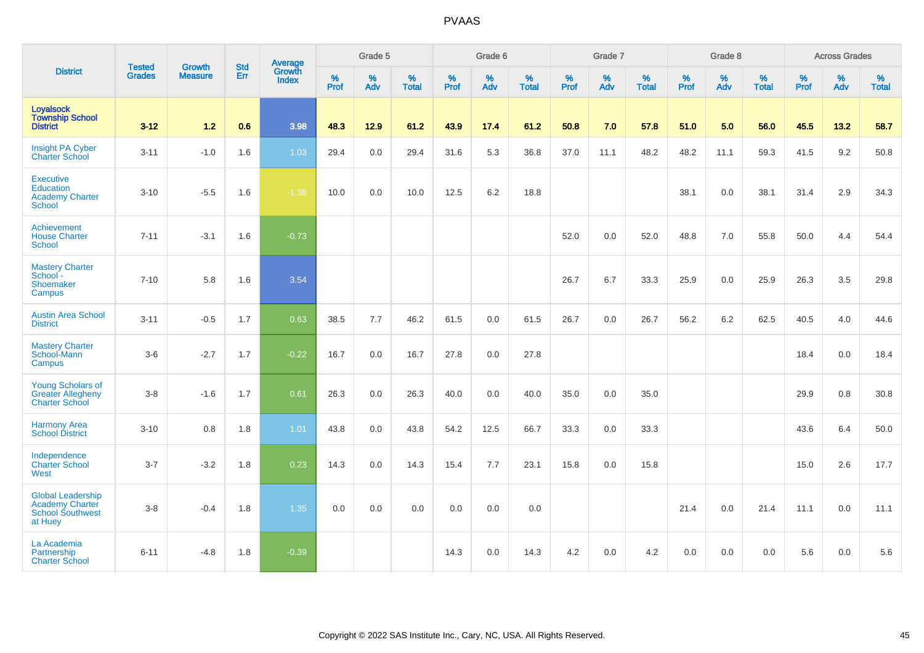|                                                                                   | <b>Tested</b> | <b>Growth</b>  | <b>Std</b> | Average                |              | Grade 5  |                      |              | Grade 6  |                   |              | Grade 7     |                   |              | Grade 8  |                   |                     | <b>Across Grades</b> |                   |
|-----------------------------------------------------------------------------------|---------------|----------------|------------|------------------------|--------------|----------|----------------------|--------------|----------|-------------------|--------------|-------------|-------------------|--------------|----------|-------------------|---------------------|----------------------|-------------------|
| <b>District</b>                                                                   | <b>Grades</b> | <b>Measure</b> | Err        | Growth<br><b>Index</b> | $\%$<br>Prof | %<br>Adv | $\%$<br><b>Total</b> | $\%$<br>Prof | %<br>Adv | %<br><b>Total</b> | $\%$<br>Prof | $\%$<br>Adv | %<br><b>Total</b> | $\%$<br>Prof | %<br>Adv | %<br><b>Total</b> | $\%$<br><b>Prof</b> | $\%$<br>Adv          | %<br><b>Total</b> |
| <b>Loyalsock</b><br><b>Township School</b><br><b>District</b>                     | $3 - 12$      | $1.2$          | 0.6        | 3.98                   | 48.3         | 12.9     | 61.2                 | 43.9         | 17.4     | 61.2              | 50.8         | 7.0         | 57.8              | 51.0         | 5.0      | 56.0              | 45.5                | 13.2                 | 58.7              |
| <b>Insight PA Cyber</b><br><b>Charter School</b>                                  | $3 - 11$      | $-1.0$         | 1.6        | 1.03                   | 29.4         | 0.0      | 29.4                 | 31.6         | 5.3      | 36.8              | 37.0         | 11.1        | 48.2              | 48.2         | 11.1     | 59.3              | 41.5                | 9.2                  | 50.8              |
| <b>Executive</b><br><b>Education</b><br><b>Academy Charter</b><br><b>School</b>   | $3 - 10$      | $-5.5$         | 1.6        | $-1.38$                | 10.0         | 0.0      | 10.0                 | 12.5         | 6.2      | 18.8              |              |             |                   | 38.1         | 0.0      | 38.1              | 31.4                | 2.9                  | 34.3              |
| Achievement<br><b>House Charter</b><br><b>School</b>                              | $7 - 11$      | $-3.1$         | 1.6        | $-0.73$                |              |          |                      |              |          |                   | 52.0         | 0.0         | 52.0              | 48.8         | 7.0      | 55.8              | 50.0                | 4.4                  | 54.4              |
| <b>Mastery Charter</b><br>School-<br>Shoemaker<br>Campus                          | $7 - 10$      | 5.8            | 1.6        | 3.54                   |              |          |                      |              |          |                   | 26.7         | 6.7         | 33.3              | 25.9         | 0.0      | 25.9              | 26.3                | 3.5                  | 29.8              |
| <b>Austin Area School</b><br><b>District</b>                                      | $3 - 11$      | $-0.5$         | 1.7        | 0.63                   | 38.5         | 7.7      | 46.2                 | 61.5         | 0.0      | 61.5              | 26.7         | 0.0         | 26.7              | 56.2         | 6.2      | 62.5              | 40.5                | 4.0                  | 44.6              |
| <b>Mastery Charter</b><br>School-Mann<br>Campus                                   | $3-6$         | $-2.7$         | 1.7        | $-0.22$                | 16.7         | 0.0      | 16.7                 | 27.8         | 0.0      | 27.8              |              |             |                   |              |          |                   | 18.4                | 0.0                  | 18.4              |
| <b>Young Scholars of</b><br><b>Greater Allegheny</b><br><b>Charter School</b>     | $3-8$         | $-1.6$         | 1.7        | 0.61                   | 26.3         | 0.0      | 26.3                 | 40.0         | 0.0      | 40.0              | 35.0         | 0.0         | 35.0              |              |          |                   | 29.9                | 0.8                  | 30.8              |
| <b>Harmony Area</b><br><b>School District</b>                                     | $3 - 10$      | 0.8            | 1.8        | 1.01                   | 43.8         | 0.0      | 43.8                 | 54.2         | 12.5     | 66.7              | 33.3         | 0.0         | 33.3              |              |          |                   | 43.6                | 6.4                  | 50.0              |
| Independence<br><b>Charter School</b><br>West                                     | $3 - 7$       | $-3.2$         | 1.8        | 0.23                   | 14.3         | 0.0      | 14.3                 | 15.4         | 7.7      | 23.1              | 15.8         | 0.0         | 15.8              |              |          |                   | 15.0                | 2.6                  | 17.7              |
| <b>Global Leadership</b><br>Academy Charter<br><b>School Southwest</b><br>at Huey | $3 - 8$       | $-0.4$         | 1.8        | 1.35                   | 0.0          | 0.0      | 0.0                  | 0.0          | 0.0      | 0.0               |              |             |                   | 21.4         | 0.0      | 21.4              | 11.1                | 0.0                  | 11.1              |
| La Academia<br>Partnership<br><b>Charter School</b>                               | $6 - 11$      | $-4.8$         | 1.8        | $-0.39$                |              |          |                      | 14.3         | 0.0      | 14.3              | 4.2          | 0.0         | 4.2               | 0.0          | 0.0      | 0.0               | 5.6                 | 0.0                  | 5.6               |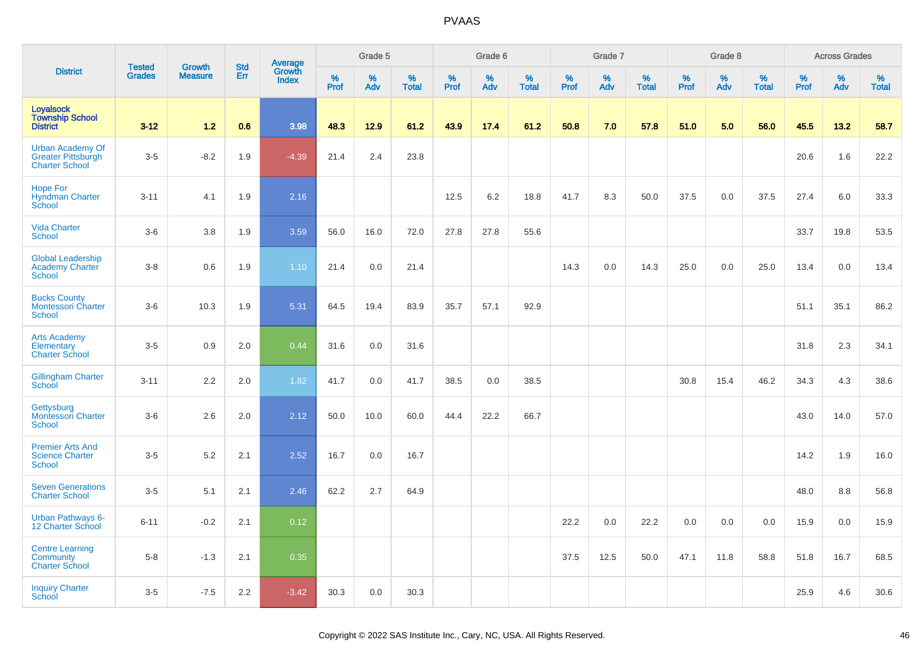|                                                                               |                         |                                 | <b>Std</b> | Average                |                     | Grade 5     |                      |              | Grade 6     |                      |                     | Grade 7     |                      |                     | Grade 8     |                      |              | <b>Across Grades</b> |                      |
|-------------------------------------------------------------------------------|-------------------------|---------------------------------|------------|------------------------|---------------------|-------------|----------------------|--------------|-------------|----------------------|---------------------|-------------|----------------------|---------------------|-------------|----------------------|--------------|----------------------|----------------------|
| <b>District</b>                                                               | <b>Tested</b><br>Grades | <b>Growth</b><br><b>Measure</b> | Err        | Growth<br><b>Index</b> | $\%$<br><b>Prof</b> | $\%$<br>Adv | $\%$<br><b>Total</b> | $\%$<br>Prof | $\%$<br>Adv | $\%$<br><b>Total</b> | $\%$<br><b>Prof</b> | $\%$<br>Adv | $\%$<br><b>Total</b> | $\%$<br><b>Prof</b> | $\%$<br>Adv | $\%$<br><b>Total</b> | $\%$<br>Prof | $\%$<br>Adv          | $\%$<br><b>Total</b> |
| <b>Loyalsock</b><br><b>Township School</b><br><b>District</b>                 | $3 - 12$                | 1.2                             | 0.6        | 3.98                   | 48.3                | 12.9        | 61.2                 | 43.9         | 17.4        | 61.2                 | 50.8                | 7.0         | 57.8                 | 51.0                | 5.0         | 56.0                 | 45.5         | 13.2                 | 58.7                 |
| <b>Urban Academy Of</b><br><b>Greater Pittsburgh</b><br><b>Charter School</b> | $3-5$                   | $-8.2$                          | 1.9        | $-4.39$                | 21.4                | 2.4         | 23.8                 |              |             |                      |                     |             |                      |                     |             |                      | 20.6         | 1.6                  | 22.2                 |
| <b>Hope For</b><br><b>Hyndman Charter</b><br>School                           | $3 - 11$                | 4.1                             | 1.9        | 2.16                   |                     |             |                      | 12.5         | 6.2         | 18.8                 | 41.7                | 8.3         | 50.0                 | 37.5                | 0.0         | 37.5                 | 27.4         | 6.0                  | 33.3                 |
| <b>Vida Charter</b><br><b>School</b>                                          | $3-6$                   | 3.8                             | 1.9        | 3.59                   | 56.0                | 16.0        | 72.0                 | 27.8         | 27.8        | 55.6                 |                     |             |                      |                     |             |                      | 33.7         | 19.8                 | 53.5                 |
| <b>Global Leadership</b><br><b>Academy Charter</b><br><b>School</b>           | $3 - 8$                 | 0.6                             | 1.9        | 1.10                   | 21.4                | 0.0         | 21.4                 |              |             |                      | 14.3                | 0.0         | 14.3                 | 25.0                | 0.0         | 25.0                 | 13.4         | 0.0                  | 13.4                 |
| <b>Bucks County</b><br>Montessori Charter<br><b>School</b>                    | $3-6$                   | 10.3                            | 1.9        | 5.31                   | 64.5                | 19.4        | 83.9                 | 35.7         | 57.1        | 92.9                 |                     |             |                      |                     |             |                      | 51.1         | 35.1                 | 86.2                 |
| <b>Arts Academy</b><br>Elementary<br><b>Charter School</b>                    | $3-5$                   | 0.9                             | 2.0        | 0.44                   | 31.6                | 0.0         | 31.6                 |              |             |                      |                     |             |                      |                     |             |                      | 31.8         | 2.3                  | 34.1                 |
| Gillingham Charter<br>School                                                  | $3 - 11$                | 2.2                             | 2.0        | 1.82                   | 41.7                | 0.0         | 41.7                 | 38.5         | 0.0         | 38.5                 |                     |             |                      | 30.8                | 15.4        | 46.2                 | 34.3         | 4.3                  | 38.6                 |
| Gettysburg<br><b>Montessori Charter</b><br><b>School</b>                      | $3-6$                   | 2.6                             | 2.0        | 2.12                   | 50.0                | 10.0        | 60.0                 | 44.4         | 22.2        | 66.7                 |                     |             |                      |                     |             |                      | 43.0         | 14.0                 | 57.0                 |
| <b>Premier Arts And</b><br><b>Science Charter</b><br><b>School</b>            | $3 - 5$                 | 5.2                             | 2.1        | 2.52                   | 16.7                | 0.0         | 16.7                 |              |             |                      |                     |             |                      |                     |             |                      | 14.2         | 1.9                  | 16.0                 |
| <b>Seven Generations</b><br><b>Charter School</b>                             | $3-5$                   | 5.1                             | 2.1        | 2.46                   | 62.2                | 2.7         | 64.9                 |              |             |                      |                     |             |                      |                     |             |                      | 48.0         | 8.8                  | 56.8                 |
| <b>Urban Pathways 6-</b><br>12 Charter School                                 | $6 - 11$                | $-0.2$                          | 2.1        | 0.12                   |                     |             |                      |              |             |                      | 22.2                | 0.0         | 22.2                 | 0.0                 | 0.0         | 0.0                  | 15.9         | 0.0                  | 15.9                 |
| <b>Centre Learning</b><br>Community<br><b>Charter School</b>                  | $5 - 8$                 | $-1.3$                          | 2.1        | 0.35                   |                     |             |                      |              |             |                      | 37.5                | 12.5        | 50.0                 | 47.1                | 11.8        | 58.8                 | 51.8         | 16.7                 | 68.5                 |
| <b>Inquiry Charter</b><br>School                                              | $3 - 5$                 | $-7.5$                          | 2.2        | $-3.42$                | 30.3                | 0.0         | 30.3                 |              |             |                      |                     |             |                      |                     |             |                      | 25.9         | 4.6                  | 30.6                 |